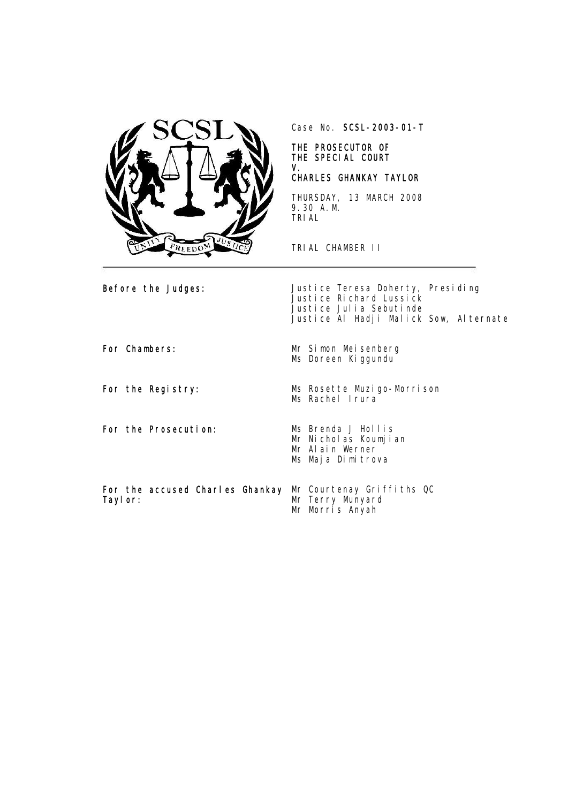

Case No. SCSL-2003-01-T

## THE PROSECUTOR OF THE SPECIAL COURT V.

## CHARLES GHANKAY TAYLOR

THURSDAY, 13 MARCH 2008 9.30 A.M. TRIAL

TRIAL CHAMBER II

**Before the Judges:** Justice Teresa Doherty, Presiding Justice Richard Lussick Justice Julia Sebutinde Justice Al Hadji Malick Sow, Alternate

For the Prosecution: Ms Brenda J Hollis

For Chambers: Mr Simon Meisenberg Ms Doreen Kiggundu

For the Registry: Ms Rosette Muzigo-Morrison Ms Rachel Irura

- Mr Nicholas Koumjian Mr Alain Werner Ms Maja Dimitrova
- For the accused Charles Ghankay Taylor: Mr Courtenay Griffiths QC Mr Terry Munyard mr Jerry Munyard<br>Mr Terry Munyard<br>Mr Morris Anyah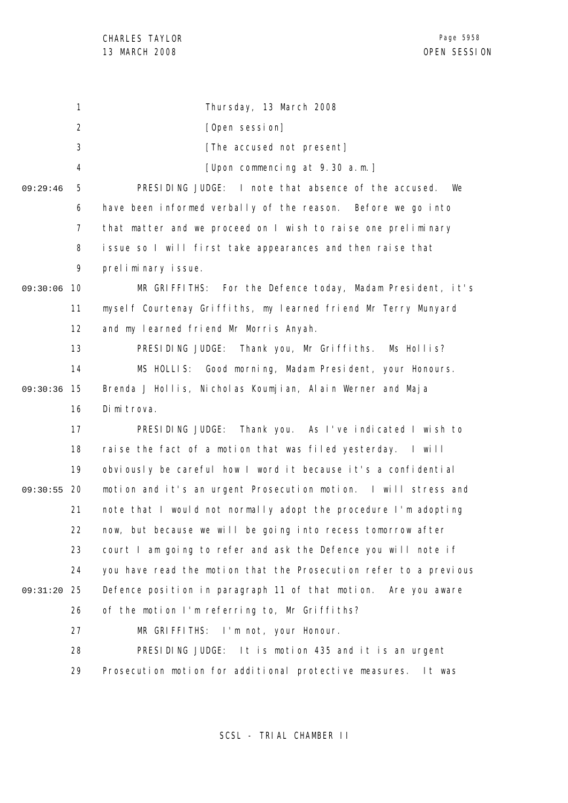1 2 3 4 5 6 7 8 9 09:30:06 10 11 12 13 14 09:30:36 15 16 17 18 19 09:30:55 20 21 22 23 24 25 09:31:20 26 27 28 29 09:29:46 Thursday, 13 March 2008 [Open session] [The accused not present] [Upon commencing at 9.30 a.m.] PRESIDING JUDGE: I note that absence of the accused. We have been informed verbally of the reason. Before we go into that matter and we proceed on I wish to raise one preliminary issue so I will first take appearances and then raise that preliminary issue. MR GRIFFITHS: For the Defence today, Madam President, it's myself Courtenay Griffiths, my learned friend Mr Terry Munyard and my learned friend Mr Morris Anyah. PRESIDING JUDGE: Thank you, Mr Griffiths. Ms Hollis? MS HOLLIS: Good morning, Madam President, your Honours. Brenda J Hollis, Nicholas Koumjian, Alain Werner and Maja Dimitrova. PRESIDING JUDGE: Thank you. As I've indicated I wish to raise the fact of a motion that was filed yesterday. I will obviously be careful how I word it because it's a confidential motion and it's an urgent Prosecution motion. I will stress and note that I would not normally adopt the procedure I'm adopting now, but because we will be going into recess tomorrow after court I am going to refer and ask the Defence you will note if you have read the motion that the Prosecution refer to a previous Defence position in paragraph 11 of that motion. Are you aware of the motion I'm referring to, Mr Griffiths? MR GRIFFITHS: I'm not, your Honour. PRESIDING JUDGE: It is motion 435 and it is an urgent Prosecution motion for additional protective measures. It was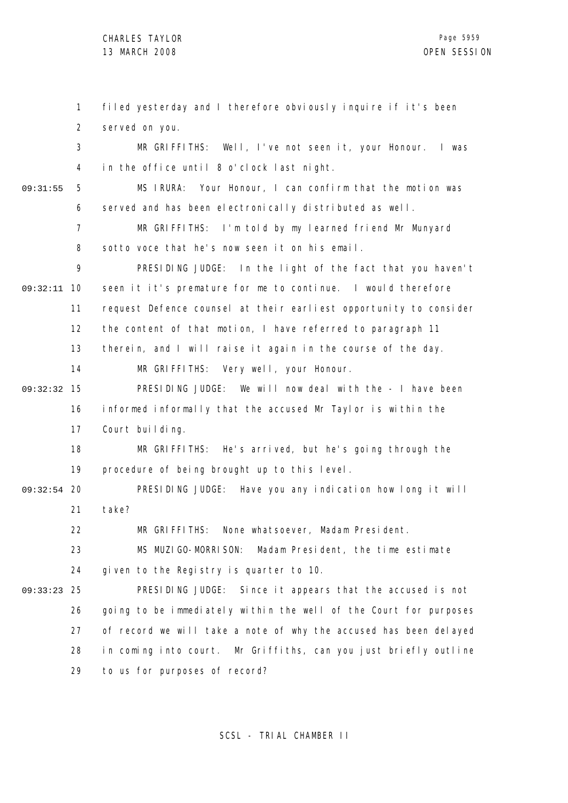1 2 3 4 5 6 7 8 9 09:32:11 10 11 12 13 14 15 09:32:32 16 17 18 19 09:32:54 20 21 22 23 24 25 09:33:23 26 27 28 29 09:31:55 filed yesterday and I therefore obviously inquire if it's been served on you. MR GRIFFITHS: Well, I've not seen it, your Honour. I was in the office until 8 o'clock last night. MS IRURA: Your Honour, I can confirm that the motion was served and has been electronically distributed as well. MR GRIFFITHS: I'm told by my learned friend Mr Munyard sotto voce that he's now seen it on his email. PRESIDING JUDGE: In the light of the fact that you haven't seen it it's premature for me to continue. I would therefore request Defence counsel at their earliest opportunity to consider the content of that motion, I have referred to paragraph 11 therein, and I will raise it again in the course of the day. MR GRIFFITHS: Very well, your Honour. PRESIDING JUDGE: We will now deal with the - I have been informed informally that the accused Mr Taylor is within the Court building. MR GRIFFITHS: He's arrived, but he's going through the procedure of being brought up to this level. PRESIDING JUDGE: Have you any indication how long it will take? MR GRIFFITHS: None whatsoever, Madam President. MS MUZIGO-MORRISON: Madam President, the time estimate given to the Registry is quarter to 10. PRESIDING JUDGE: Since it appears that the accused is not going to be immediately within the well of the Court for purposes of record we will take a note of why the accused has been delayed in coming into court. Mr Griffiths, can you just briefly outline to us for purposes of record?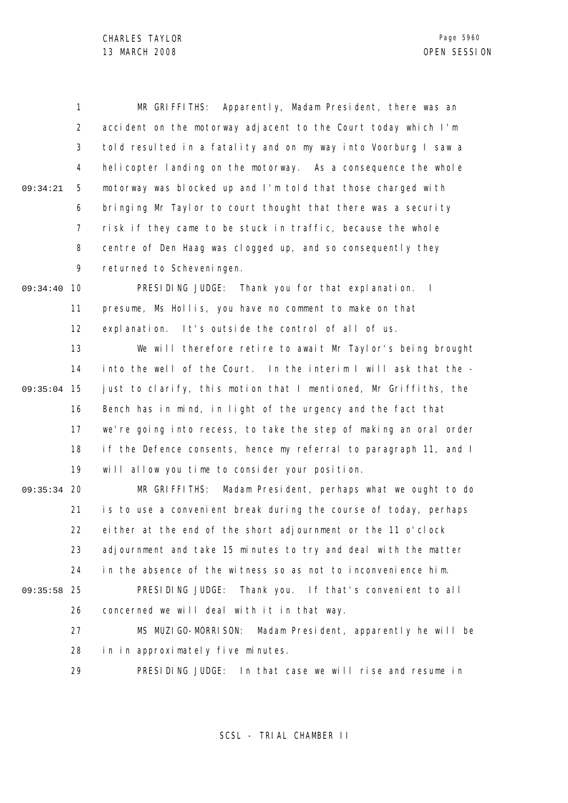1 2 3 4 5 6 7 8 9 09:34:21 MR GRIFFITHS: Apparently, Madam President, there was an accident on the motorway adjacent to the Court today which I'm told resulted in a fatality and on my way into Voorburg I saw a helicopter landing on the motorway. As a consequence the whole motorway was blocked up and I'm told that those charged with bringing Mr Taylor to court thought that there was a security risk if they came to be stuck in traffic, because the whole centre of Den Haag was clogged up, and so consequently they returned to Scheveningen.

09:34:40 10 11 12 PRESIDING JUDGE: Thank you for that explanation. I presume, Ms Hollis, you have no comment to make on that explanation. It's outside the control of all of us.

13 14 09:35:04 15 16 17 18 19 We will therefore retire to await Mr Taylor's being brought into the well of the Court. In the interim I will ask that the just to clarify, this motion that I mentioned, Mr Griffiths, the Bench has in mind, in light of the urgency and the fact that we're going into recess, to take the step of making an oral order if the Defence consents, hence my referral to paragraph 11, and I will allow you time to consider your position.

09:35:34 20 21 22 23 24 09:35:58 25 26 27 MR GRIFFITHS: Madam President, perhaps what we ought to do is to use a convenient break during the course of today, perhaps either at the end of the short adjournment or the 11 o'clock adjournment and take 15 minutes to try and deal with the matter in the absence of the witness so as not to inconvenience him. PRESIDING JUDGE: Thank you. If that's convenient to all concerned we will deal with it in that way. MS MUZIGO-MORRISON: Madam President, apparently he will be

> 28 in in approximately five minutes.

29 PRESIDING JUDGE: In that case we will rise and resume in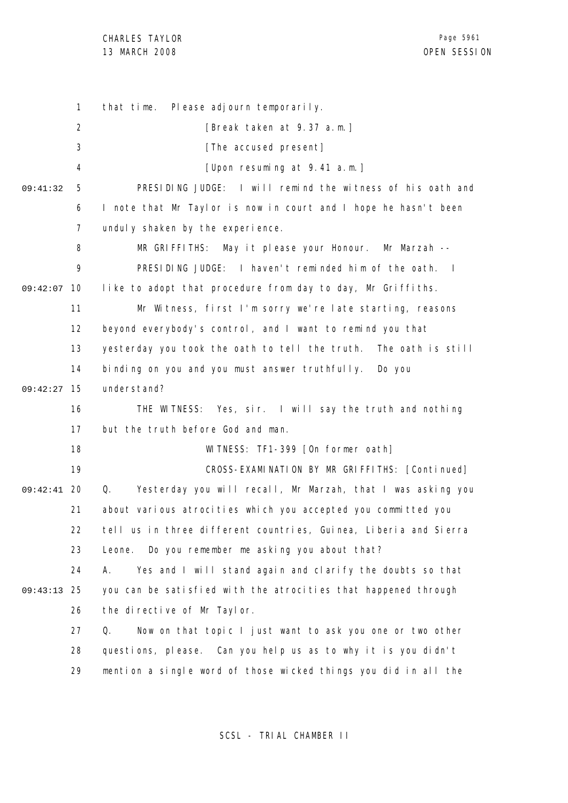CHARLES TAYLOR 13 MARCH 2008 OPEN SESSION

1 2 3 4 5 6 7 8 9 09:42:07 10 11 12 13 14 15 09:42:27 16 17 18 19 09:42:41 20 21 22 23 24 25 09:43:13 26 27 28 29 09:41:32 that time. Please adjourn temporarily. [Break taken at 9.37 a.m.] [The accused present] [Upon resuming at 9.41 a.m.] PRESIDING JUDGE: I will remind the witness of his oath and I note that Mr Taylor is now in court and I hope he hasn't been unduly shaken by the experience. MR GRIFFITHS: May it please your Honour. Mr Marzah -- PRESIDING JUDGE: I haven't reminded him of the oath. I like to adopt that procedure from day to day, Mr Griffiths. Mr Witness, first I'm sorry we're late starting, reasons beyond everybody's control, and I want to remind you that yesterday you took the oath to tell the truth. The oath is still binding on you and you must answer truthfully. Do you understand? THE WITNESS: Yes, sir. I will say the truth and nothing but the truth before God and man. WITNESS: TF1-399 [On former oath] CROSS-EXAMINATION BY MR GRIFFITHS: [Continued] Q. Yesterday you will recall, Mr Marzah, that I was asking you about various atrocities which you accepted you committed you tell us in three different countries, Guinea, Liberia and Sierra Leone. Do you remember me asking you about that? A. Yes and I will stand again and clarify the doubts so that you can be satisfied with the atrocities that happened through the directive of Mr Taylor. Q. Now on that topic I just want to ask you one or two other questions, please. Can you help us as to why it is you didn't mention a single word of those wicked things you did in all the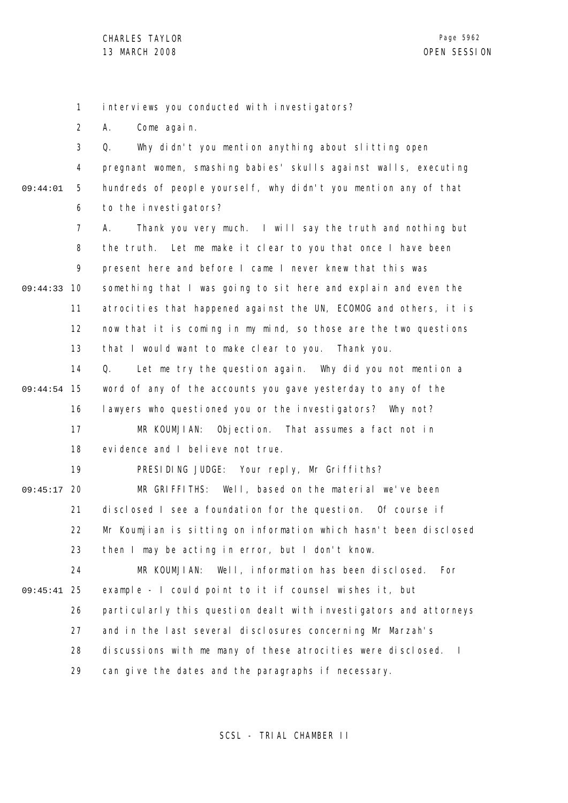1 interviews you conducted with investigators?

2 A. Come again.

3 4 5 6 09:44:01 Q. Why didn't you mention anything about slitting open pregnant women, smashing babies' skulls against walls, executing hundreds of people yourself, why didn't you mention any of that to the investigators?

7 8 9 09:44:33 10 11 12 13 A. Thank you very much. I will say the truth and nothing but the truth. Let me make it clear to you that once I have been present here and before I came I never knew that this was something that I was going to sit here and explain and even the atrocities that happened against the UN, ECOMOG and others, it is now that it is coming in my mind, so those are the two questions that I would want to make clear to you. Thank you.

14 15 09:44:54 16 17 Q. Let me try the question again. Why did you not mention a word of any of the accounts you gave yesterday to any of the lawyers who questioned you or the investigators? Why not? MR KOUMJIAN: Objection. That assumes a fact not in

> 18 evidence and I believe not true.

19 PRESIDING JUDGE: Your reply, Mr Griffiths?

09:45:17 20 21 22 23 MR GRIFFITHS: Well, based on the material we've been disclosed I see a foundation for the question. Of course if Mr Koumjian is sitting on information which hasn't been disclosed then I may be acting in error, but I don't know.

24 25 09:45:41 26 27 28 29 MR KOUMJIAN: Well, information has been disclosed. For example - I could point to it if counsel wishes it, but particularly this question dealt with investigators and attorneys and in the last several disclosures concerning Mr Marzah's discussions with me many of these atrocities were disclosed. I can give the dates and the paragraphs if necessary.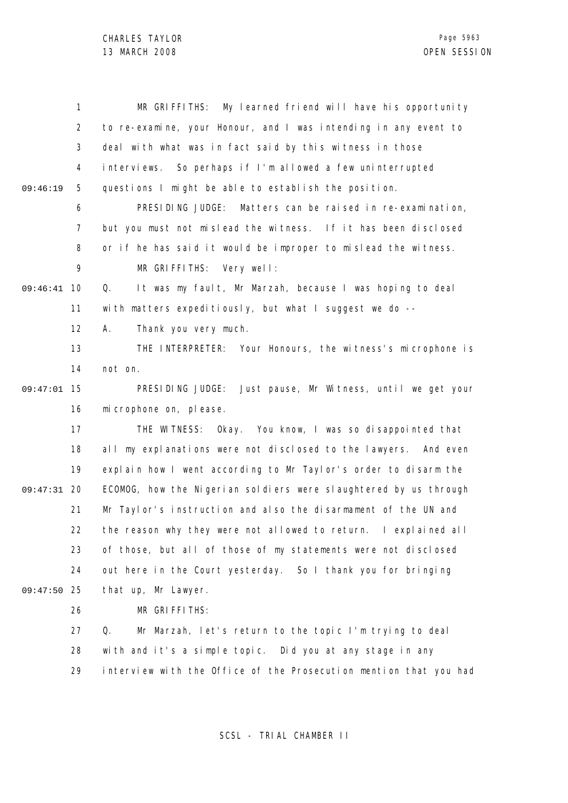CHARLES TAYLOR

|          | 1              | MR GRIFFITHS:<br>My learned friend will have his opportunity      |
|----------|----------------|-------------------------------------------------------------------|
|          | 2              | to re-examine, your Honour, and I was intending in any event to   |
|          | 3              | deal with what was in fact said by this witness in those          |
|          | 4              | interviews. So perhaps if I'm allowed a few uninterrupted         |
| 09:46:19 | 5              | questions I might be able to establish the position.              |
|          | 6              | PRESIDING JUDGE:<br>Matters can be raised in re-examination,      |
|          | $\overline{7}$ | but you must not mislead the witness. If it has been disclosed    |
|          | 8              | or if he has said it would be improper to mislead the witness.    |
|          | 9              | MR GRIFFITHS: Very well:                                          |
| 09:46:41 | 10             | It was my fault, Mr Marzah, because I was hoping to deal<br>Q.    |
|          | 11             | with matters expeditiously, but what I suggest we do --           |
|          | 12             | Thank you very much.<br>А.                                        |
|          | 13             | THE INTERPRETER: Your Honours, the witness's microphone is        |
|          | 14             | not on.                                                           |
| 09:47:01 | 15             | Just pause, Mr Witness, until we get your<br>PRESIDING JUDGE:     |
|          | 16             | mi crophone on, please.                                           |
|          | 17             | THE WITNESS: Okay. You know, I was so disappointed that           |
|          | 18             | all my explanations were not disclosed to the lawyers. And even   |
|          | 19             | explain how I went according to Mr Taylor's order to disarm the   |
| 09:47:31 | 20             | ECOMOG, how the Nigerian soldiers were slaughtered by us through  |
|          | 21             | Mr Taylor's instruction and also the disarmament of the UN and    |
|          | 22             | the reason why they were not allowed to return. I explained all   |
|          | 23             | of those, but all of those of my statements were not disclosed    |
|          | 24             | out here in the Court yesterday. So I thank you for bringing      |
| 09:47:50 | 25             | that up, Mr Lawyer.                                               |
|          | 26             | MR GRIFFITHS:                                                     |
|          | 27             | Q.<br>Mr Marzah, let's return to the topic I'm trying to deal     |
|          | 28             | with and it's a simple topic. Did you at any stage in any         |
|          | 29             | interview with the Office of the Prosecution mention that you had |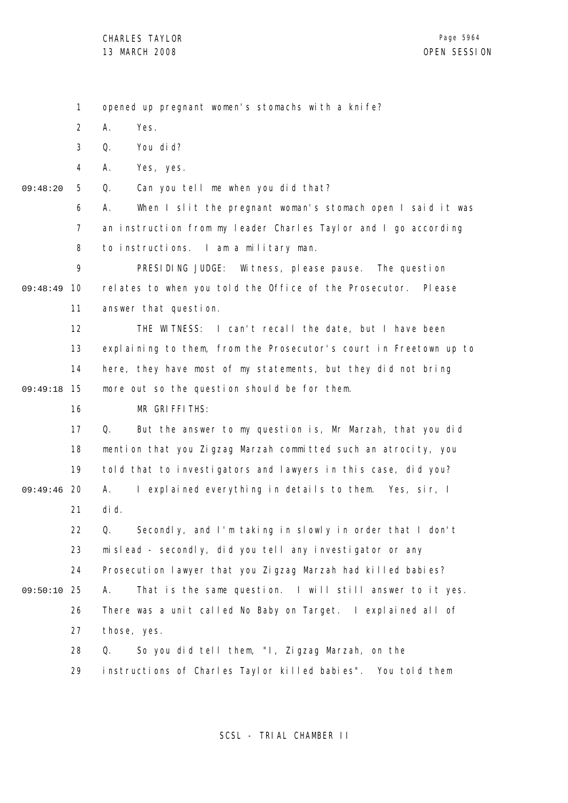1

2 3 4 5 6 7 8 9 09:48:49 10 11 12 13 14 15 09:49:18 16 17 18 19 09:49:46 20 21 22 23 24 25 09:50:10 26 27 28 29 09:48:20 A. Yes. Q. You did? A. Yes, yes. Q. Can you tell me when you did that? A. When I slit the pregnant woman's stomach open I said it was an instruction from my leader Charles Taylor and I go according to instructions. I am a military man. PRESIDING JUDGE: Witness, please pause. The question relates to when you told the Office of the Prosecutor. Please answer that question. THE WITNESS: I can't recall the date, but I have been explaining to them, from the Prosecutor's court in Freetown up to here, they have most of my statements, but they did not bring more out so the question should be for them. MR GRIFFITHS: Q. But the answer to my question is, Mr Marzah, that you did mention that you Zigzag Marzah committed such an atrocity, you told that to investigators and lawyers in this case, did you? A. I explained everything in details to them. Yes, sir, I did. Q. Secondly, and I'm taking in slowly in order that I don't mislead - secondly, did you tell any investigator or any Prosecution lawyer that you Zigzag Marzah had killed babies? A. That is the same question. I will still answer to it yes. There was a unit called No Baby on Target. I explained all of those, yes. Q. So you did tell them, "I, Zigzag Marzah, on the instructions of Charles Taylor killed babies". You told them

opened up pregnant women's stomachs with a knife?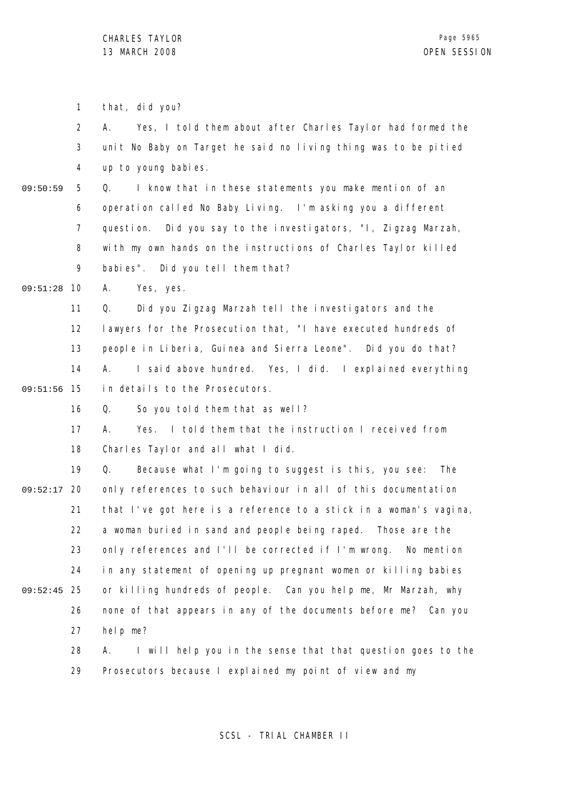1 2 3 4 5 6 7 8 9 09:51:28 10 11 12 13 14 09:51:56 15 16 17 18 19 09:52:17 20 21 22 23 24 25 09:52:45 26 27 28 29 09:50:59 that, did you? A. Yes, I told them about after Charles Taylor had formed the unit No Baby on Target he said no living thing was to be pitied up to young babies. Q. I know that in these statements you make mention of an operation called No Baby Living. I'm asking you a different question. Did you say to the investigators, "I, Zigzag Marzah, with my own hands on the instructions of Charles Taylor killed babies". Did you tell them that? A. Yes, yes. Q. Did you Zigzag Marzah tell the investigators and the lawyers for the Prosecution that, "I have executed hundreds of people in Liberia, Guinea and Sierra Leone". Did you do that? A. I said above hundred. Yes, I did. I explained everything in details to the Prosecutors. Q. So you told them that as well? A. Yes. I told them that the instruction I received from Charles Taylor and all what I did. Q. Because what I'm going to suggest is this, you see: The only references to such behaviour in all of this documentation that I've got here is a reference to a stick in a woman's vagina, a woman buried in sand and people being raped. Those are the only references and I'll be corrected if I'm wrong. No mention in any statement of opening up pregnant women or killing babies or killing hundreds of people. Can you help me, Mr Marzah, why none of that appears in any of the documents before me? Can you help me? A. I will help you in the sense that that question goes to the Prosecutors because I explained my point of view and my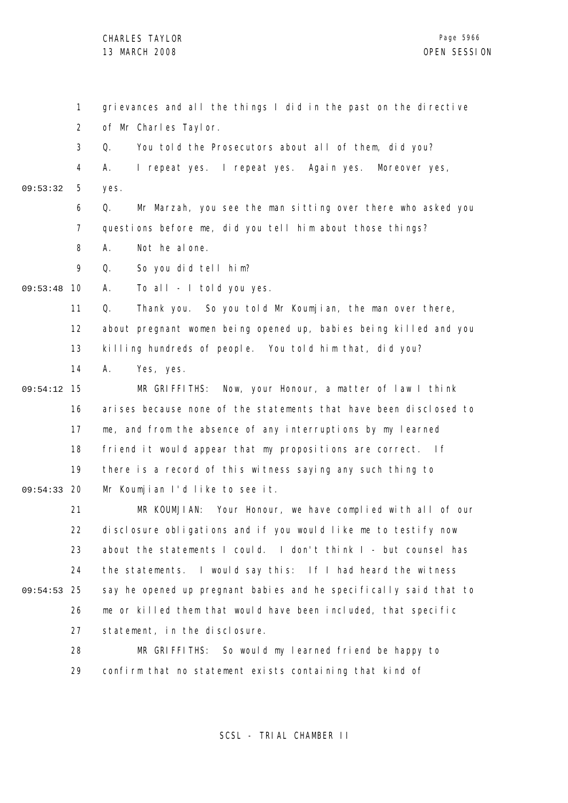1 2 3 4 5 6 7 8  $\mathsf{o}$ 09:53:48 10 11 12 13 14 15 09:54:12 16 17 18 19 09:54:33 20 21 22 23 24 25 09:54:53 26 27 28 29 09:53:32 grievances and all the things I did in the past on the directive of Mr Charles Taylor. Q. You told the Prosecutors about all of them, did you? A. I repeat yes. I repeat yes. Again yes. Moreover yes, yes. Q. Mr Marzah, you see the man sitting over there who asked you questions before me, did you tell him about those things? A. Not he alone. Q. So you did tell him? A. To all - I told you yes. Q. Thank you. So you told Mr Koumjian, the man over there, about pregnant women being opened up, babies being killed and you killing hundreds of people. You told him that, did you? A. Yes, yes. MR GRIFFITHS: Now, your Honour, a matter of law I think arises because none of the statements that have been disclosed to me, and from the absence of any interruptions by my learned friend it would appear that my propositions are correct. If there is a record of this witness saying any such thing to Mr Koumjian I'd like to see it. MR KOUMJIAN: Your Honour, we have complied with all of our disclosure obligations and if you would like me to testify now about the statements I could. I don't think I - but counsel has the statements. I would say this: If I had heard the witness say he opened up pregnant babies and he specifically said that to me or killed them that would have been included, that specific statement, in the disclosure. MR GRIFFITHS: So would my learned friend be happy to confirm that no statement exists containing that kind of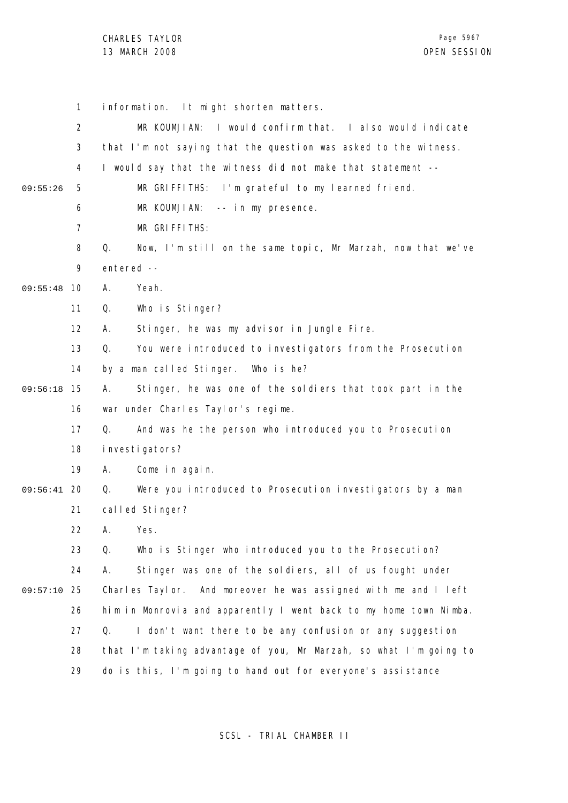CHARLES TAYLOR

|          | 1              | information. It might shorten matters.                            |
|----------|----------------|-------------------------------------------------------------------|
|          | $\overline{2}$ | MR KOUMJIAN: I would confirm that. I also would indicate          |
|          | 3              | that I'm not saying that the question was asked to the witness.   |
|          | 4              | I would say that the witness did not make that statement --       |
| 09:55:26 | 5              | MR GRIFFITHS: I'm grateful to my learned friend.                  |
|          | 6              | MR KOUMJIAN:<br>-- in my presence.                                |
|          | 7              | MR GRIFFITHS:                                                     |
|          | 8              | Q.<br>Now, I'm still on the same topic, Mr Marzah, now that we've |
|          | 9              | entered --                                                        |
| 09:55:48 | 10             | Α.<br>Yeah.                                                       |
|          | 11             | Q.<br>Who is Stinger?                                             |
|          | 12             | Stinger, he was my advisor in Jungle Fire.<br>А.                  |
|          | 13             | Q.<br>You were introduced to investigators from the Prosecution   |
|          | 14             | by a man called Stinger.<br>Who is he?                            |
| 09:56:18 | 15             | Stinger, he was one of the soldiers that took part in the<br>А.   |
|          | 16             | war under Charles Taylor's regime.                                |
|          | 17             | And was he the person who introduced you to Prosecution<br>Q.     |
|          | 18             | investigators?                                                    |
|          | 19             | Come in again.<br>А.                                              |
| 09:56:41 | -20            | Q.<br>Were you introduced to Prosecution investigators by a man   |
|          | 21             | called Stinger?                                                   |
|          | 22             | A. Yes.                                                           |
|          | 23             | Q.<br>Who is Stinger who introduced you to the Prosecution?       |
|          | 24             | Stinger was one of the soldiers, all of us fought under<br>Α.     |
| 09:57:10 | 25             | Charles Taylor. And moreover he was assigned with me and I left   |
|          | 26             | him in Monrovia and apparently I went back to my home town Nimba. |
|          | 27             | I don't want there to be any confusion or any suggestion<br>Q.    |
|          | 28             | that I'm taking advantage of you, Mr Marzah, so what I'm going to |
|          | 29             | do is this, I'm going to hand out for everyone's assistance       |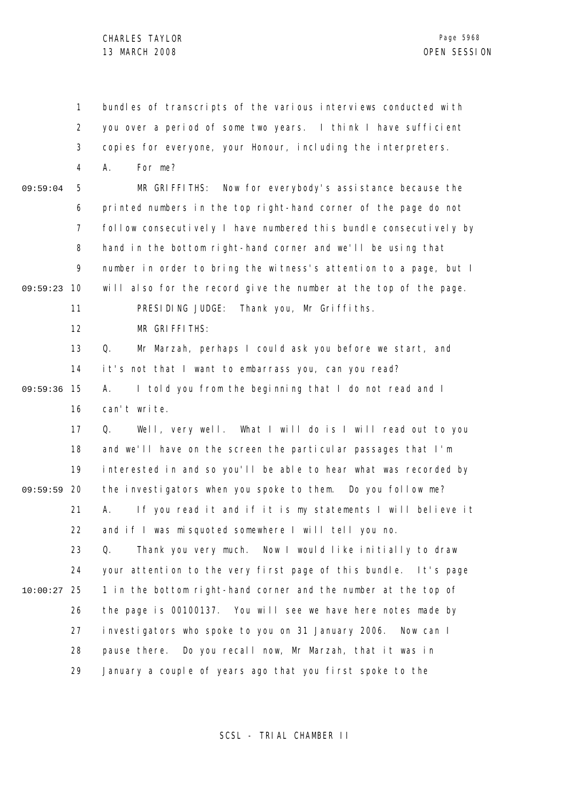1 2 3 4 5 6 7 8 9 09:59:23 10 11 12 13 14 09:59:36 15 16 17 18 19 09:59:59 20 21 22 23 24 25 10:00:27 26 27 28 29 09:59:04 bundles of transcripts of the various interviews conducted with you over a period of some two years. I think I have sufficient copies for everyone, your Honour, including the interpreters. A. For me? MR GRIFFITHS: Now for everybody's assistance because the printed numbers in the top right-hand corner of the page do not follow consecutively I have numbered this bundle consecutively by hand in the bottom right-hand corner and we'll be using that number in order to bring the witness's attention to a page, but I will also for the record give the number at the top of the page. PRESIDING JUDGE: Thank you, Mr Griffiths. MR GRIFFITHS: Q. Mr Marzah, perhaps I could ask you before we start, and it's not that I want to embarrass you, can you read? A. I told you from the beginning that I do not read and I can't write. Q. Well, very well. What I will do is I will read out to you and we'll have on the screen the particular passages that I'm interested in and so you'll be able to hear what was recorded by the investigators when you spoke to them. Do you follow me? A. If you read it and if it is my statements I will believe it and if I was misquoted somewhere I will tell you no. Q. Thank you very much. Now I would like initially to draw your attention to the very first page of this bundle. It's page 1 in the bottom right-hand corner and the number at the top of the page is 00100137. You will see we have here notes made by investigators who spoke to you on 31 January 2006. Now can I pause there. Do you recall now, Mr Marzah, that it was in January a couple of years ago that you first spoke to the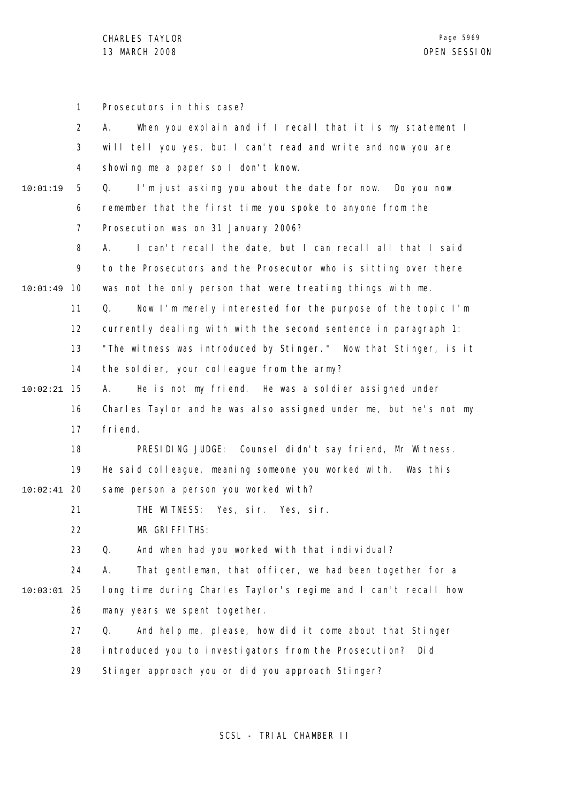CHARLES TAYLOR 13 MARCH 2008 OPEN SESSION

|               | 1              | Prosecutors in this case?                                         |
|---------------|----------------|-------------------------------------------------------------------|
|               | $\overline{2}$ | When you explain and if I recall that it is my statement I<br>А.  |
|               | 3              | will tell you yes, but I can't read and write and now you are     |
|               | 4              | showing me a paper so I don't know.                               |
| 10:01:19      | 5              | Q.<br>I'm just asking you about the date for now. Do you now      |
|               | 6              | remember that the first time you spoke to anyone from the         |
|               | 7              | Prosecution was on 31 January 2006?                               |
|               | 8              | I can't recall the date, but I can recall all that I said<br>А.   |
|               | 9              | to the Prosecutors and the Prosecutor who is sitting over there   |
| 10:01:49      | 10             | was not the only person that were treating things with me.        |
|               | 11             | Now I'm merely interested for the purpose of the topic I'm<br>Q.  |
|               | 12             | currently dealing with with the second sentence in paragraph 1:   |
|               | 13             | "The witness was introduced by Stinger." Now that Stinger, is it  |
|               | 14             | the soldier, your colleague from the army?                        |
| 10:02:21      | 15             | He is not my friend. He was a soldier assigned under<br>А.        |
|               | 16             | Charles Taylor and he was also assigned under me, but he's not my |
|               | 17             | fri end.                                                          |
|               | 18             | PRESIDING JUDGE: Counsel didn't say friend, Mr Witness.           |
|               | 19             | He said colleague, meaning someone you worked with. Was this      |
| $10:02:41$ 20 |                | same person a person you worked with?                             |
|               | 21             | THE WITNESS: Yes, sir. Yes, sir.                                  |
|               | 22             | MR GRIFFITHS:                                                     |
|               | 23             | And when had you worked with that individual?<br>Q.               |
|               | 24             | That gentleman, that officer, we had been together for a<br>А.    |
| 10:03:01      | 25             | long time during Charles Taylor's regime and I can't recall how   |
|               | 26             | many years we spent together.                                     |
|               | 27             | And help me, please, how did it come about that Stinger<br>Q.     |
|               | 28             | introduced you to investigators from the Prosecution?<br>Di d     |
|               | 29             | Stinger approach you or did you approach Stinger?                 |
|               |                |                                                                   |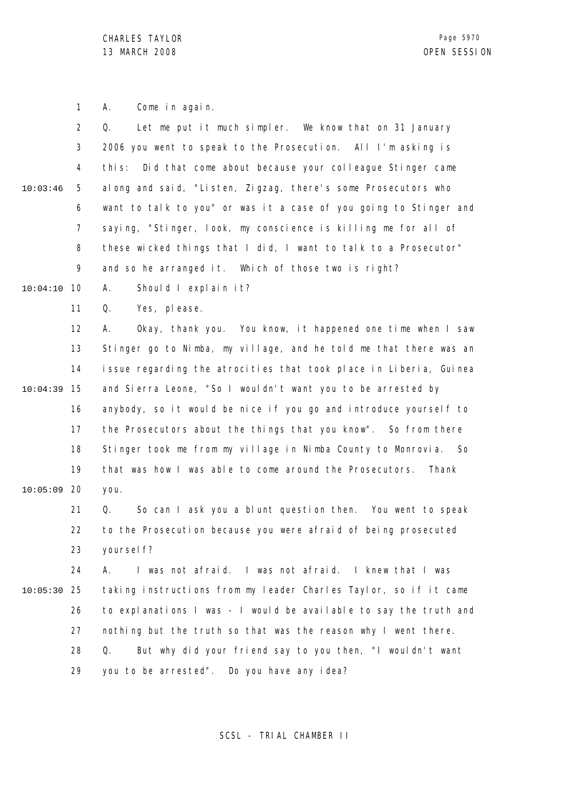1 A. Come in again.

|          | $\overline{2}$ | Let me put it much simpler. We know that on 31 January<br>Q.      |
|----------|----------------|-------------------------------------------------------------------|
|          | $\mathfrak{Z}$ | 2006 you went to speak to the Prosecution. All I'm asking is      |
|          | 4              | this: Did that come about because your colleague Stinger came     |
| 10:03:46 | 5              | along and said, "Listen, Zigzag, there's some Prosecutors who     |
|          | 6              | want to talk to you" or was it a case of you going to Stinger and |
|          | 7              | saying, "Stinger, look, my conscience is killing me for all of    |
|          | 8              | these wicked things that I did, I want to talk to a Prosecutor"   |
|          | 9              | and so he arranged it. Which of those two is right?               |
| 10:04:10 | 10             | Should I explain it?<br>А.                                        |
|          | 11             | Yes, please.<br>Q.                                                |
|          | 12             | Okay, thank you. You know, it happened one time when I saw<br>А.  |
|          | 13             | Stinger go to Nimba, my village, and he told me that there was an |
|          | 14             | issue regarding the atrocities that took place in Liberia, Guinea |
| 10:04:39 | 15             | and Sierra Leone, "So I wouldn't want you to be arrested by       |
|          | 16             | anybody, so it would be nice if you go and introduce yourself to  |
|          | 17             | the Prosecutors about the things that you know". So from there    |
|          | 18             | Stinger took me from my village in Nimba County to Monrovia. So   |
|          | 19             | that was how I was able to come around the Prosecutors.<br>Thank  |
| 10:05:09 | 20             | you.                                                              |
|          | 21             | Q.<br>So can I ask you a blunt question then. You went to speak   |
|          | 22             | to the Prosecution because you were afraid of being prosecuted    |
|          | 23             | yoursel f?                                                        |
|          | 24             | I was not afraid. I was not afraid. I knew that I was<br>А.       |
| 10:05:30 | 25             | taking instructions from my leader Charles Taylor, so if it came  |
|          | 26             | to explanations I was - I would be available to say the truth and |
|          | 27             | nothing but the truth so that was the reason why I went there.    |
|          | 28             | But why did your friend say to you then, "I wouldn't want<br>Q.   |
|          | 29             | you to be arrested". Do you have any idea?                        |
|          |                |                                                                   |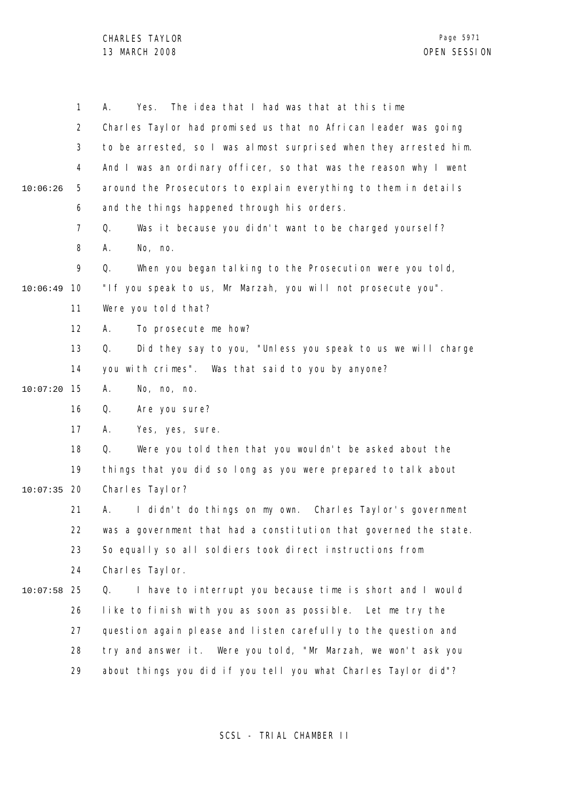CHARLES TAYLOR 13 MARCH 2008 OPEN SESSION

1 2 3 4 5 6 7 8 9 10 10:06:49 11 12 13 14 15 10:07:20 16 17 18 19 20 10:07:35 21 22 23 24 25 10:07:58 26 27 28 29 10:06:26 A. Yes. The idea that I had was that at this time Charles Taylor had promised us that no African leader was going to be arrested, so I was almost surprised when they arrested him. And I was an ordinary officer, so that was the reason why I went around the Prosecutors to explain everything to them in details and the things happened through his orders. Q. Was it because you didn't want to be charged yourself? A. No, no. Q. When you began talking to the Prosecution were you told, "If you speak to us, Mr Marzah, you will not prosecute you". Were you told that? A. To prosecute me how? Q. Did they say to you, "Unless you speak to us we will charge you with crimes". Was that said to you by anyone? A. No, no, no. Q. Are you sure? A. Yes, yes, sure. Q. Were you told then that you wouldn't be asked about the things that you did so long as you were prepared to talk about Charles Taylor? A. I didn't do things on my own. Charles Taylor's government was a government that had a constitution that governed the state. So equally so all soldiers took direct instructions from Charles Taylor. Q. I have to interrupt you because time is short and I would like to finish with you as soon as possible. Let me try the question again please and listen carefully to the question and try and answer it. Were you told, "Mr Marzah, we won't ask you about things you did if you tell you what Charles Taylor did"?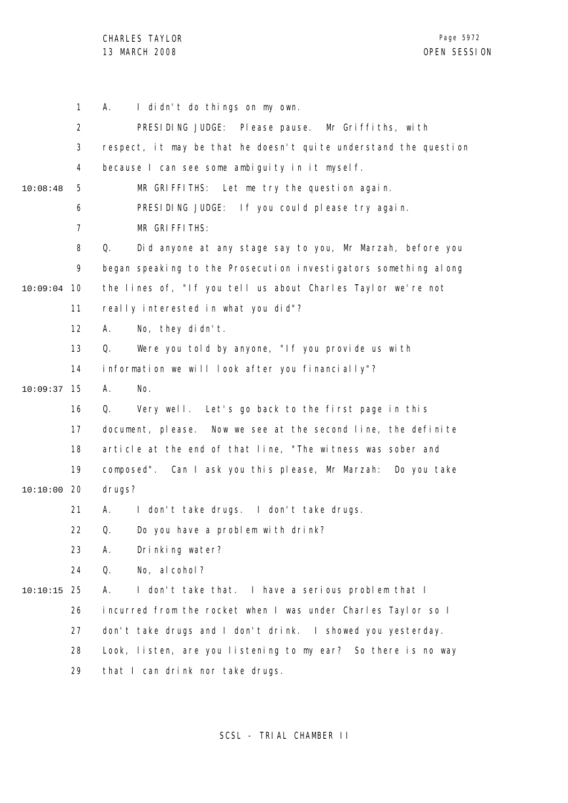CHARLES TAYLOR 13 MARCH 2008 OPEN SESSION

|          | $\mathbf{1}$   | I didn't do things on my own.<br>А.                              |
|----------|----------------|------------------------------------------------------------------|
|          | $\overline{2}$ | PRESIDING JUDGE: Please pause. Mr Griffiths, with                |
|          | 3              | respect, it may be that he doesn't quite understand the question |
|          | 4              | because I can see some ambiguity in it myself.                   |
| 10:08:48 | 5              | MR GRIFFITHS: Let me try the question again.                     |
|          | 6              | PRESIDING JUDGE: If you could please try again.                  |
|          | $\overline{7}$ | MR GRIFFITHS:                                                    |
|          | 8              | Did anyone at any stage say to you, Mr Marzah, before you<br>Q.  |
|          | 9              | began speaking to the Prosecution investigators something along  |
| 10:09:04 | 10             | the lines of, "If you tell us about Charles Taylor we're not     |
|          | 11             | really interested in what you did"?                              |
|          | 12             | No, they didn't.<br>А.                                           |
|          | 13             | Q.<br>Were you told by anyone, "If you provide us with           |
|          | 14             | information we will look after you financially"?                 |
| 10:09:37 | 15             | Α.<br>No.                                                        |
|          | 16             | Q.<br>Very well. Let's go back to the first page in this         |
|          | 17             | document, please.<br>Now we see at the second line, the definite |
|          | 18             | article at the end of that line, "The witness was sober and      |
|          | 19             | composed". Can I ask you this please, Mr Marzah: Do you take     |
| 10:10:00 | 20             | drugs?                                                           |
|          | 21             | I don't take drugs. I don't take drugs.<br>А.                    |
|          | 22             | Q. Do you have a problem with drink?                             |
|          | 23             | Drinking water?<br>А.                                            |
|          | 24             | No, al cohol?<br>Q.                                              |
| 10:10:15 | 25             | Α.<br>I don't take that. I have a serious problem that I         |
|          | 26             | incurred from the rocket when I was under Charles Taylor so I    |
|          | 27             | don't take drugs and I don't drink. I showed you yesterday.      |
|          | 28             | Look, listen, are you listening to my ear? So there is no way    |
|          | 29             | that I can drink nor take drugs.                                 |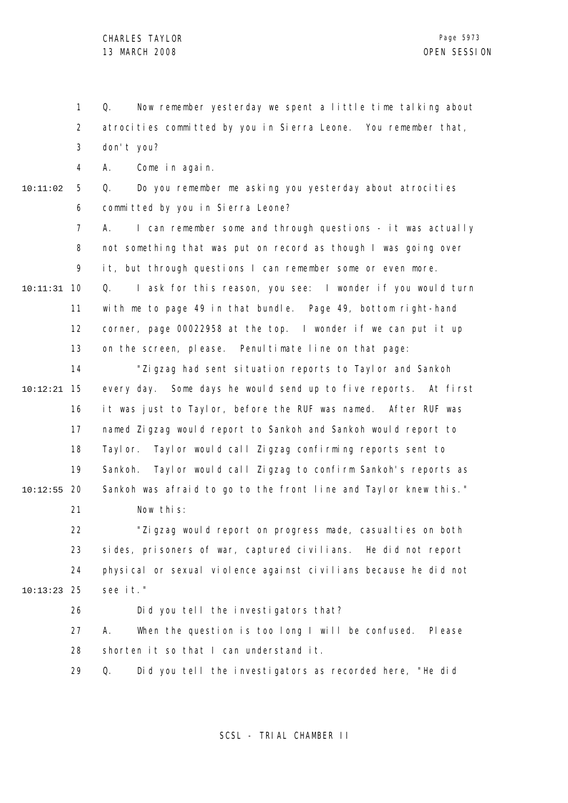1 2 3 4 5 6 7 8 9 10 10:11:31 11 12 13 14 15 10:12:21 16 17 18 19 20 10:12:55 21 22 23 24 25 10:13:23 26 27 28 29 10:11:02 Q. Now remember yesterday we spent a little time talking about atrocities committed by you in Sierra Leone. You remember that, don't you? A. Come in again. Q. Do you remember me asking you yesterday about atrocities committed by you in Sierra Leone? A. I can remember some and through questions - it was actually not something that was put on record as though I was going over it, but through questions I can remember some or even more. Q. I ask for this reason, you see: I wonder if you would turn with me to page 49 in that bundle. Page 49, bottom right-hand corner, page 00022958 at the top. I wonder if we can put it up on the screen, please. Penultimate line on that page: "Zigzag had sent situation reports to Taylor and Sankoh every day. Some days he would send up to five reports. At first it was just to Taylor, before the RUF was named. After RUF was named Zigzag would report to Sankoh and Sankoh would report to Taylor. Taylor would call Zigzag confirming reports sent to Sankoh. Taylor would call Zigzag to confirm Sankoh's reports as Sankoh was afraid to go to the front line and Taylor knew this." Now this: "Zigzag would report on progress made, casualties on both sides, prisoners of war, captured civilians. He did not report physical or sexual violence against civilians because he did not see it." Did you tell the investigators that? A. When the question is too long I will be confused. Please shorten it so that I can understand it. Q. Did you tell the investigators as recorded here, "He did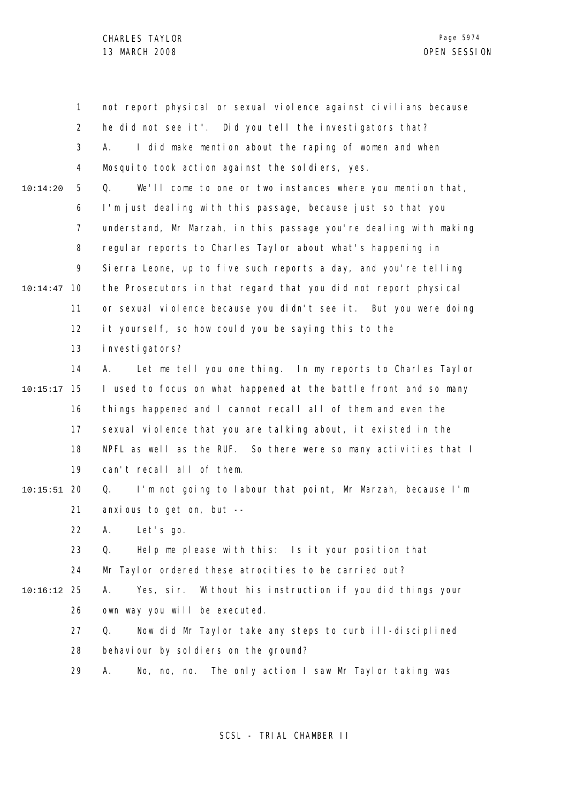1 2 3 4 5 6 7 8 9 10 10:14:47 11 12 13 14 15 10:15:17 16 17 18 19 20 10:15:51 21 22 23 24 25 10:16:12 26 27 28 29 10:14:20 not report physical or sexual violence against civilians because he did not see it". Did you tell the investigators that? A. I did make mention about the raping of women and when Mosquito took action against the soldiers, yes. Q. We'll come to one or two instances where you mention that, I'm just dealing with this passage, because just so that you understand, Mr Marzah, in this passage you're dealing with making regular reports to Charles Taylor about what's happening in Sierra Leone, up to five such reports a day, and you're telling the Prosecutors in that regard that you did not report physical or sexual violence because you didn't see it. But you were doing it yourself, so how could you be saying this to the investigators? A. Let me tell you one thing. In my reports to Charles Taylor I used to focus on what happened at the battle front and so many things happened and I cannot recall all of them and even the sexual violence that you are talking about, it existed in the NPFL as well as the RUF. So there were so many activities that I can't recall all of them. Q. I'm not going to labour that point, Mr Marzah, because I'm anxious to get on, but -- A. Let's go. Q. Help me please with this: Is it your position that Mr Taylor ordered these atrocities to be carried out? A. Yes, sir. Without his instruction if you did things your own way you will be executed. Q. Now did Mr Taylor take any steps to curb ill-disciplined behaviour by soldiers on the ground? A. No, no, no. The only action I saw Mr Taylor taking was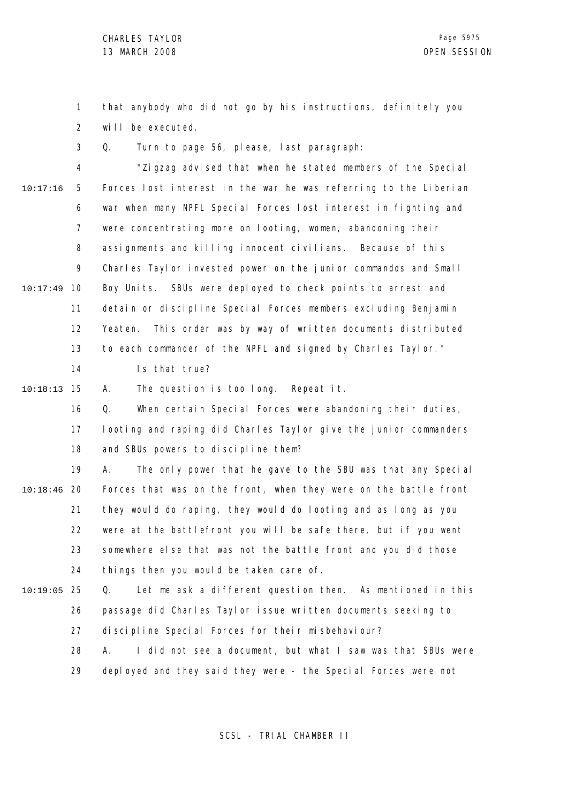1 2 that anybody who did not go by his instructions, definitely you will be executed.

3 Q. Turn to page 56, please, last paragraph:

4 5 6 7 8 9 10 10:17:49 11 12 13 14 15 10:18:13 16 17 18 19 20 10:18:46 21 22 23 24 25 10:19:05 26 27 28 10:17:16 "Zigzag advised that when he stated members of the Special Forces lost interest in the war he was referring to the Liberian war when many NPFL Special Forces lost interest in fighting and were concentrating more on looting, women, abandoning their assignments and killing innocent civilians. Because of this Charles Taylor invested power on the junior commandos and Small Boy Units. SBUs were deployed to check points to arrest and detain or discipline Special Forces members excluding Benjamin Yeaten. This order was by way of written documents distributed to each commander of the NPFL and signed by Charles Taylor." Is that true? A. The question is too long. Repeat it. Q. When certain Special Forces were abandoning their duties, looting and raping did Charles Taylor give the junior commanders and SBUs powers to discipline them? A. The only power that he gave to the SBU was that any Special Forces that was on the front, when they were on the battle front they would do raping, they would do looting and as long as you were at the battlefront you will be safe there, but if you went somewhere else that was not the battle front and you did those things then you would be taken care of. Q. Let me ask a different question then. As mentioned in this passage did Charles Taylor issue written documents seeking to discipline Special Forces for their misbehaviour? A. I did not see a document, but what I saw was that SBUs were

> 29 deployed and they said they were - the Special Forces were not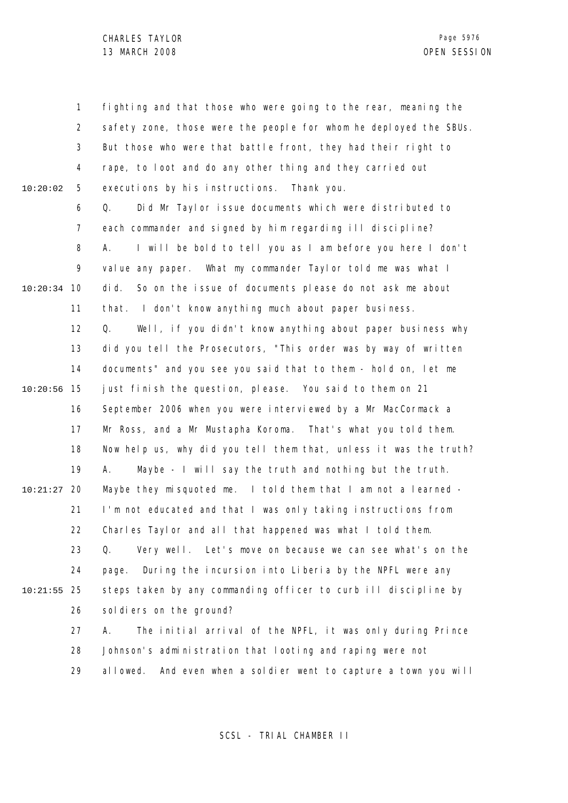1 2 3 4 5 6 7 8 9 10 10:20:34 11 12 13 14 15 10:20:56 16 17 18 19 20 10:21:27 21 22 23 24 25 10:21:55 26 27 28 29 10:20:02 fighting and that those who were going to the rear, meaning the safety zone, those were the people for whom he deployed the SBUs. But those who were that battle front, they had their right to rape, to loot and do any other thing and they carried out executions by his instructions. Thank you. Q. Did Mr Taylor issue documents which were distributed to each commander and signed by him regarding ill discipline? A. I will be bold to tell you as I am before you here I don't value any paper. What my commander Taylor told me was what I did. So on the issue of documents please do not ask me about that. I don't know anything much about paper business. Q. Well, if you didn't know anything about paper business why did you tell the Prosecutors, "This order was by way of written documents" and you see you said that to them - hold on, let me just finish the question, please. You said to them on 21 September 2006 when you were interviewed by a Mr MacCormack a Mr Ross, and a Mr Mustapha Koroma. That's what you told them. Now help us, why did you tell them that, unless it was the truth? A. Maybe - I will say the truth and nothing but the truth. Maybe they misquoted me. I told them that I am not a learned - I'm not educated and that I was only taking instructions from Charles Taylor and all that happened was what I told them. Q. Very well. Let's move on because we can see what's on the page. During the incursion into Liberia by the NPFL were any steps taken by any commanding officer to curb ill discipline by soldiers on the ground? A. The initial arrival of the NPFL, it was only during Prince Johnson's administration that looting and raping were not allowed. And even when a soldier went to capture a town you will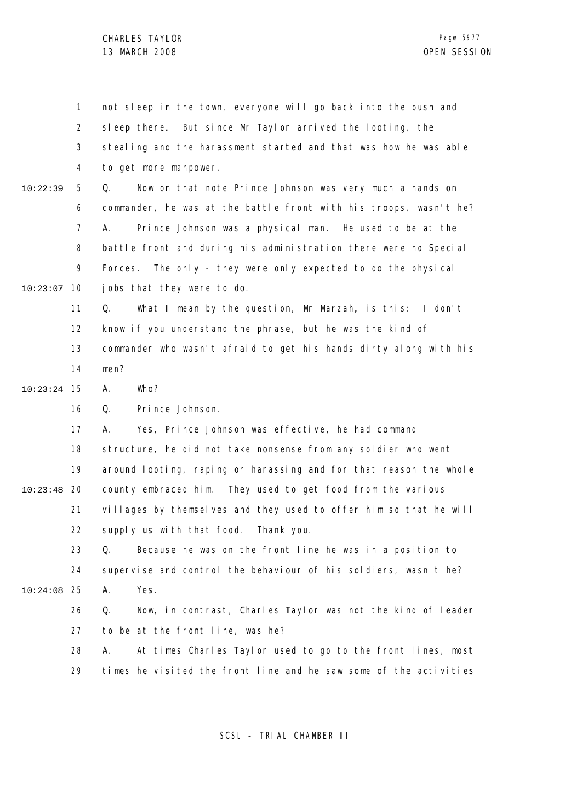| $\mathbf{1}$   | not sleep in the town, everyone will go back into the bush and    |
|----------------|-------------------------------------------------------------------|
| $\overline{2}$ | But since Mr Taylor arrived the looting, the<br>sleep there.      |
| 3              | stealing and the harassment started and that was how he was able  |
| 4              | to get more manpower.                                             |
| 5              | Now on that note Prince Johnson was very much a hands on<br>Q.    |
| 6              | commander, he was at the battle front with his troops, wasn't he? |
| 7              | Prince Johnson was a physical man. He used to be at the<br>А.     |
| 8              | battle front and during his administration there were no Special  |
| 9              | Forces. The only - they were only expected to do the physical     |
| 10             | jobs that they were to do.                                        |
| 11             | What I mean by the question, Mr Marzah, is this: I don't<br>Q.    |
| 12             | know if you understand the phrase, but he was the kind of         |
| 13             | commander who wasn't afraid to get his hands dirty along with his |
| 14             | men?                                                              |
| 15             | Α.<br>Who?                                                        |
| 16             | Prince Johnson.<br>Q.                                             |
| 17             | Yes, Prince Johnson was effective, he had command<br>А.           |
| 18             | structure, he did not take nonsense from any soldier who went     |
| 19             | around looting, raping or harassing and for that reason the whole |
| 20             | county embraced him. They used to get food from the various       |
| 21             | villages by themselves and they used to offer him so that he will |
| 22             | supply us with that food. Thank you.                              |
| 23             | Because he was on the front line he was in a position to<br>Q.    |
| 24             | supervise and control the behaviour of his soldiers, wasn't he?   |
| 25             | Yes.<br>Α.                                                        |
| 26             | Now, in contrast, Charles Taylor was not the kind of leader<br>Q. |
| 27             | to be at the front line, was he?                                  |
| 28             | At times Charles Taylor used to go to the front lines, most<br>А. |
| 29             | times he visited the front line and he saw some of the activities |
|                |                                                                   |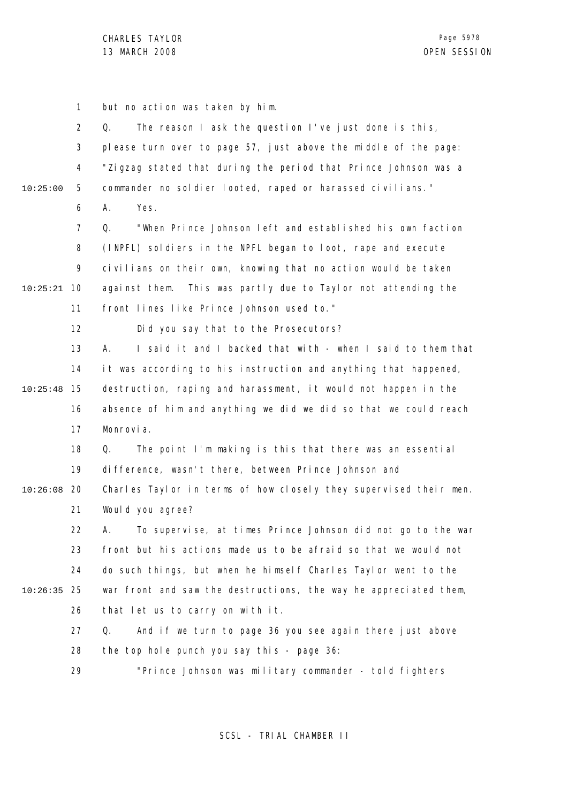1 2 3 4 5 6 7 8 9 10 10:25:21 11 12 13 14 15 10:25:48 16 17 18 19 20 10:26:08 21 22 23 24 25 10:26:35 26 27 28 29 10:25:00 but no action was taken by him. Q. The reason I ask the question I've just done is this, please turn over to page 57, just above the middle of the page: "Zigzag stated that during the period that Prince Johnson was a commander no soldier looted, raped or harassed civilians." A. Yes. Q. "When Prince Johnson left and established his own faction (INPFL) soldiers in the NPFL began to loot, rape and execute civilians on their own, knowing that no action would be taken against them. This was partly due to Taylor not attending the front lines like Prince Johnson used to." Did you say that to the Prosecutors? A. I said it and I backed that with - when I said to them that it was according to his instruction and anything that happened, destruction, raping and harassment, it would not happen in the absence of him and anything we did we did so that we could reach Monrovia. Q. The point I'm making is this that there was an essential difference, wasn't there, between Prince Johnson and Charles Taylor in terms of how closely they supervised their men. Would you agree? A. To supervise, at times Prince Johnson did not go to the war front but his actions made us to be afraid so that we would not do such things, but when he himself Charles Taylor went to the war front and saw the destructions, the way he appreciated them, that let us to carry on with it. Q. And if we turn to page 36 you see again there just above the top hole punch you say this - page 36: "Prince Johnson was military commander - told fighters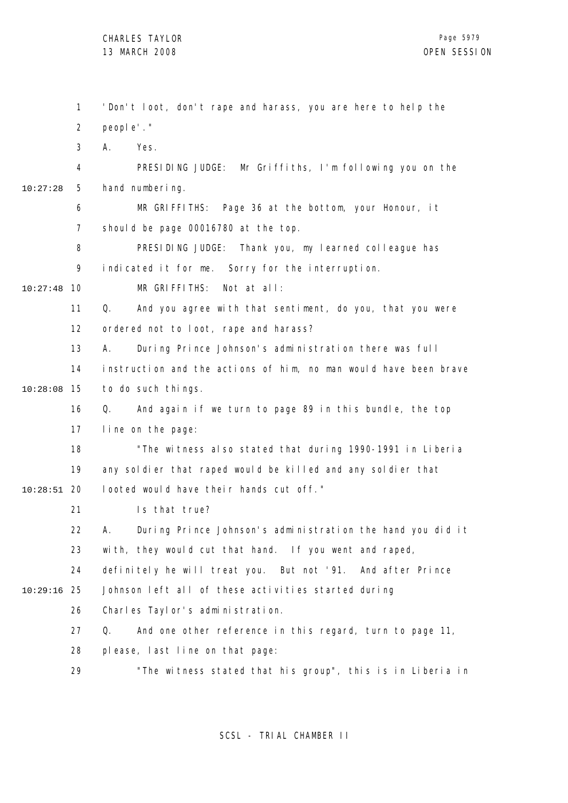1 2 3 4 5 6 7 8 9 10 10:27:48 11 12 13 14 15 10:28:08 16 17 18 19 20 10:28:51 21 22 23 24 25 10:29:16 26 27 28 29 10:27:28 'Don't loot, don't rape and harass, you are here to help the people'." A. Yes. PRESIDING JUDGE: Mr Griffiths, I'm following you on the hand numbering. MR GRIFFITHS: Page 36 at the bottom, your Honour, it should be page 00016780 at the top. PRESIDING JUDGE: Thank you, my learned colleague has indicated it for me. Sorry for the interruption. MR GRIFFITHS: Not at all: Q. And you agree with that sentiment, do you, that you were ordered not to loot, rape and harass? A. During Prince Johnson's administration there was full instruction and the actions of him, no man would have been brave to do such things. Q. And again if we turn to page 89 in this bundle, the top line on the page: "The witness also stated that during 1990-1991 in Liberia any soldier that raped would be killed and any soldier that looted would have their hands cut off." Is that true? A. During Prince Johnson's administration the hand you did it with, they would cut that hand. If you went and raped, definitely he will treat you. But not '91. And after Prince Johnson left all of these activities started during Charles Taylor's administration. Q. And one other reference in this regard, turn to page 11, please, last line on that page: "The witness stated that his group", this is in Liberia in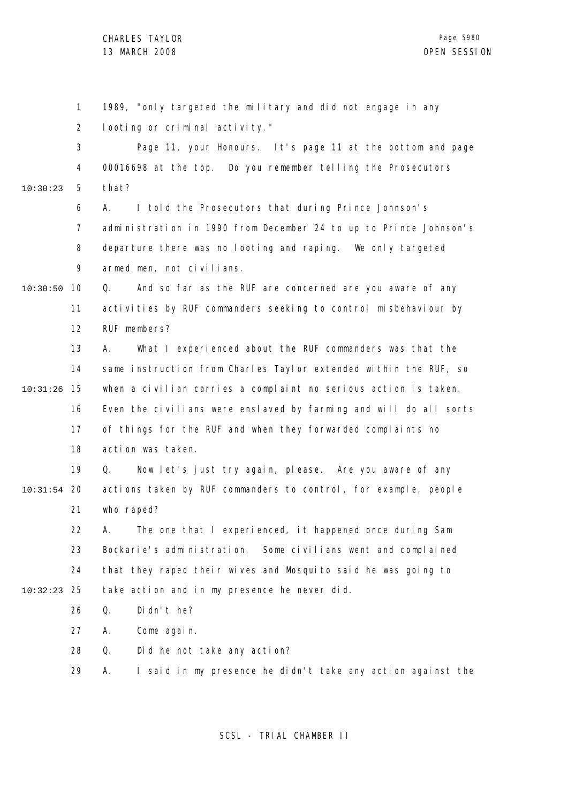1 2 3 4 5 6 7 8  $\mathsf{o}$ 10 10:30:50 11 12 13 14 15 10:31:26 16 17 18 19 20 10:31:54 21 22 23 24 25 10:32:23 26 27 28 29 10:30:23 1989, "only targeted the military and did not engage in any looting or criminal activity." Page 11, your Honours. It's page 11 at the bottom and page 00016698 at the top. Do you remember telling the Prosecutors that? A. I told the Prosecutors that during Prince Johnson's administration in 1990 from December 24 to up to Prince Johnson's departure there was no looting and raping. We only targeted armed men, not civilians. Q. And so far as the RUF are concerned are you aware of any activities by RUF commanders seeking to control misbehaviour by RUF members? A. What I experienced about the RUF commanders was that the same instruction from Charles Taylor extended within the RUF, so when a civilian carries a complaint no serious action is taken. Even the civilians were enslaved by farming and will do all sorts of things for the RUF and when they forwarded complaints no action was taken. Q. Now let's just try again, please. Are you aware of any actions taken by RUF commanders to control, for example, people who raped? A. The one that I experienced, it happened once during Sam Bockarie's administration. Some civilians went and complained that they raped their wives and Mosquito said he was going to take action and in my presence he never did. Q. Didn't he? A. Come again. Q. Did he not take any action? A. I said in my presence he didn't take any action against the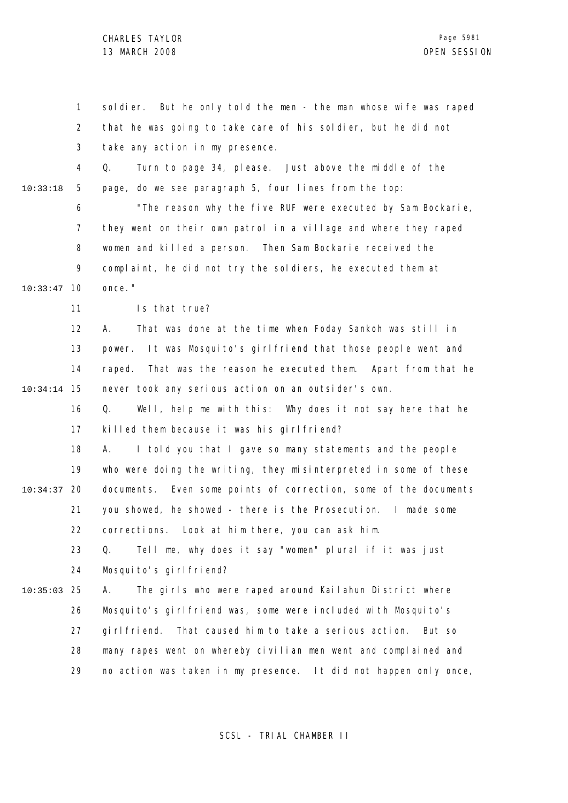CHARLES TAYLOR 13 MARCH 2008 OPEN SESSION

1 2 3 4 5 6 7 8 9 10 10:33:47 11 12 13 14 15 10:34:14 16 17 18 19 20 10:34:37 21 22 23 24 25 10:35:03 26 27 28 29 10:33:18 soldier. But he only told the men - the man whose wife was raped that he was going to take care of his soldier, but he did not take any action in my presence. Q. Turn to page 34, please. Just above the middle of the page, do we see paragraph 5, four lines from the top: "The reason why the five RUF were executed by Sam Bockarie, they went on their own patrol in a village and where they raped women and killed a person. Then Sam Bockarie received the complaint, he did not try the soldiers, he executed them at once." Is that true? A. That was done at the time when Foday Sankoh was still in power. It was Mosquito's girlfriend that those people went and raped. That was the reason he executed them. Apart from that he never took any serious action on an outsider's own. Q. Well, help me with this: Why does it not say here that he killed them because it was his girlfriend? A. I told you that I gave so many statements and the people who were doing the writing, they misinterpreted in some of these documents. Even some points of correction, some of the documents you showed, he showed - there is the Prosecution. I made some corrections. Look at him there, you can ask him. Q. Tell me, why does it say "women" plural if it was just Mosquito's girlfriend? A. The girls who were raped around Kailahun District where Mosquito's girlfriend was, some were included with Mosquito's girlfriend. That caused him to take a serious action. But so many rapes went on whereby civilian men went and complained and no action was taken in my presence. It did not happen only once,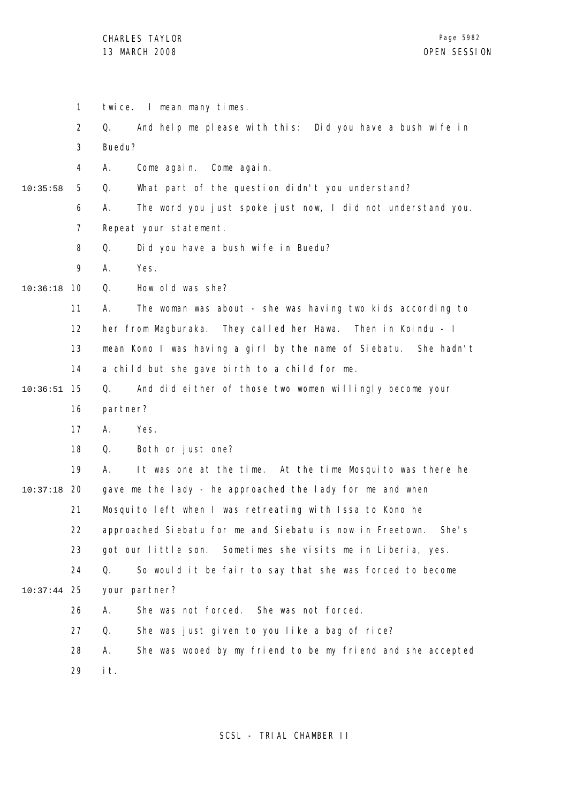CHARLES TAYLOR 13 MARCH 2008 OPEN SESSION

1 twice. I mean many times.

2 3 Q. And help me please with this: Did you have a bush wife in Buedu?

4 A. Come again. Come again.

5 10:35:58 Q. What part of the question didn't you understand?

> 6 7 A. The word you just spoke just now, I did not understand you. Repeat your statement.

8 Q. Did you have a bush wife in Buedu?

9 A. Yes.

10 10:36:18 Q. How old was she?

> 11 A. The woman was about - she was having two kids according to

12 her from Magburaka. They called her Hawa. Then in Koindu - I

13 14 mean Kono I was having a girl by the name of Siebatu. She hadn't a child but she gave birth to a child for me.

15 10:36:51 Q. And did either of those two women willingly become your

16 partner?

17 A. Yes.

18 Q. Both or just one?

19 20 10:37:18 21 22 23 24 25 10:37:44 26 27 28 A. It was one at the time. At the time Mosquito was there he gave me the lady - he approached the lady for me and when Mosquito left when I was retreating with Issa to Kono he approached Siebatu for me and Siebatu is now in Freetown. She's got our little son. Sometimes she visits me in Liberia, yes. Q. So would it be fair to say that she was forced to become your partner? A. She was not forced. She was not forced. Q. She was just given to you like a bag of rice? A. She was wooed by my friend to be my friend and she accepted

> 29 it.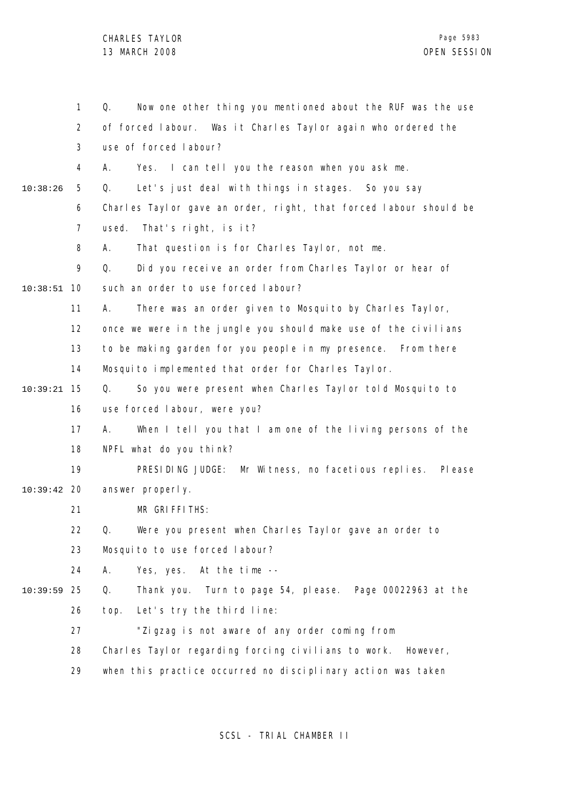|          | $\mathbf{1}$   | Now one other thing you mentioned about the RUF was the use<br>Q. |
|----------|----------------|-------------------------------------------------------------------|
|          | $\overline{2}$ | of forced labour. Was it Charles Taylor again who ordered the     |
|          | 3              | use of forced labour?                                             |
|          | 4              | Yes. I can tell you the reason when you ask me.<br>Α.             |
| 10:38:26 | 5              | Let's just deal with things in stages. So you say<br>Q.           |
|          | 6              | Charles Taylor gave an order, right, that forced labour should be |
|          | 7              | That's right, is it?<br>used.                                     |
|          | 8              | That question is for Charles Taylor, not me.<br>Α.                |
|          | 9              | Did you receive an order from Charles Taylor or hear of<br>Q.     |
| 10:38:51 | 10             | such an order to use forced labour?                               |
|          | 11             | There was an order given to Mosquito by Charles Taylor,<br>А.     |
|          | 12             | once we were in the jungle you should make use of the civilians   |
|          | 13             | to be making garden for you people in my presence. From there     |
|          | 14             | Mosquito implemented that order for Charles Taylor.               |
| 10:39:21 | 15             | So you were present when Charles Taylor told Mosquito to<br>Q.    |
|          | 16             | use forced labour, were you?                                      |
|          | 17             | When I tell you that I am one of the living persons of the<br>А.  |
|          | 18             | NPFL what do you think?                                           |
|          | 19             | PRESIDING JUDGE:<br>Mr Witness, no facetious replies.<br>PI ease  |
| 10:39:42 | 20             | answer properly.                                                  |
|          | 21             | MR GRIFFITHS:                                                     |
|          | 22             | Q.<br>Were you present when Charles Taylor gave an order to       |
|          | 23             | Mosquito to use forced labour?                                    |
|          | 24             | А.<br>Yes, yes.<br>At the time $-$                                |
| 10:39:59 | 25             | Q.<br>Thank you. Turn to page 54, please. Page 00022963 at the    |
|          | 26             | top.<br>Let's try the third line:                                 |
|          | 27             | "Zigzag is not aware of any order coming from                     |
|          | 28             | Charles Taylor regarding forcing civilians to work.<br>However,   |
|          | 29             | when this practice occurred no disciplinary action was taken      |
|          |                |                                                                   |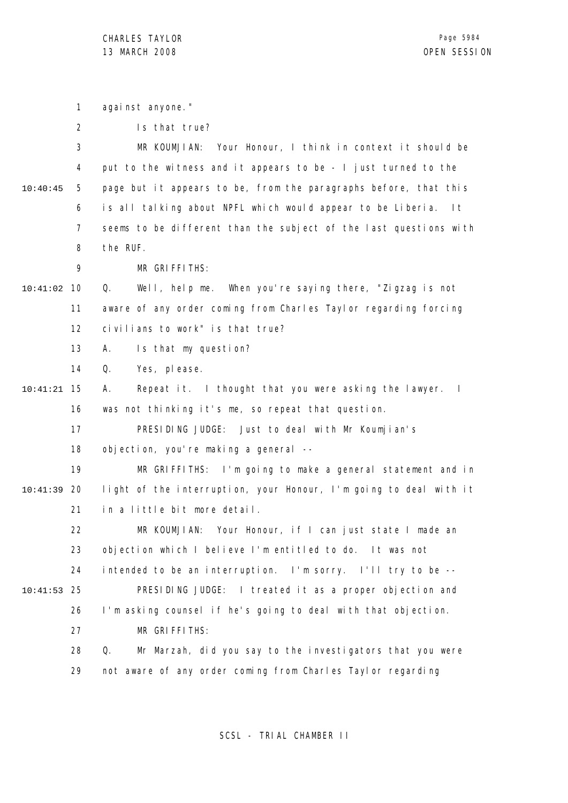1 against anyone."

3 4 5 6 7 8 10:40:45 MR KOUMJIAN: Your Honour, I think in context it should be put to the witness and it appears to be - I just turned to the page but it appears to be, from the paragraphs before, that this is all talking about NPFL which would appear to be Liberia. It seems to be different than the subject of the last questions with the RUF.

> 9 MR GRIFFITHS:

10 10:41:02 11 12 Q. Well, help me. When you're saying there, "Zigzag is not aware of any order coming from Charles Taylor regarding forcing civilians to work" is that true?

> 13 A. Is that my question?

14 Q. Yes, please.

15 10:41:21 16 A. Repeat it. I thought that you were asking the lawyer. I was not thinking it's me, so repeat that question.

17 PRESIDING JUDGE: Just to deal with Mr Koumjian's

18 objection, you're making a general --

19 20 10:41:39 21 MR GRIFFITHS: I'm going to make a general statement and in light of the interruption, your Honour, I'm going to deal with it in a little bit more detail.

22 23 24 25 10:41:53 26 27 28 MR KOUMJIAN: Your Honour, if I can just state I made an objection which I believe I'm entitled to do. It was not intended to be an interruption. I'm sorry. I'll try to be -- PRESIDING JUDGE: I treated it as a proper objection and I'm asking counsel if he's going to deal with that objection. MR GRIFFITHS: Q. Mr Marzah, did you say to the investigators that you were

> 29 not aware of any order coming from Charles Taylor regarding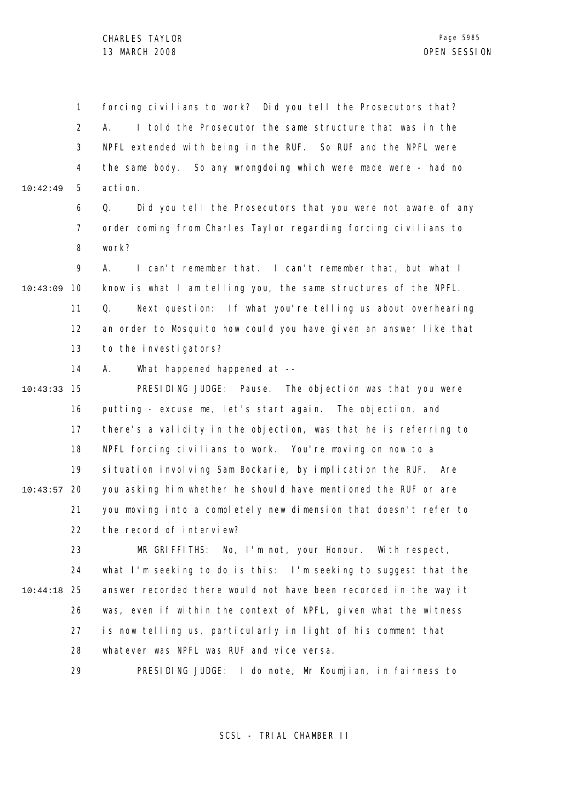1 2 3 4 5 10:42:49 forcing civilians to work? Did you tell the Prosecutors that? A. I told the Prosecutor the same structure that was in the NPFL extended with being in the RUF. So RUF and the NPFL were the same body. So any wrongdoing which were made were - had no action.

> 6 7 8 Q. Did you tell the Prosecutors that you were not aware of any order coming from Charles Taylor regarding forcing civilians to work?

 $\mathsf{o}$ 10 10:43:09 11 12 13 A. I can't remember that. I can't remember that, but what I know is what I am telling you, the same structures of the NPFL. Q. Next question: If what you're telling us about overhearing an order to Mosquito how could you have given an answer like that to the investigators?

> 14 A. What happened happened at --

15 10:43:33 16 17 18 19 20 10:43:57 21 22 PRESIDING JUDGE: Pause. The objection was that you were putting - excuse me, let's start again. The objection, and there's a validity in the objection, was that he is referring to NPFL forcing civilians to work. You're moving on now to a situation involving Sam Bockarie, by implication the RUF. Are you asking him whether he should have mentioned the RUF or are you moving into a completely new dimension that doesn't refer to the record of interview?

23 24 25 10:44:18 26 27 28 MR GRIFFITHS: No, I'm not, your Honour. With respect, what I'm seeking to do is this: I'm seeking to suggest that the answer recorded there would not have been recorded in the way it was, even if within the context of NPFL, given what the witness is now telling us, particularly in light of his comment that whatever was NPFL was RUF and vice versa.

> 29 PRESIDING JUDGE: I do note, Mr Koumjian, in fairness to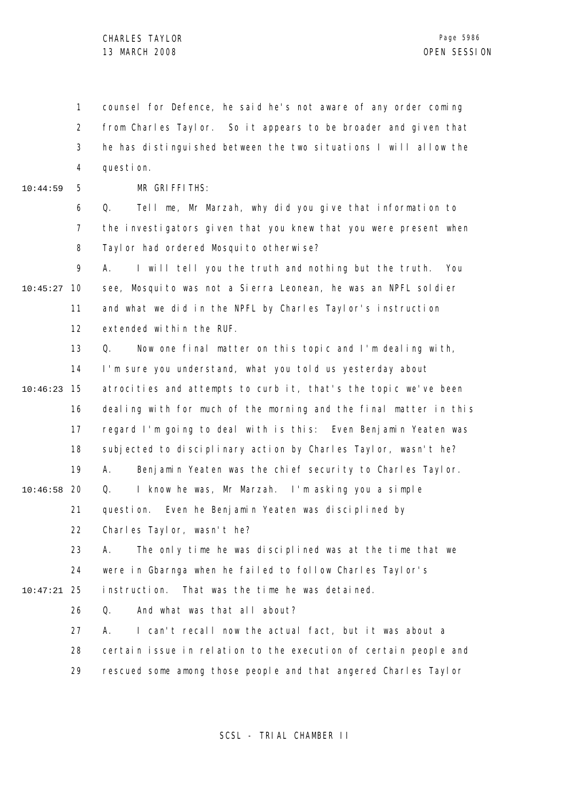1 2 3 4 counsel for Defence, he said he's not aware of any order coming from Charles Taylor. So it appears to be broader and given that he has distinguished between the two situations I will allow the question.

10:44:59

5

MR GRIFFITHS:

6 7 8 Q. Tell me, Mr Marzah, why did you give that information to the investigators given that you knew that you were present when Tayl or had ordered Mosquito otherwise?

9 10 10:45:27 11 12 A. I will tell you the truth and nothing but the truth. You see, Mosquito was not a Sierra Leonean, he was an NPFL soldier and what we did in the NPFL by Charles Taylor's instruction extended within the RUF.

13 14 15 10:46:23 16 17 18 19 20 10:46:58 21 22 23 24 25 10:47:21 26 27 28 Q. Now one final matter on this topic and I'm dealing with, I'm sure you understand, what you told us yesterday about atrocities and attempts to curb it, that's the topic we've been dealing with for much of the morning and the final matter in this regard I'm going to deal with is this: Even Benjamin Yeaten was subjected to disciplinary action by Charles Taylor, wasn't he? A. Benjamin Yeaten was the chief security to Charles Taylor. Q. I know he was, Mr Marzah. I'm asking you a simple question. Even he Benjamin Yeaten was disciplined by Charles Taylor, wasn't he? A. The only time he was disciplined was at the time that we were in Gbarnga when he failed to follow Charles Taylor's instruction. That was the time he was detained. Q. And what was that all about? A. I can't recall now the actual fact, but it was about a certain issue in relation to the execution of certain people and

> 29 rescued some among those people and that angered Charles Taylor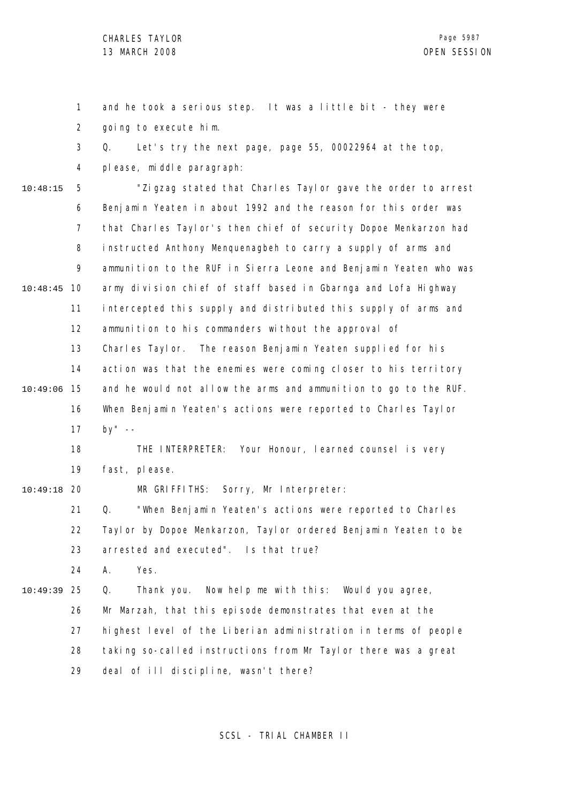1 2 and he took a serious step. It was a little bit - they were going to execute him.

3 Q. Let's try the next page, page 55, 00022964 at the top,

4 please, middle paragraph:

5 6 7 8 9 10 10:48:45 11 12 13 14 15 10:49:06 16 17 18 19 20 10:49:18 21 22 23 24 25 10:49:39 26 10:48:15 "Zigzag stated that Charles Taylor gave the order to arrest Benjamin Yeaten in about 1992 and the reason for this order was that Charles Taylor's then chief of security Dopoe Menkarzon had instructed Anthony Menquenagbeh to carry a supply of arms and ammunition to the RUF in Sierra Leone and Benjamin Yeaten who was army division chief of staff based in Gbarnga and Lofa Highway intercepted this supply and distributed this supply of arms and ammunition to his commanders without the approval of Charles Taylor. The reason Benjamin Yeaten supplied for his action was that the enemies were coming closer to his territory and he would not allow the arms and ammunition to go to the RUF. When Benjamin Yeaten's actions were reported to Charles Taylor by" -- THE INTERPRETER: Your Honour, learned counsel is very fast, please. MR GRIFFITHS: Sorry, Mr Interpreter: Q. "When Benjamin Yeaten's actions were reported to Charles Taylor by Dopoe Menkarzon, Taylor ordered Benjamin Yeaten to be arrested and executed". Is that true? A. Yes. Q. Thank you. Now help me with this: Would you agree, Mr Marzah, that this episode demonstrates that even at the

> 27 highest level of the Liberian administration in terms of people

> 28 taking so-called instructions from Mr Taylor there was a great

29 deal of ill discipline, wasn't there?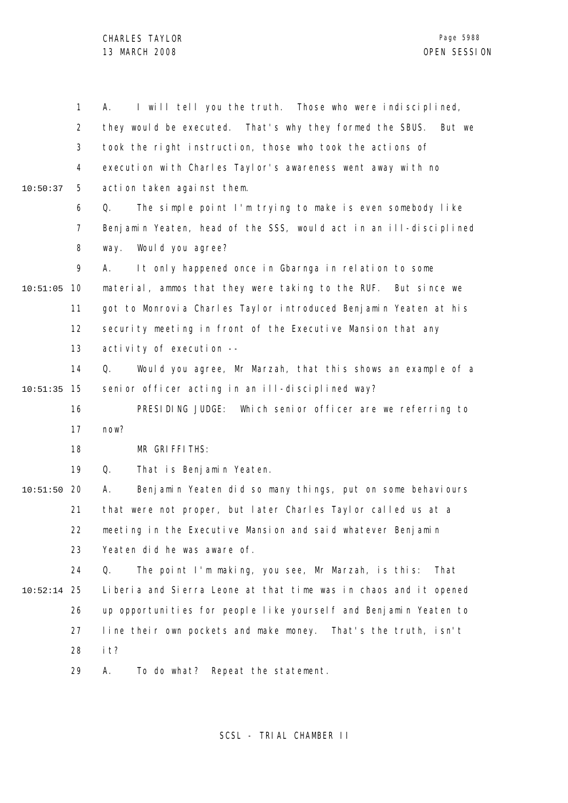1 2 3 4 5 6 7 8 9 10 10:51:05 11 12 13 14 15 10:51:35 16 17 18 19 20 10:51:50 21 22 23 24 25 10:52:14 26 27 28 29 10:50:37 A. I will tell you the truth. Those who were indisciplined, they would be executed. That's why they formed the SBUS. But we took the right instruction, those who took the actions of execution with Charles Taylor's awareness went away with no action taken against them. Q. The simple point I'm trying to make is even somebody like Benjamin Yeaten, head of the SSS, would act in an ill-disciplined way. Would you agree? A. It only happened once in Gbarnga in relation to some material, ammos that they were taking to the RUF. But since we got to Monrovia Charles Taylor introduced Benjamin Yeaten at his security meeting in front of the Executive Mansion that any activity of execution -- Q. Would you agree, Mr Marzah, that this shows an example of a senior officer acting in an ill-disciplined way? PRESIDING JUDGE: Which senior officer are we referring to now? MR GRIFFITHS: Q. That is Benjamin Yeaten. A. Benjamin Yeaten did so many things, put on some behaviours that were not proper, but later Charles Taylor called us at a meeting in the Executive Mansion and said whatever Benjamin Yeaten did he was aware of. Q. The point I'm making, you see, Mr Marzah, is this: That Liberia and Sierra Leone at that time was in chaos and it opened up opportunities for people like yourself and Benjamin Yeaten to line their own pockets and make money. That's the truth, isn't it? A. To do what? Repeat the statement.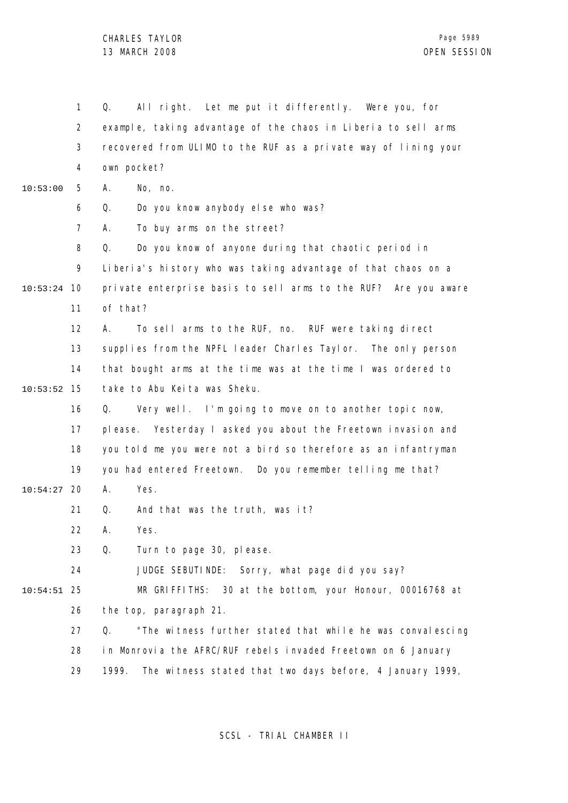1 2 3 4 5 6 7 8 9 10 10:53:24 11 12 13 14 15 10:53:52 16 17 18 19 20 10:54:27 21 22 23 24 25 10:54:51 26 27 28 29 10:53:00 Q. All right. Let me put it differently. Were you, for example, taking advantage of the chaos in Liberia to sell arms recovered from ULIMO to the RUF as a private way of lining your own pocket? A. No, no. Q. Do you know anybody else who was? A. To buy arms on the street? Q. Do you know of anyone during that chaotic period in Liberia's history who was taking advantage of that chaos on a private enterprise basis to sell arms to the RUF? Are you aware of that? A. To sell arms to the RUF, no. RUF were taking direct supplies from the NPFL leader Charles Taylor. The only person that bought arms at the time was at the time I was ordered to take to Abu Keita was Sheku. Q. Very well. I'm going to move on to another topic now, please. Yesterday I asked you about the Freetown invasion and you told me you were not a bird so therefore as an infantryman you had entered Freetown. Do you remember telling me that? A. Yes. Q. And that was the truth, was it? A. Yes. Q. Turn to page 30, please. JUDGE SEBUTINDE: Sorry, what page did you say? MR GRIFFITHS: 30 at the bottom, your Honour, 00016768 at the top, paragraph 21. Q. "The witness further stated that while he was convalescing in Monrovia the AFRC/RUF rebels invaded Freetown on 6 January 1999. The witness stated that two days before, 4 January 1999,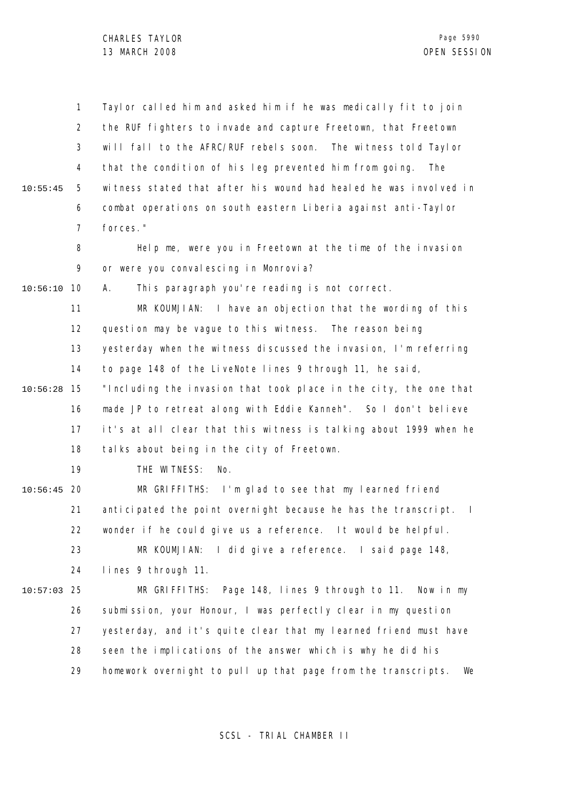1 2 3 4 5 6 7 8 9 10 10:56:10 11 12 13 14 15 10:56:28 16 17 18 19 20 10:56:45 21 22 23 24 25 10:57:03 26 27 28 29 10:55:45 Taylor called him and asked him if he was medically fit to join the RUF fighters to invade and capture Freetown, that Freetown will fall to the AFRC/RUF rebels soon. The witness told Taylor that the condition of his leg prevented him from going. The witness stated that after his wound had healed he was involved in combat operations on south eastern Liberia against anti-Taylor forces." Help me, were you in Freetown at the time of the invasion or were you convalescing in Monrovia? A. This paragraph you're reading is not correct. MR KOUMJIAN: I have an objection that the wording of this question may be vague to this witness. The reason being yesterday when the witness discussed the invasion, I'm referring to page 148 of the LiveNote lines 9 through 11, he said, "Including the invasion that took place in the city, the one that made JP to retreat along with Eddie Kanneh". So I don't believe it's at all clear that this witness is talking about 1999 when he talks about being in the city of Freetown. THE WITNESS: No. MR GRIFFITHS: I'm glad to see that my learned friend anticipated the point overnight because he has the transcript. I wonder if he could give us a reference. It would be helpful. MR KOUMJIAN: I did give a reference. I said page 148, lines 9 through 11. MR GRIFFITHS: Page 148, lines 9 through to 11. Now in my submission, your Honour, I was perfectly clear in my question yesterday, and it's quite clear that my learned friend must have seen the implications of the answer which is why he did his homework overnight to pull up that page from the transcripts. We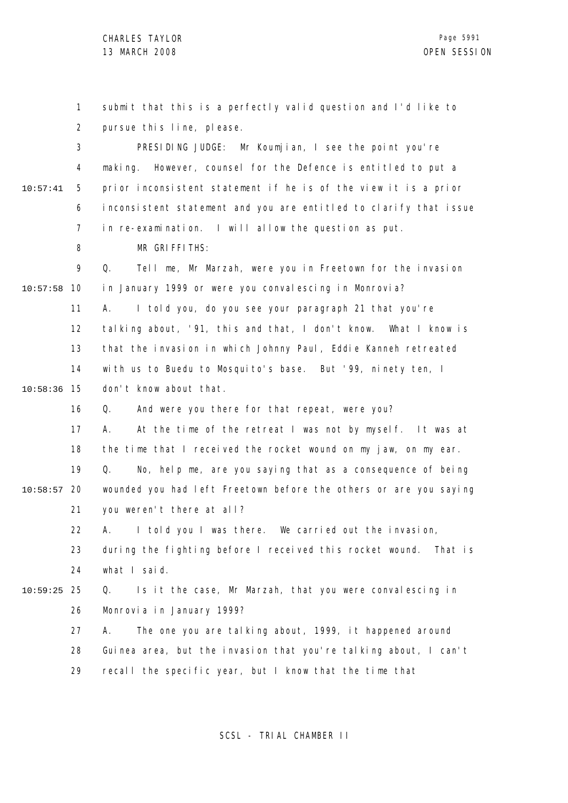1 2 3 4 5 6 7 8 9 10 10:57:58 11 12 13 14 15 10:58:36 16 17 18 19 20 10:58:57 21 22 23 24 25 10:59:25 26 27 28 29 10:57:41 submit that this is a perfectly valid question and I'd like to pursue this line, please. PRESIDING JUDGE: Mr Koumjian, I see the point you're making. However, counsel for the Defence is entitled to put a prior inconsistent statement if he is of the view it is a prior inconsistent statement and you are entitled to clarify that issue in re-examination. I will allow the question as put. MR GRIFFITHS: Q. Tell me, Mr Marzah, were you in Freetown for the invasion in January 1999 or were you convalescing in Monrovia? A. I told you, do you see your paragraph 21 that you're talking about, '91, this and that, I don't know. What I know is that the invasion in which Johnny Paul, Eddie Kanneh retreated with us to Buedu to Mosquito's base. But '99, ninety ten, I don't know about that. Q. And were you there for that repeat, were you? A. At the time of the retreat I was not by myself. It was at the time that I received the rocket wound on my jaw, on my ear. Q. No, help me, are you saying that as a consequence of being wounded you had left Freetown before the others or are you saying you weren't there at all? A. I told you I was there. We carried out the invasion, during the fighting before I received this rocket wound. That is what I said. Q. Is it the case, Mr Marzah, that you were convalescing in Monrovia in January 1999? A. The one you are talking about, 1999, it happened around Guinea area, but the invasion that you're talking about, I can't recall the specific year, but I know that the time that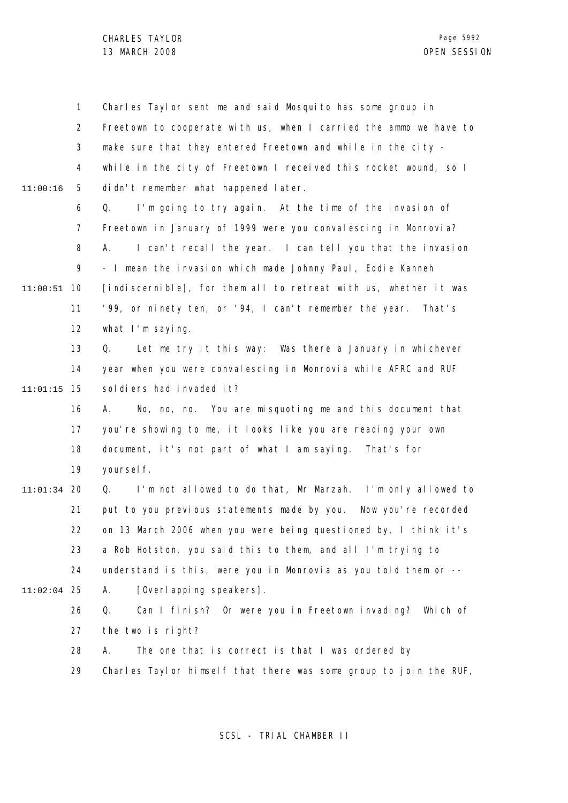1 2 3 4 5 6 7 8 9 10 11:00:51 11 12 13 14 15 11:01:15 16 17 18 19 20 11:01:34 21 22 23 24 25 11:02:04 26 27 28 29 11:00:16 Charles Taylor sent me and said Mosquito has some group in Freetown to cooperate with us, when I carried the ammo we have to make sure that they entered Freetown and while in the city while in the city of Freetown I received this rocket wound, so I didn't remember what happened later. Q. I'm going to try again. At the time of the invasion of Freetown in January of 1999 were you convalescing in Monrovia? A. I can't recall the year. I can tell you that the invasion - I mean the invasion which made Johnny Paul, Eddie Kanneh [indiscernible], for them all to retreat with us, whether it was '99, or ninety ten, or '94, I can't remember the year. That's what I'm saying. Q. Let me try it this way: Was there a January in whichever year when you were convalescing in Monrovia while AFRC and RUF sol diers had invaded it? A. No, no, no. You are misquoting me and this document that you're showing to me, it looks like you are reading your own document, it's not part of what I am saying. That's for voursel f. Q. I'm not allowed to do that, Mr Marzah. I'm only allowed to put to you previous statements made by you. Now you're recorded on 13 March 2006 when you were being questioned by, I think it's a Rob Hotston, you said this to them, and all I'm trying to understand is this, were you in Monrovia as you told them or -- A. [Overlapping speakers]. Q. Can I finish? Or were you in Freetown invading? Which of the two is right? A. The one that is correct is that I was ordered by Charles Taylor himself that there was some group to join the RUF,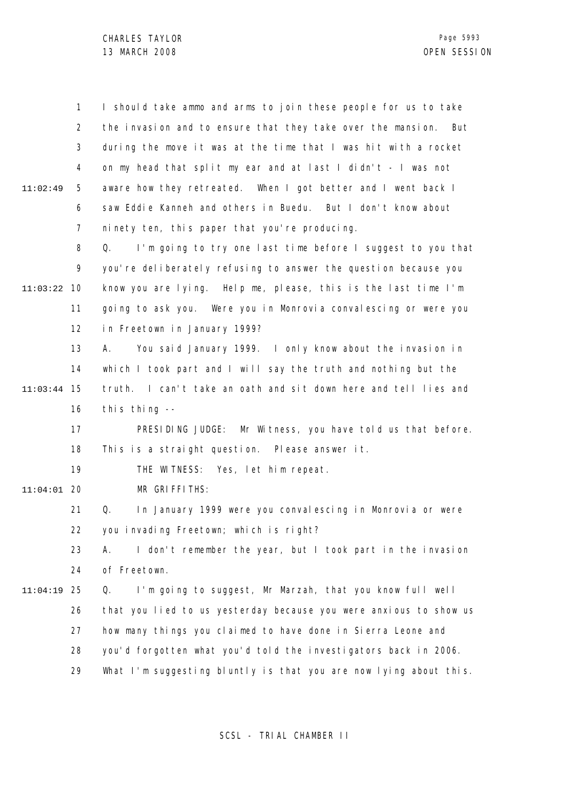1 2 3 4 5 6 7 8 9 10 11:03:22 11 12 13 14 15 11:03:44 16 17 18 19 20 11:04:01 21 22 23 24 25 11:04:19 26 27 28 29 11:02:49 I should take ammo and arms to join these people for us to take the invasion and to ensure that they take over the mansion. But during the move it was at the time that I was hit with a rocket on my head that split my ear and at last I didn't - I was not aware how they retreated. When I got better and I went back I saw Eddie Kanneh and others in Buedu. But I don't know about ninety ten, this paper that you're producing. Q. I'm going to try one last time before I suggest to you that you're deliberately refusing to answer the question because you know you are lying. Help me, please, this is the last time I'm going to ask you. Were you in Monrovia convalescing or were you in Freetown in January 1999? A. You said January 1999. I only know about the invasion in which I took part and I will say the truth and nothing but the truth. I can't take an oath and sit down here and tell lies and this thing  $-$ PRESIDING JUDGE: Mr Witness, you have told us that before. This is a straight question. Please answer it. THE WITNESS: Yes, let him repeat. MR GRIFFITHS: Q. In January 1999 were you convalescing in Monrovia or were you invading Freetown; which is right? A. I don't remember the year, but I took part in the invasion of Freetown. Q. I'm going to suggest, Mr Marzah, that you know full well that you lied to us yesterday because you were anxious to show us how many things you claimed to have done in Sierra Leone and you'd forgotten what you'd told the investigators back in 2006. What I'm suggesting bluntly is that you are now lying about this.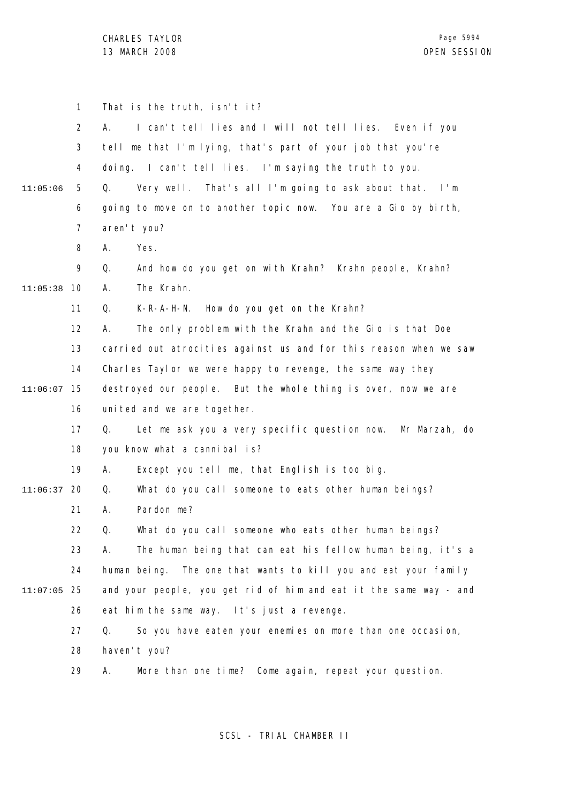|               | $\mathbf{1}$   | That is the truth, isn't it?                                        |
|---------------|----------------|---------------------------------------------------------------------|
|               | $\overline{2}$ | I can't tell lies and I will not tell lies. Even if you<br>А.       |
|               | 3              | tell me that I'm lying, that's part of your job that you're         |
|               | 4              | doing. I can't tell lies. I'm saying the truth to you.              |
| 11:05:06      | 5              | Very well. That's all I'm going to ask about that. I'm<br>Q.        |
|               | 6              | going to move on to another topic now. You are a Gio by birth,      |
|               | $\overline{7}$ | aren't you?                                                         |
|               | 8              | Α.<br>Yes.                                                          |
|               | 9              | Q.<br>And how do you get on with Krahn? Krahn people, Krahn?        |
| 11:05:38      | 10             | The Krahn.<br>А.                                                    |
|               | 11             | K-R-A-H-N. How do you get on the Krahn?<br>Q.                       |
|               | 12             | The only problem with the Krahn and the Gio is that Doe<br>А.       |
|               | 13             | carried out atrocities against us and for this reason when we saw   |
|               | 14             | Charles Taylor we were happy to revenge, the same way they          |
| 11:06:07      | 15             | destroyed our people. But the whole thing is over, now we are       |
|               | 16             | united and we are together.                                         |
|               | 17             | Let me ask you a very specific question now. Mr Marzah, do<br>Q.    |
|               | 18             | you know what a cannibal is?                                        |
|               | 19             | Α.<br>Except you tell me, that English is too big.                  |
| 11:06:37      | 20             | What do you call someone to eats other human beings?<br>Q.          |
|               | 21             | Pardon me?<br>Α.                                                    |
|               | 22.            | What do you call someone who eats other human beings?<br>$\Omega$ . |
|               | 23             | А.<br>The human being that can eat his fellow human being, it's a   |
|               | 24             | human being. The one that wants to kill you and eat your family     |
| $11:07:05$ 25 |                | and your people, you get rid of him and eat it the same way - and   |
|               | 26             | eat him the same way. It's just a revenge.                          |
|               | 27             | Q.<br>So you have eaten your enemies on more than one occasion,     |
|               | 28             | haven't you?                                                        |
|               | 29             | More than one time? Come again, repeat your question.<br>Α.         |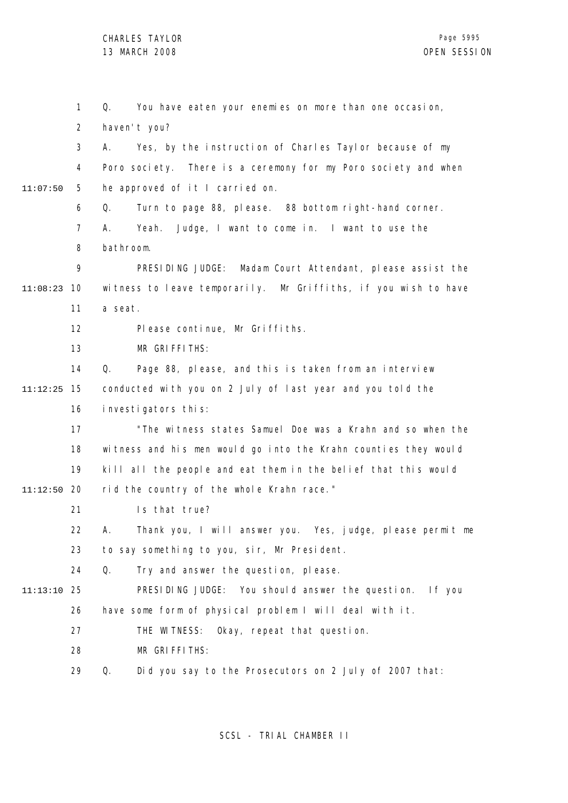1 2 3 4 5 6 7 8 9 10 11:08:23 11 12 13 14 15 11:12:25 16 17 18 19 20 11:12:50 21 22 23 24 25 11:13:10 26 27 28 29 11:07:50 Q. You have eaten your enemies on more than one occasion, haven't you? A. Yes, by the instruction of Charles Taylor because of my Poro society. There is a ceremony for my Poro society and when he approved of it I carried on. Q. Turn to page 88, please. 88 bottom right-hand corner. A. Yeah. Judge, I want to come in. I want to use the bathroom. PRESIDING JUDGE: Madam Court Attendant, please assist the witness to leave temporarily. Mr Griffiths, if you wish to have a seat. Please continue, Mr Griffiths. MR GRIFFITHS: Q. Page 88, please, and this is taken from an interview conducted with you on 2 July of last year and you told the investigators this: "The witness states Samuel Doe was a Krahn and so when the witness and his men would go into the Krahn counties they would kill all the people and eat them in the belief that this would rid the country of the whole Krahn race." Is that true? A. Thank you, I will answer you. Yes, judge, please permit me to say something to you, sir, Mr President. Q. Try and answer the question, please. PRESIDING JUDGE: You should answer the question. If you have some form of physical problem I will deal with it. THE WITNESS: Okay, repeat that question. MR GRIFFITHS: Q. Did you say to the Prosecutors on 2 July of 2007 that: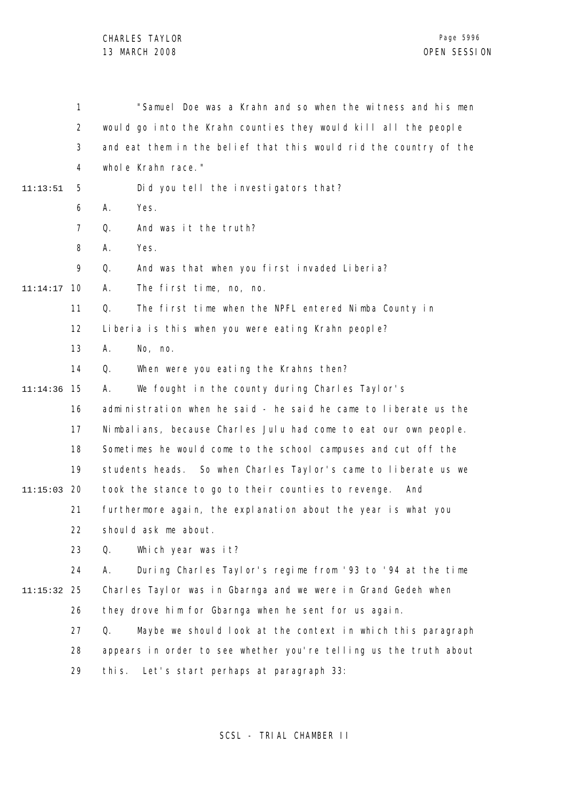1 2 3 4 5 6 7 8  $\mathsf{o}$ 10 11:14:17 11 12 13 14 15 11:14:36 16 17 18 19 20 11:15:03 21 22 23 24 25 11:15:32 26 27 28 29 11:13:51 "Samuel Doe was a Krahn and so when the witness and his men would go into the Krahn counties they would kill all the people and eat them in the belief that this would rid the country of the whole Krahn race." Did you tell the investigators that? A. Yes. Q. And was it the truth? A. Yes. Q. And was that when you first invaded Liberia? A. The first time, no, no. Q. The first time when the NPFL entered Nimba County in Liberia is this when you were eating Krahn people? A. No, no. Q. When were you eating the Krahns then? A. We fought in the county during Charles Taylor's administration when he said - he said he came to liberate us the Nimbalians, because Charles Julu had come to eat our own people. Sometimes he would come to the school campuses and cut off the students heads. So when Charles Taylor's came to liberate us we took the stance to go to their counties to revenge. And furthermore again, the explanation about the year is what you should ask me about. Q. Which year was it? A. During Charles Taylor's regime from '93 to '94 at the time Charles Taylor was in Gbarnga and we were in Grand Gedeh when they drove him for Gbarnga when he sent for us again. Q. Maybe we should look at the context in which this paragraph appears in order to see whether you're telling us the truth about this. Let's start perhaps at paragraph 33: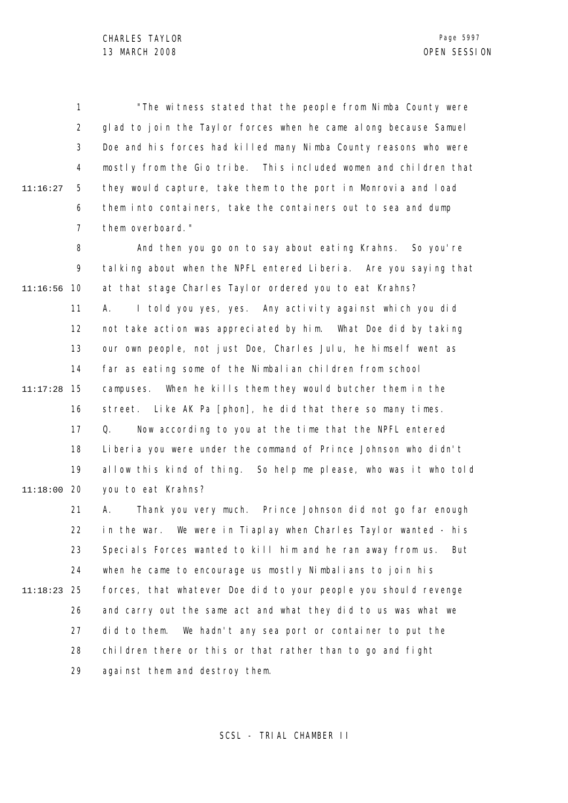1 2 3 4 5 6 7 11:16:27 "The witness stated that the people from Nimba County were glad to join the Taylor forces when he came along because Samuel Doe and his forces had killed many Nimba County reasons who were mostly from the Gio tribe. This included women and children that they would capture, take them to the port in Monrovia and load them into containers, take the containers out to sea and dump them overboard."

8 9 10 11:16:56 11 12 13 14 15 11:17:28 16 17 18 19 20 11:18:00 And then you go on to say about eating Krahns. So you're talking about when the NPFL entered Liberia. Are you saying that at that stage Charles Taylor ordered you to eat Krahns? A. I told you yes, yes. Any activity against which you did not take action was appreciated by him. What Doe did by taking our own people, not just Doe, Charles Julu, he himself went as far as eating some of the Nimbalian children from school campuses. When he kills them they would butcher them in the street. Like AK Pa [phon], he did that there so many times. Q. Now according to you at the time that the NPFL entered Liberia you were under the command of Prince Johnson who didn't allow this kind of thing. So help me please, who was it who told you to eat Krahns?

21 22 23 24 25 11:18:23 26 27 28 29 A. Thank you very much. Prince Johnson did not go far enough in the war. We were in Tiaplay when Charles Taylor wanted - his Specials Forces wanted to kill him and he ran away from us. But when he came to encourage us mostly Nimbalians to join his forces, that whatever Doe did to your people you should revenge and carry out the same act and what they did to us was what we did to them. We hadn't any sea port or container to put the children there or this or that rather than to go and fight against them and destroy them.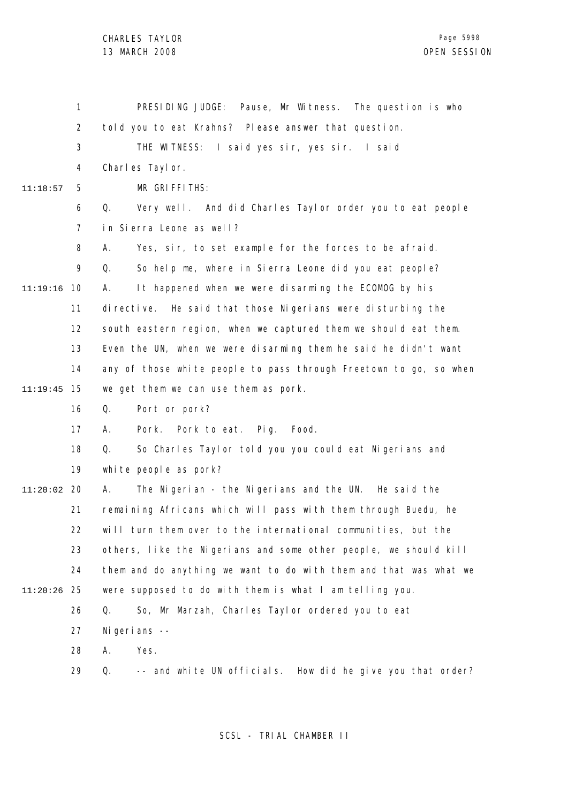1 2 3 4 5 6 7 8 9 10 11:19:16 11 12 13 14 15 11:19:45 16 17 18 19 20 11:20:02 21 22 23 24 25 11:20:26 26 27 28 29 11:18:57 PRESIDING JUDGE: Pause, Mr Witness. The question is who told you to eat Krahns? Please answer that question. THE WITNESS: I said yes sir, yes sir. I said Charles Taylor. MR GRIFFITHS: Q. Very well. And did Charles Taylor order you to eat people in Sierra Leone as well? A. Yes, sir, to set example for the forces to be afraid. Q. So help me, where in Sierra Leone did you eat people? A. It happened when we were disarming the ECOMOG by his directive. He said that those Nigerians were disturbing the south eastern region, when we captured them we should eat them. Even the UN, when we were disarming them he said he didn't want any of those white people to pass through Freetown to go, so when we get them we can use them as pork. Q. Port or pork? A. Pork. Pork to eat. Pig. Food. Q. So Charles Taylor told you you could eat Nigerians and white people as pork? A. The Nigerian - the Nigerians and the UN. He said the remaining Africans which will pass with them through Buedu, he will turn them over to the international communities, but the others, like the Nigerians and some other people, we should kill them and do anything we want to do with them and that was what we were supposed to do with them is what I am telling you. Q. So, Mr Marzah, Charles Taylor ordered you to eat Nigerians -- A. Yes. Q. -- and white UN officials. How did he give you that order?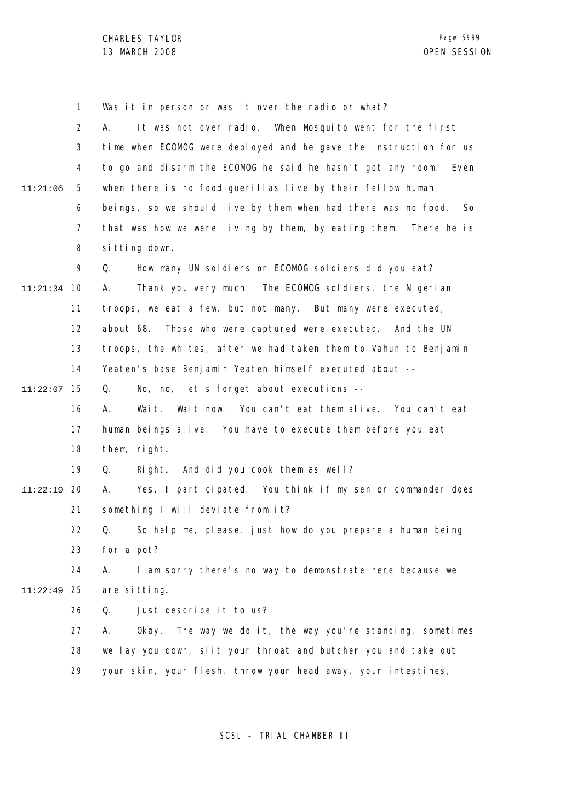1 2 3 4 5 6 7 8 9 10 11:21:34 11 12 13 14 15 11:22:07 16 17 18 19 20 11:22:19 21 22 23 24 25 11:22:49 26 27 28 29 11:21:06 Was it in person or was it over the radio or what? A. It was not over radio. When Mosquito went for the first time when ECOMOG were deployed and he gave the instruction for us to go and disarm the ECOMOG he said he hasn't got any room. Even when there is no food querillas live by their fellow human beings, so we should live by them when had there was no food. So that was how we were living by them, by eating them. There he is sitting down. Q. How many UN soldiers or ECOMOG soldiers did you eat? A. Thank you very much. The ECOMOG soldiers, the Nigerian troops, we eat a few, but not many. But many were executed, about 68. Those who were captured were executed. And the UN troops, the whites, after we had taken them to Vahun to Benjamin Yeaten's base Benjamin Yeaten himself executed about --Q. No, no, let's forget about executions -- A. Wait. Wait now. You can't eat them alive. You can't eat human beings alive. You have to execute them before you eat them, right. Q. Right. And did you cook them as well? A. Yes, I participated. You think if my senior commander does something I will deviate from it? Q. So help me, please, just how do you prepare a human being for a pot? A. I am sorry there's no way to demonstrate here because we are sitting. Q. Just describe it to us? A. Okay. The way we do it, the way you're standing, sometimes we lay you down, slit your throat and butcher you and take out your skin, your flesh, throw your head away, your intestines,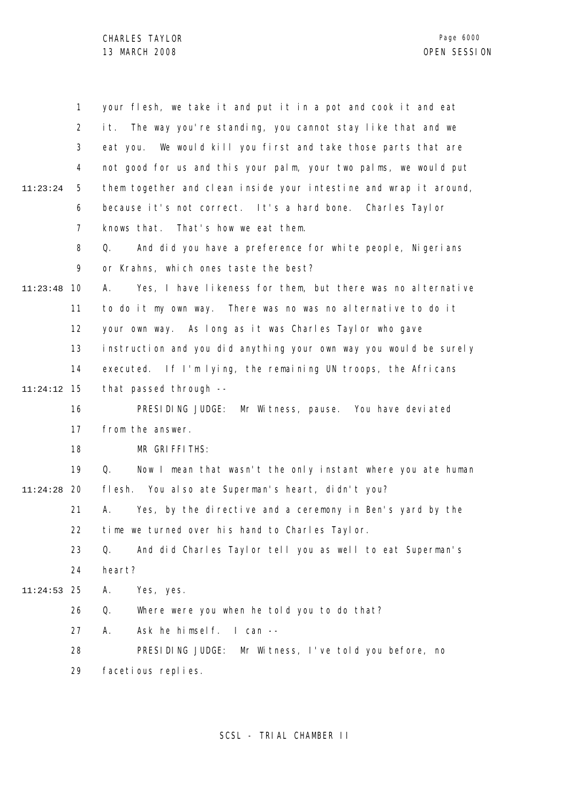|          | 1              | your flesh, we take it and put it in a pot and cook it and eat    |
|----------|----------------|-------------------------------------------------------------------|
|          | $\overline{2}$ | The way you're standing, you cannot stay like that and we<br>it.  |
|          | 3              | We would kill you first and take those parts that are<br>eat you. |
|          | 4              | not good for us and this your palm, your two palms, we would put  |
| 11:23:24 | 5              | them together and clean inside your intestine and wrap it around, |
|          | 6              | because it's not correct. It's a hard bone. Charles Taylor        |
|          | 7              | knows that. That's how we eat them.                               |
|          | 8              | And did you have a preference for white people, Nigerians<br>Q.   |
|          | 9              | or Krahns, which ones taste the best?                             |
| 11:23:48 | 10             | Yes, I have likeness for them, but there was no alternative<br>А. |
|          | 11             | to do it my own way. There was no was no alternative to do it     |
|          | 12             | your own way. As long as it was Charles Taylor who gave           |
|          | 13             | instruction and you did anything your own way you would be surely |
|          | 14             | executed. If I'm Iying, the remaining UN troops, the Africans     |
| 11:24:12 | 15             | that passed through --                                            |
|          | 16             | PRESIDING JUDGE: Mr Witness, pause. You have deviated             |
|          | 17             | from the answer.                                                  |
|          | 18             | MR GRIFFITHS:                                                     |
|          | 19             | Q.<br>Now I mean that wasn't the only instant where you ate human |
| 11:24:28 | -20            | flesh. You also ate Superman's heart, didn't you?                 |
|          | 21             | Yes, by the directive and a ceremony in Ben's yard by the<br>А.   |
|          | 22             | time we turned over his hand to Charles Taylor.                   |
|          | 23             | And did Charles Taylor tell you as well to eat Superman's<br>Q.   |
|          | 24             | heart?                                                            |
| 11:24:53 | 25             | Α.<br>Yes, yes.                                                   |
|          | 26             | Q.<br>Where were you when he told you to do that?                 |
|          | 27             | Ask he himself. I can --<br>А.                                    |
|          | 28             | PRESIDING JUDGE: Mr Witness, I've told you before, no             |
|          | 29             | facetious replies.                                                |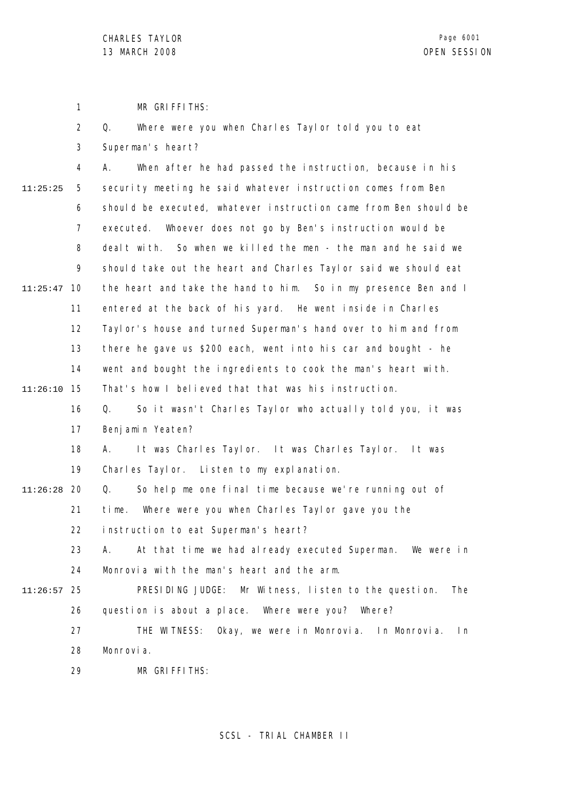1 MR GRIFFITHS:

|          | $\overline{2}$ | Where were you when Charles Taylor told you to eat<br>Q.         |
|----------|----------------|------------------------------------------------------------------|
|          | 3              | Superman's heart?                                                |
|          | 4              | When after he had passed the instruction, because in his<br>А.   |
| 11:25:25 | 5              | security meeting he said whatever instruction comes from Ben     |
|          | 6              | should be executed, whatever instruction came from Ben should be |
|          | 7              | Whoever does not go by Ben's instruction would be<br>executed.   |
|          | 8              | dealt with. So when we killed the men - the man and he said we   |
|          | 9              | should take out the heart and Charles Taylor said we should eat  |
| 11:25:47 | 10             | the heart and take the hand to him. So in my presence Ben and I  |
|          | 11             | entered at the back of his yard. He went inside in Charles       |
|          | 12             | Taylor's house and turned Superman's hand over to him and from   |
|          | 13             | there he gave us \$200 each, went into his car and bought - he   |
|          | 14             | went and bought the ingredients to cook the man's heart with.    |
| 11:26:10 | 15             | That's how I believed that that was his instruction.             |
|          | 16             | Q.<br>So it wasn't Charles Taylor who actually told you, it was  |
|          | 17             | Benjamin Yeaten?                                                 |
|          | 18             | It was Charles Taylor. It was Charles Taylor. It was<br>А.       |
|          | 19             | Charles Taylor. Listen to my explanation.                        |
| 11:26:28 | 20             | So help me one final time because we're running out of<br>Q.     |
|          | 21             | Where were you when Charles Taylor gave you the<br>time.         |
|          | 22             | instruction to eat Superman's heart?                             |
|          | 23             | At that time we had already executed Superman. We were in<br>Α.  |
|          | 24             | Monrovia with the man's heart and the arm.                       |
| 11:26:57 | 25             | PRESIDING JUDGE: Mr Witness, listen to the question.<br>The      |
|          | 26             | question is about a place. Where were you? Where?                |
|          | 27             | THE WITNESS: Okay, we were in Monrovia. In Monrovia.<br>In       |
|          | 28             | Monrovia.                                                        |
|          | 29             | MR GRIFFITHS:                                                    |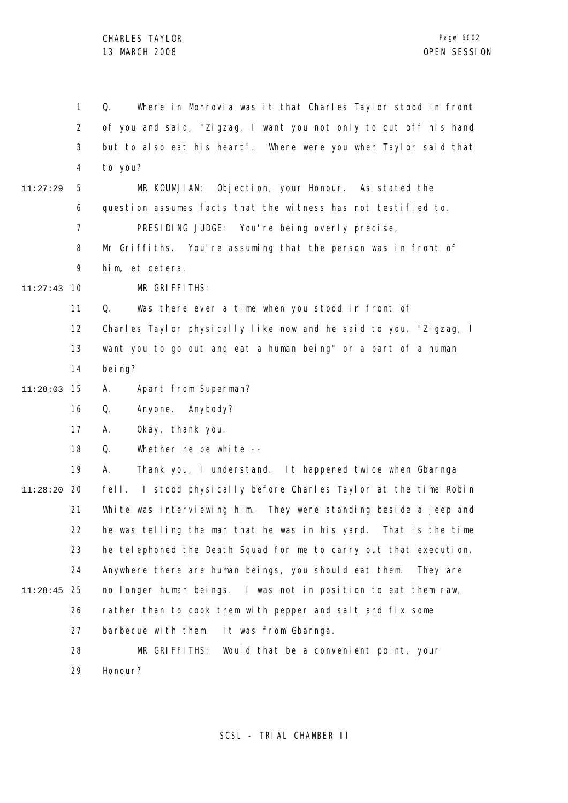1 2 3 4 5 6 7 8 9 10 11:27:43 11 12 13 14 15 11:28:03 16 17 18 19 20 11:28:20 21 22 23 24 25 11:28:45 26 27 28 11:27:29 Q. Where in Monrovia was it that Charles Taylor stood in front of you and said, "Zigzag, I want you not only to cut off his hand but to also eat his heart". Where were you when Taylor said that to you? MR KOUMJIAN: Objection, your Honour. As stated the question assumes facts that the witness has not testified to. PRESIDING JUDGE: You're being overly precise, Mr Griffiths. You're assuming that the person was in front of him, et cetera. MR GRIFFITHS: Q. Was there ever a time when you stood in front of Charles Taylor physically like now and he said to you, "Zigzag, I want you to go out and eat a human being" or a part of a human bei ng? A. Apart from Superman? Q. Anyone. Anybody? A. Okay, thank you. Q. Whether he be white -- A. Thank you, I understand. It happened twice when Gbarnga fell. I stood physically before Charles Taylor at the time Robin White was interviewing him. They were standing beside a jeep and he was telling the man that he was in his yard. That is the time he telephoned the Death Squad for me to carry out that execution. Anywhere there are human beings, you should eat them. They are no longer human beings. I was not in position to eat them raw, rather than to cook them with pepper and salt and fix some barbecue with them. It was from Gbarnga. MR GRIFFITHS: Would that be a convenient point, your

> 29 Honour?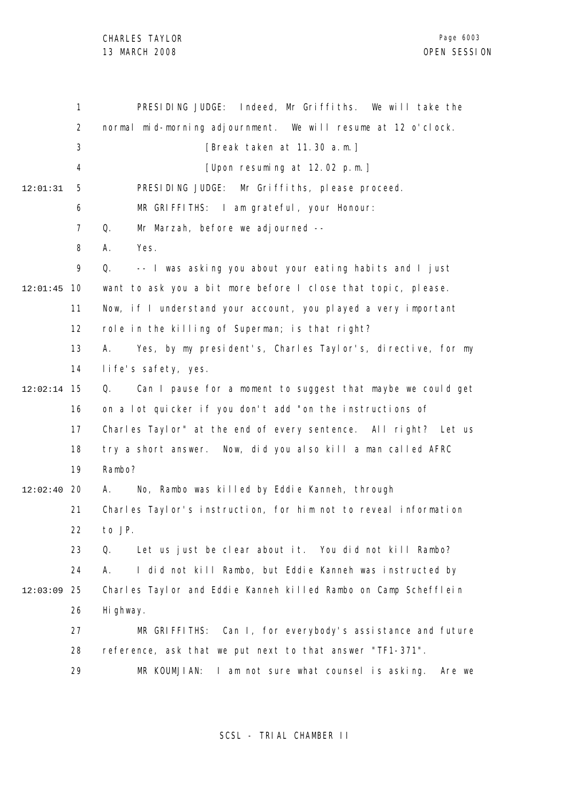|          | $\mathbf{1}$   | PRESIDING JUDGE: Indeed, Mr Griffiths. We will take the           |
|----------|----------------|-------------------------------------------------------------------|
|          | $\overline{2}$ | normal mid-morning adjournment. We will resume at 12 o'clock.     |
|          | 3              | [Break taken at 11.30 a.m.]                                       |
|          | 4              | [Upon resuming at 12.02 p.m.]                                     |
| 12:01:31 | 5              | PRESIDING JUDGE:<br>Mr Griffiths, please proceed.                 |
|          | 6              | MR GRIFFITHS: I am grateful, your Honour:                         |
|          | $\overline{7}$ | Mr Marzah, before we adjourned --<br>Q.                           |
|          | 8              | Yes.<br>А.                                                        |
|          | 9              | -- I was asking you about your eating habits and I just<br>Q.     |
| 12:01:45 | 10             | want to ask you a bit more before I close that topic, please.     |
|          | 11             | Now, if I understand your account, you played a very important    |
|          | 12             | role in the killing of Superman; is that right?                   |
|          | 13             | Yes, by my president's, Charles Taylor's, directive, for my<br>А. |
|          | 14             | life's safety, yes.                                               |
| 12:02:14 | 15             | Q.<br>Can I pause for a moment to suggest that maybe we could get |
|          | 16             | on a lot quicker if you don't add "on the instructions of         |
|          | 17             | Charles Taylor" at the end of every sentence. All right? Let us   |
|          | 18             | try a short answer. Now, did you also kill a man called AFRC      |
|          | 19             | Rambo?                                                            |
| 12:02:40 | 20             | No, Rambo was killed by Eddie Kanneh, through<br>А.               |
|          | 21             | Charles Taylor's instruction, for him not to reveal information   |
|          | 22             | to JP.                                                            |
|          | 23             | Let us just be clear about it. You did not kill Rambo?<br>Q.      |
|          | 24             | I did not kill Rambo, but Eddie Kanneh was instructed by<br>А.    |
| 12:03:09 | 25             | Charles Taylor and Eddie Kanneh killed Rambo on Camp Schefflein   |
|          | 26             | Hi ghway.                                                         |
|          | 27             | MR GRIFFITHS: Can I, for everybody's assistance and future        |
|          | 28             | reference, ask that we put next to that answer "TF1-371".         |
|          | 29             | I am not sure what counsel is asking.<br>MR KOUMJIAN:<br>Are we   |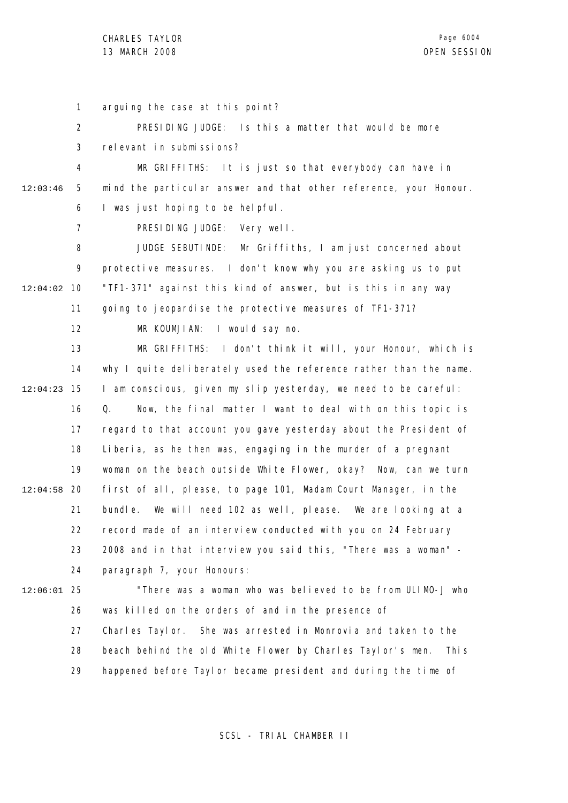1 2 3 4 5 6 7 8 9 10 12:04:02 11 12 13 14 15 12:04:23 16 17 18 19 12:04:58 20 21 22 23 24 25 12:06:01 26 27 28 29 12:03:46 arguing the case at this point? PRESIDING JUDGE: Is this a matter that would be more relevant in submissions? MR GRIFFITHS: It is just so that everybody can have in mind the particular answer and that other reference, your Honour. I was just hoping to be helpful. PRESIDING JUDGE: Very well. JUDGE SEBUTINDE: Mr Griffiths, I am just concerned about protective measures. I don't know why you are asking us to put "TF1-371" against this kind of answer, but is this in any way going to jeopardise the protective measures of TF1-371? MR KOUMJIAN: I would say no. MR GRIFFITHS: I don't think it will, your Honour, which is why I quite deliberately used the reference rather than the name. I am conscious, given my slip yesterday, we need to be careful: Q. Now, the final matter I want to deal with on this topic is regard to that account you gave yesterday about the President of Liberia, as he then was, engaging in the murder of a pregnant woman on the beach outside White Flower, okay? Now, can we turn first of all, please, to page 101, Madam Court Manager, in the bundle. We will need 102 as well, please. We are looking at a record made of an interview conducted with you on 24 February 2008 and in that interview you said this, "There was a woman" paragraph 7, your Honours: "There was a woman who was believed to be from ULIMO-J who was killed on the orders of and in the presence of Charles Taylor. She was arrested in Monrovia and taken to the beach behind the old White Flower by Charles Taylor's men. This happened before Taylor became president and during the time of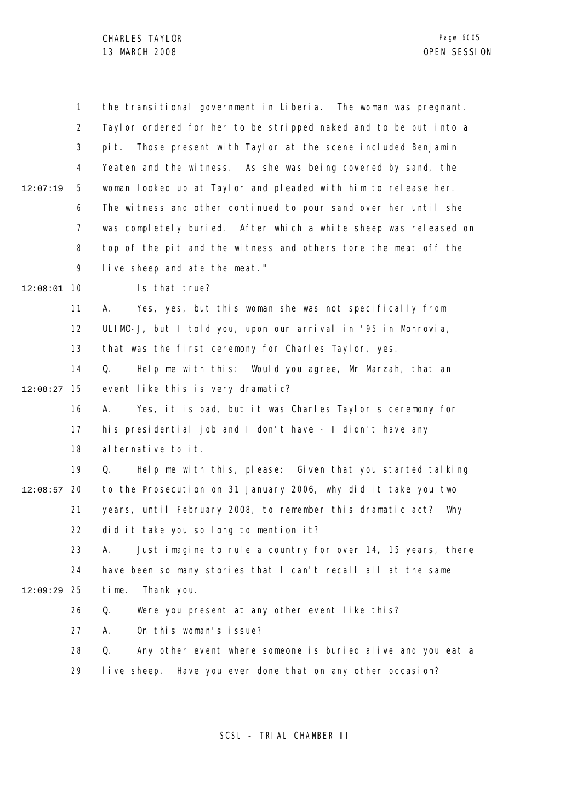|          | 1              | the transitional government in Liberia. The woman was pregnant.   |
|----------|----------------|-------------------------------------------------------------------|
|          | $\overline{2}$ | Taylor ordered for her to be stripped naked and to be put into a  |
|          | 3              | Those present with Taylor at the scene included Benjamin<br>pi t. |
|          | 4              | Yeaten and the witness. As she was being covered by sand, the     |
| 12:07:19 | 5              | woman looked up at Taylor and pleaded with him to release her.    |
|          | 6              | The witness and other continued to pour sand over her until she   |
|          | 7              | was completely buried. After which a white sheep was released on  |
|          | 8              | top of the pit and the witness and others tore the meat off the   |
|          | 9              | live sheep and ate the meat."                                     |
| 12:08:01 | 10             | Is that true?                                                     |
|          | 11             | Yes, yes, but this woman she was not specifically from<br>А.      |
|          | 12             | ULIMO-J, but I told you, upon our arrival in '95 in Monrovia,     |
|          | 13             | that was the first ceremony for Charles Taylor, yes.              |
|          | 14             | Help me with this: Would you agree, Mr Marzah, that an<br>Q.      |
| 12:08:27 | 15             | event like this is very dramatic?                                 |
|          | 16             | Yes, it is bad, but it was Charles Taylor's ceremony for<br>А.    |
|          | 17             | his presidential job and I don't have - I didn't have any         |
|          | 18             | al ternative to it.                                               |
|          | 19             | Help me with this, please: Given that you started talking<br>Q.   |
| 12:08:57 | 20             | to the Prosecution on 31 January 2006, why did it take you two    |
|          | 21             | years, until February 2008, to remember this dramatic act?<br>Why |
|          | 22             | did it take you so long to mention it?                            |
|          | 23             | Just imagine to rule a country for over 14, 15 years, there<br>А. |
|          | 24             | have been so many stories that I can't recall all at the same     |
| 12:09:29 | 25             | Thank you.<br>time.                                               |
|          | 26             | Q.<br>Were you present at any other event like this?              |
|          | 27             | On this woman's issue?<br>А.                                      |
|          | 28             | Any other event where someone is buried alive and you eat a<br>Q. |
|          | 29             | live sheep. Have you ever done that on any other occasion?        |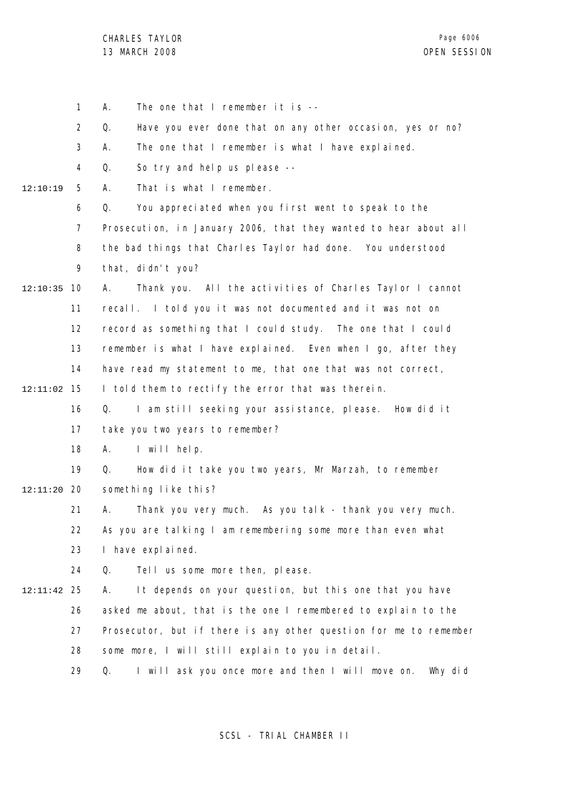|          | $\mathbf{1}$ | The one that I remember it is $--$<br>А.                          |
|----------|--------------|-------------------------------------------------------------------|
|          | 2            | Q.<br>Have you ever done that on any other occasion, yes or no?   |
|          | 3            | The one that I remember is what I have explained.<br>А.           |
|          | 4            | So try and help us please --<br>Q.                                |
| 12:10:19 | 5            | That is what I remember.<br>А.                                    |
|          | 6            | You appreciated when you first went to speak to the<br>Q.         |
|          | 7            | Prosecution, in January 2006, that they wanted to hear about all  |
|          | 8            | the bad things that Charles Taylor had done. You understood       |
|          | 9            | that, didn't you?                                                 |
| 12:10:35 | 10           | Thank you. All the activities of Charles Taylor I cannot<br>А.    |
|          | 11           | recall. I told you it was not documented and it was not on        |
|          | 12           | record as something that I could study. The one that I could      |
|          | 13           | remember is what I have explained. Even when I go, after they     |
|          | 14           | have read my statement to me, that one that was not correct,      |
| 12:11:02 | 15           | I told them to rectify the error that was therein.                |
|          | 16           | I am still seeking your assistance, please. How did it<br>Q.      |
|          | 17           | take you two years to remember?                                   |
|          | 18           | I will help.<br>А.                                                |
|          | 19           | How did it take you two years, Mr Marzah, to remember<br>Q.       |
| 12:11:20 | 20           | something like this?                                              |
|          | 21           | Thank you very much. As you talk - thank you very much.<br>А.     |
|          | 22           | As you are talking I am remembering some more than even what      |
|          | 23           | I have expl ai ned.                                               |
|          | 24           | Q.<br>Tell us some more then, please.                             |
| 12:11:42 | 25           | It depends on your question, but this one that you have<br>А.     |
|          | 26           | asked me about, that is the one I remembered to explain to the    |
|          | 27           | Prosecutor, but if there is any other question for me to remember |
|          | 28           | some more, I will still explain to you in detail.                 |
|          | 29           | I will ask you once more and then I will move on. Why did<br>Q.   |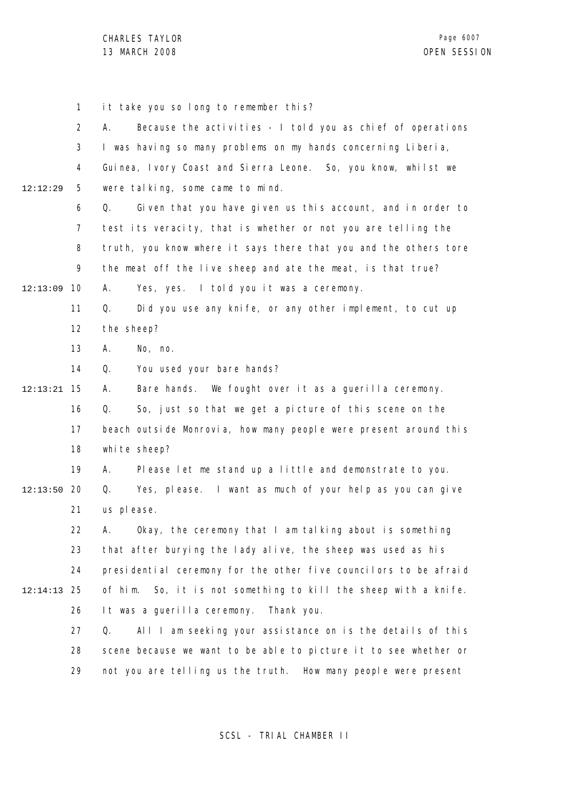1 2 3 4 5 6 7 8 9 10 12:13:09 11 12 13 14 15 12:13:21 16 17 18 19 12:13:50 20 21 22 23 24 25 12:14:13 26 27 28 29 12:12:29 it take you so long to remember this? A. Because the activities - I told you as chief of operations I was having so many problems on my hands concerning Liberia, Guinea, Ivory Coast and Sierra Leone. So, you know, whilst we were talking, some came to mind. Q. Given that you have given us this account, and in order to test its veracity, that is whether or not you are telling the truth, you know where it says there that you and the others tore the meat off the live sheep and ate the meat, is that true? A. Yes, yes. I told you it was a ceremony. Q. Did you use any knife, or any other implement, to cut up the sheep? A. No, no. Q. You used your bare hands? A. Bare hands. We fought over it as a guerilla ceremony. Q. So, just so that we get a picture of this scene on the beach outside Monrovia, how many people were present around this white sheep? A. Please let me stand up a little and demonstrate to you. Q. Yes, please. I want as much of your help as you can give us please. A. Okay, the ceremony that I am talking about is something that after burying the lady alive, the sheep was used as his presidential ceremony for the other five councilors to be afraid of him. So, it is not something to kill the sheep with a knife. It was a guerilla ceremony. Thank you. Q. All I am seeking your assistance on is the details of this scene because we want to be able to picture it to see whether or not you are telling us the truth. How many people were present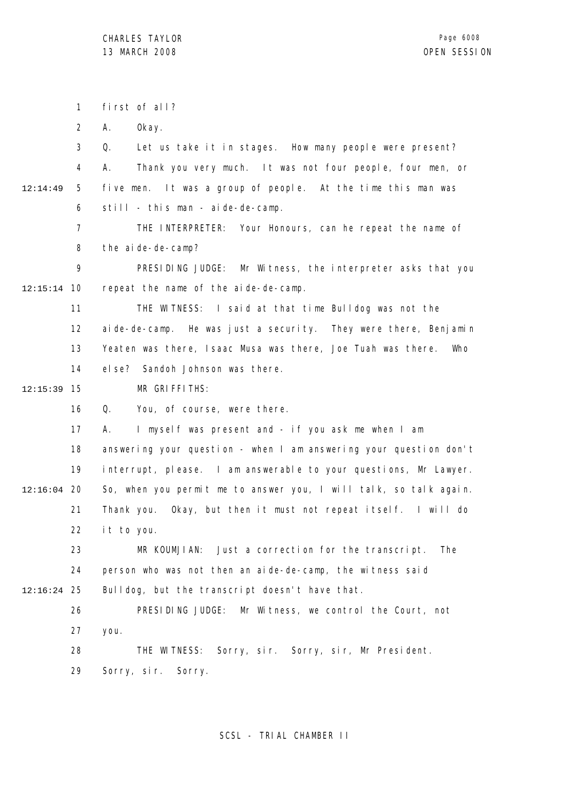1 2 3 4 5 6 7 8 9 10 12:15:14 11 12 13 14 15 12:15:39 16 17 18 19 12:16:04 20 21 22 23 24 25 12:16:24 26 27 28 29 12:14:49 first of all? A. Okay. Q. Let us take it in stages. How many people were present? A. Thank you very much. It was not four people, four men, or five men. It was a group of people. At the time this man was still - this man - aide-de-camp. THE INTERPRETER: Your Honours, can he repeat the name of the aide-de-camp? PRESIDING JUDGE: Mr Witness, the interpreter asks that you repeat the name of the aide-de-camp. THE WITNESS: I said at that time Bulldog was not the aide-de-camp. He was just a security. They were there, Benjamin Yeaten was there, Isaac Musa was there, Joe Tuah was there. Who else? Sandoh Johnson was there. MR GRIFFITHS: Q. You, of course, were there. A. I myself was present and - if you ask me when I am answering your question - when I am answering your question don't interrupt, please. I am answerable to your questions, Mr Lawyer. So, when you permit me to answer you, I will talk, so talk again. Thank you. Okay, but then it must not repeat itself. I will do it to you. MR KOUMJIAN: Just a correction for the transcript. The person who was not then an aide-de-camp, the witness said Bulldog, but the transcript doesn't have that. PRESIDING JUDGE: Mr Witness, we control the Court, not you. THE WITNESS: Sorry, sir. Sorry, sir, Mr President. Sorry, sir. Sorry.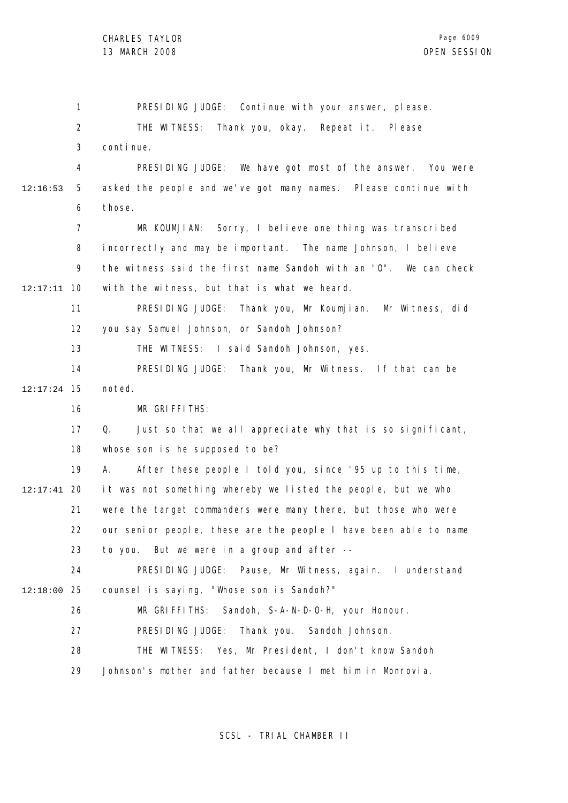1 2 3 4 5 6 7 8 9 10 12:17:11 11 12 13 14 15 12:17:24 16 17 18 19 20 12:17:41 21 22 23 24 25 12:18:00 26 27 28 29 12:16:53 PRESIDING JUDGE: Continue with your answer, please. THE WITNESS: Thank you, okay. Repeat it. Please continue. PRESIDING JUDGE: We have got most of the answer. You were asked the people and we've got many names. Please continue with those. MR KOUMJIAN: Sorry, I believe one thing was transcribed incorrectly and may be important. The name Johnson, I believe the witness said the first name Sandoh with an "O". We can check with the witness, but that is what we heard. PRESIDING JUDGE: Thank you, Mr Koumjian. Mr Witness, did you say Samuel Johnson, or Sandoh Johnson? THE WITNESS: I said Sandoh Johnson, yes. PRESIDING JUDGE: Thank you, Mr Witness. If that can be noted. MR GRIFFITHS: Q. Just so that we all appreciate why that is so significant, whose son is he supposed to be? A. After these people I told you, since '95 up to this time, it was not something whereby we listed the people, but we who were the target commanders were many there, but those who were our senior people, these are the people I have been able to name to you. But we were in a group and after -- PRESIDING JUDGE: Pause, Mr Witness, again. I understand counsel is saying, "Whose son is Sandoh?" MR GRIFFITHS: Sandoh, S-A-N-D-O-H, your Honour. PRESIDING JUDGE: Thank you. Sandoh Johnson. THE WITNESS: Yes, Mr President, I don't know Sandoh Johnson's mother and father because I met him in Monrovia.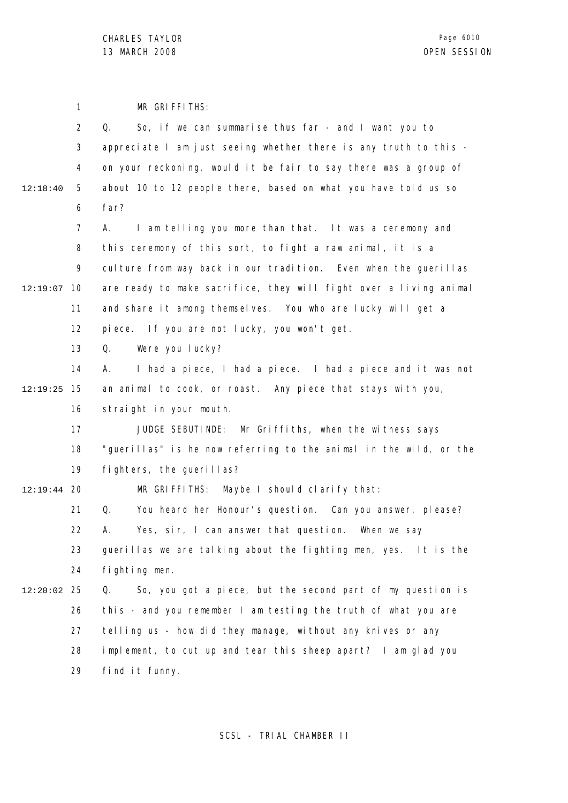1 2 3 4 5 6 7 8 9 12:19:07 10 11 12 13 14 15 12:19:25 16 17 18 19 12:19:44 20 21 22 23 24 25 12:20:02 26 27 28 29 12:18:40 MR GRIFFITHS: Q. So, if we can summarise thus far - and I want you to appreciate I am just seeing whether there is any truth to this on your reckoning, would it be fair to say there was a group of about 10 to 12 people there, based on what you have told us so far? A. I am telling you more than that. It was a ceremony and this ceremony of this sort, to fight a raw animal, it is a culture from way back in our tradition. Even when the querillas are ready to make sacrifice, they will fight over a living animal and share it among themselves. You who are lucky will get a piece. If you are not lucky, you won't get. Q. Were you lucky? A. I had a piece, I had a piece. I had a piece and it was not an animal to cook, or roast. Any piece that stays with you, straight in your mouth. JUDGE SEBUTINDE: Mr Griffiths, when the witness says "guerillas" is he now referring to the animal in the wild, or the fighters, the guerillas? MR GRIFFITHS: Maybe I should clarify that: Q. You heard her Honour's question. Can you answer, please? A. Yes, sir, I can answer that question. When we say guerillas we are talking about the fighting men, yes. It is the fighting men. Q. So, you got a piece, but the second part of my question is this - and you remember I am testing the truth of what you are telling us - how did they manage, without any knives or any implement, to cut up and tear this sheep apart? I am glad you find it funny.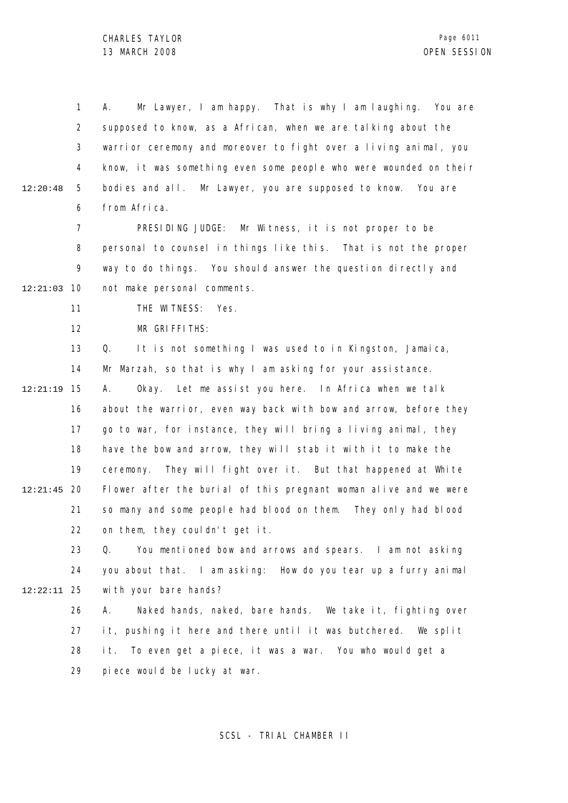1 2 3 4 5 6 12:20:48 A. Mr Lawyer, I am happy. That is why I am laughing. You are supposed to know, as a African, when we are talking about the warrior ceremony and moreover to fight over a living animal, you know, it was something even some people who were wounded on their bodies and all. Mr Lawyer, you are supposed to know. You are from Africa.

7 8 9 10 12:21:03 PRESIDING JUDGE: Mr Witness, it is not proper to be personal to counsel in things like this. That is not the proper way to do things. You should answer the question directly and not make personal comments.

> 11 THE WITNESS: Yes.

12 MR GRIFFITHS:

13 14 15 12:21:19 16 17 18 19 12:21:45 20 21 22 Q. It is not something I was used to in Kingston, Jamaica, Mr Marzah, so that is why I am asking for your assistance. A. Okay. Let me assist you here. In Africa when we talk about the warrior, even way back with bow and arrow, before they go to war, for instance, they will bring a living animal, they have the bow and arrow, they will stab it with it to make the ceremony. They will fight over it. But that happened at White Flower after the burial of this pregnant woman alive and we were so many and some people had blood on them. They only had blood on them, they couldn't get it.

23 24 25 12:22:11 Q. You mentioned bow and arrows and spears. I am not asking you about that. I am asking: How do you tear up a furry animal with your bare hands?

26 27 28 29 A. Naked hands, naked, bare hands. We take it, fighting over it, pushing it here and there until it was butchered. We split it. To even get a piece, it was a war. You who would get a piece would be lucky at war.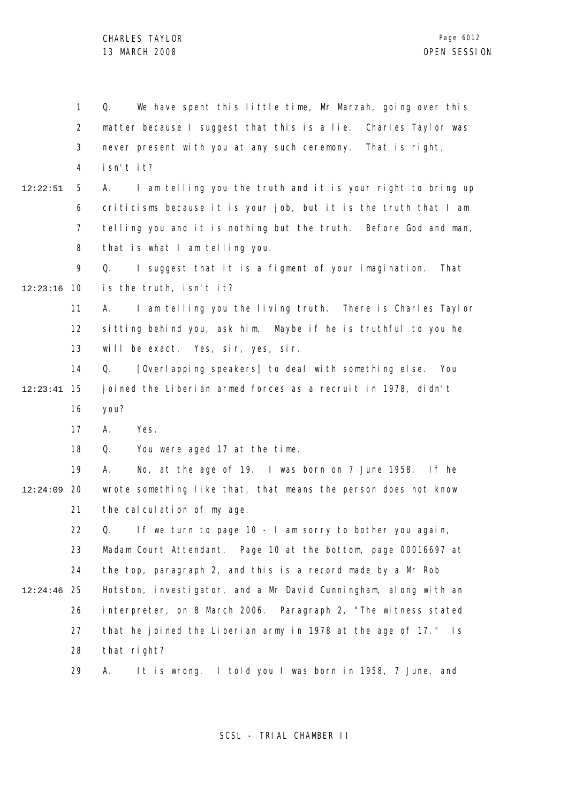1 2 3 4 5 6 7 8 9 10 12:23:16 11 12 13 14 15 12:23:41 16 17 18 19 12:24:09 20 21 22 23 24 25 12:24:46 26 27 28 29 12:22:51 Q. We have spent this little time, Mr Marzah, going over this matter because I suggest that this is a lie. Charles Taylor was never present with you at any such ceremony. That is right, isn't it? A. I am telling you the truth and it is your right to bring up criticisms because it is your job, but it is the truth that I am telling you and it is nothing but the truth. Before God and man, that is what I am telling you. Q. I suggest that it is a figment of your imagination. That is the truth, isn't it? A. I am telling you the living truth. There is Charles Taylor sitting behind you, ask him. Maybe if he is truthful to you he will be exact. Yes, sir, yes, sir. Q. [Overlapping speakers] to deal with something else. You joined the Liberian armed forces as a recruit in 1978, didn't you? A. Yes. Q. You were aged 17 at the time. A. No, at the age of 19. I was born on 7 June 1958. If he wrote something like that, that means the person does not know the calculation of my age. Q. If we turn to page 10 - I am sorry to bother you again, Madam Court Attendant. Page 10 at the bottom, page 00016697 at the top, paragraph 2, and this is a record made by a Mr Rob Hotston, investigator, and a Mr David Cunningham, along with an interpreter, on 8 March 2006. Paragraph 2, "The witness stated that he joined the Liberian army in 1978 at the age of 17." Is that right? A. It is wrong. I told you I was born in 1958, 7 June, and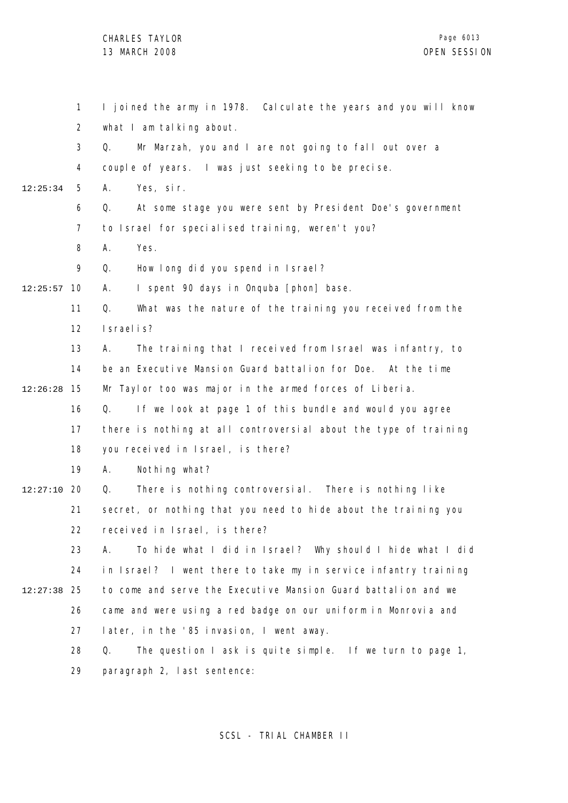1 2 3 4 5 6 7 8 9 10 12:25:57 11 12 13 14 15 12:26:28 16 17 18 19 12:27:10 20 21 22 23 24 25 12:27:38 26 27 28 29 12:25:34 I joined the army in 1978. Calculate the years and you will know what I am talking about. Q. Mr Marzah, you and I are not going to fall out over a couple of years. I was just seeking to be precise. A. Yes, sir. Q. At some stage you were sent by President Doe's government to Israel for specialised training, weren't you? A. Yes. Q. How long did you spend in Israel? A. I spent 90 days in Onquba [phon] base. Q. What was the nature of the training you received from the Israelis? A. The training that I received from Israel was infantry, to be an Executive Mansion Guard battalion for Doe. At the time Mr Taylor too was major in the armed forces of Liberia. Q. If we look at page 1 of this bundle and would you agree there is nothing at all controversial about the type of training you received in Israel, is there? A. Nothing what? Q. There is nothing controversial. There is nothing like secret, or nothing that you need to hide about the training you received in Israel, is there? A. To hide what I did in Israel? Why should I hide what I did in Israel? I went there to take my in service infantry training to come and serve the Executive Mansion Guard battalion and we came and were using a red badge on our uniform in Monrovia and later, in the '85 invasion, I went away. Q. The question I ask is quite simple. If we turn to page 1, paragraph 2, last sentence: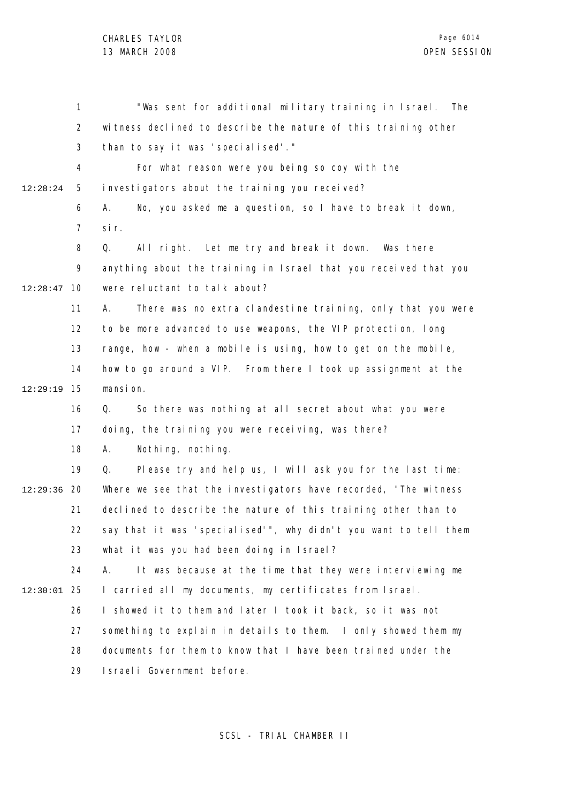1 2 3 4 5 6 7 8 9 10 12:28:47 11 12 13 14 15 12:29:19 16 17 18 19 12:29:36 20 21 22 23 24 25 12:30:01 26 27 28 29 12:28:24 "Was sent for additional military training in Israel. The witness declined to describe the nature of this training other than to say it was 'specialised'." For what reason were you being so coy with the investigators about the training you received? A. No, you asked me a question, so I have to break it down, sir. Q. All right. Let me try and break it down. Was there anything about the training in Israel that you received that you were reluctant to talk about? A. There was no extra clandestine training, only that you were to be more advanced to use weapons, the VIP protection, long range, how - when a mobile is using, how to get on the mobile, how to go around a VIP. From there I took up assignment at the mansi on. Q. So there was nothing at all secret about what you were doing, the training you were receiving, was there? A. Nothing, nothing. Q. Please try and help us, I will ask you for the last time: Where we see that the investigators have recorded, "The witness declined to describe the nature of this training other than to say that it was 'specialised'", why didn't you want to tell them what it was you had been doing in Israel? A. It was because at the time that they were interviewing me I carried all my documents, my certificates from Israel. I showed it to them and later I took it back, so it was not something to explain in details to them. I only showed them my documents for them to know that I have been trained under the Israeli Government before.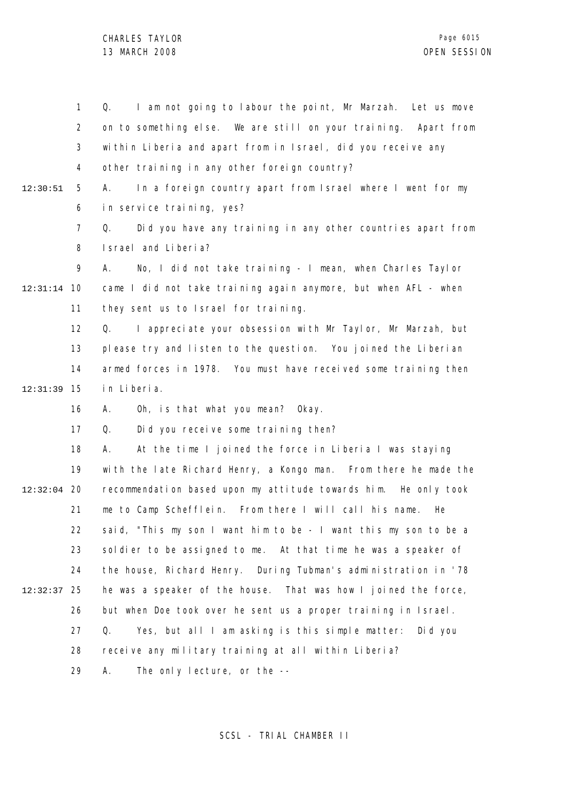1 2 3 4 5 6 7 8 9 10 12:31:14 11 12 13 14 15 12:31:39 16 17 18 19 12:32:04 20 21 22 23 24 25 12:32:37 26 27 28 29 12:30:51 Q. I am not going to labour the point, Mr Marzah. Let us move on to something else. We are still on your training. Apart from within Liberia and apart from in Israel, did you receive any other training in any other foreign country? A. In a foreign country apart from Israel where I went for my in service training, yes? Q. Did you have any training in any other countries apart from Israel and Liberia? A. No, I did not take training - I mean, when Charles Taylor came I did not take training again anymore, but when AFL - when they sent us to Israel for training. Q. I appreciate your obsession with Mr Taylor, Mr Marzah, but please try and listen to the question. You joined the Liberian armed forces in 1978. You must have received some training then in Liberia. A. Oh, is that what you mean? Okay. Q. Did you receive some training then? A. At the time I joined the force in Liberia I was staying with the late Richard Henry, a Kongo man. From there he made the recommendation based upon my attitude towards him. He only took me to Camp Schefflein. From there I will call his name. He said, "This my son I want him to be - I want this my son to be a soldier to be assigned to me. At that time he was a speaker of the house, Richard Henry. During Tubman's administration in '78 he was a speaker of the house. That was how I joined the force, but when Doe took over he sent us a proper training in Israel. Q. Yes, but all I am asking is this simple matter: Did you receive any military training at all within Liberia? A. The only lecture, or the --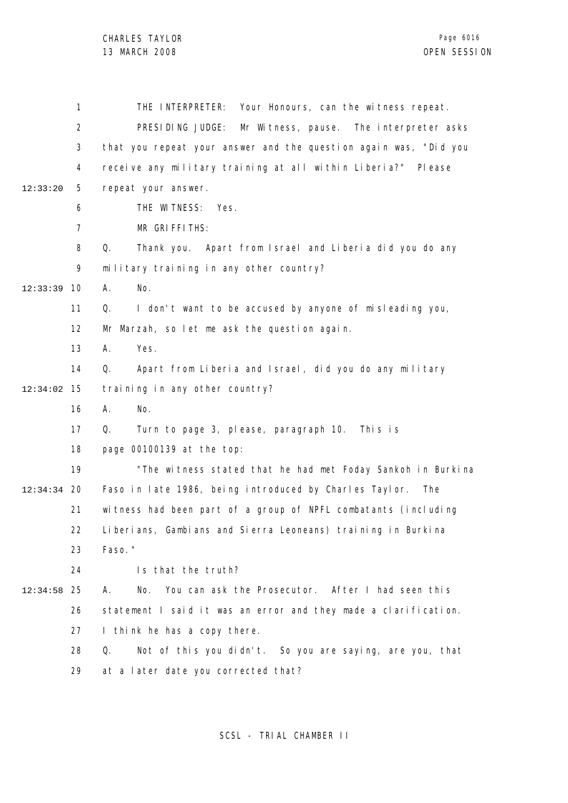1 2 3 4 5 6 7 8 9 10 12:33:39 11 12 13 14 15 12:34:02 16 17 18 19 20 12:34:34 21 22 23 24 25 12:34:58 26 27 28 29 12:33:20 THE INTERPRETER: Your Honours, can the witness repeat. PRESIDING JUDGE: Mr Witness, pause. The interpreter asks that you repeat your answer and the question again was, "Did you receive any military training at all within Liberia?" Please repeat your answer. THE WITNESS: Yes. MR GRIFFITHS: Q. Thank you. Apart from Israel and Liberia did you do any military training in any other country? A. No. Q. I don't want to be accused by anyone of misleading you, Mr Marzah, so let me ask the question again. A. Yes. Q. Apart from Liberia and Israel, did you do any military training in any other country? A. No. Q. Turn to page 3, please, paragraph 10. This is page 00100139 at the top: "The witness stated that he had met Foday Sankoh in Burkina Faso in late 1986, being introduced by Charles Taylor. The witness had been part of a group of NPFL combatants (including Liberians, Gambians and Sierra Leoneans) training in Burkina Faso." Is that the truth? A. No. You can ask the Prosecutor. After I had seen this statement I said it was an error and they made a clarification. I think he has a copy there. Q. Not of this you didn't. So you are saying, are you, that at a later date you corrected that?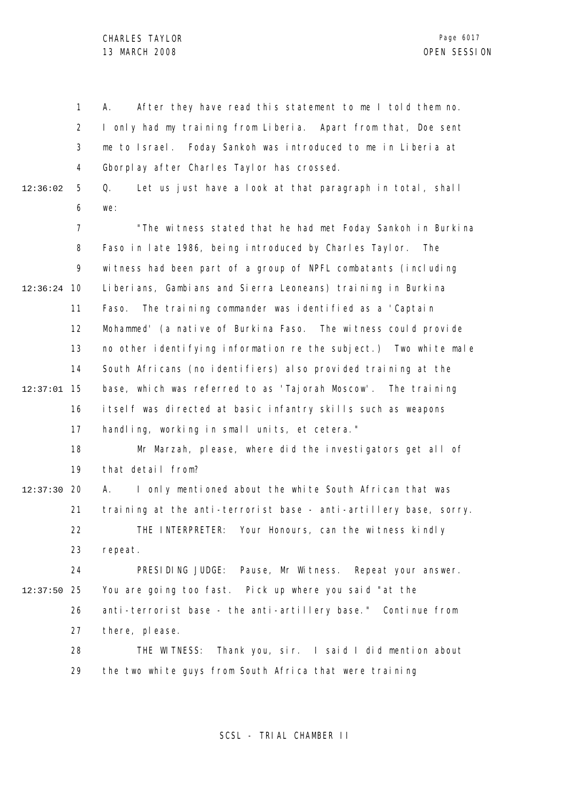1 2 3 4 5 6 7 8 9 10 12:36:24 11 12 13 14 15 12:37:01 16 17 18 19 12:37:30 20 21 22 23 24 25 12:37:50 26 27 28 29 12:36:02 A. After they have read this statement to me I told them no. I only had my training from Liberia. Apart from that, Doe sent me to Israel. Foday Sankoh was introduced to me in Liberia at Gborplay after Charles Taylor has crossed. Q. Let us just have a look at that paragraph in total, shall we: "The witness stated that he had met Foday Sankoh in Burkina Faso in late 1986, being introduced by Charles Taylor. The witness had been part of a group of NPFL combatants (including Liberians, Gambians and Sierra Leoneans) training in Burkina Faso. The training commander was identified as a 'Captain Mohammed' (a native of Burkina Faso. The witness could provide no other identifying information re the subject.) Two white male South Africans (no identifiers) also provided training at the base, which was referred to as 'Tajorah Moscow'. The training itself was directed at basic infantry skills such as weapons handling, working in small units, et cetera." Mr Marzah, please, where did the investigators get all of that detail from? A. I only mentioned about the white South African that was training at the anti-terrorist base - anti-artillery base, sorry. THE INTERPRETER: Your Honours, can the witness kindly repeat. PRESIDING JUDGE: Pause, Mr Witness. Repeat your answer. You are going too fast. Pick up where you said "at the anti-terrorist base - the anti-artillery base." Continue from there, please. THE WITNESS: Thank you, sir. I said I did mention about the two white guys from South Africa that were training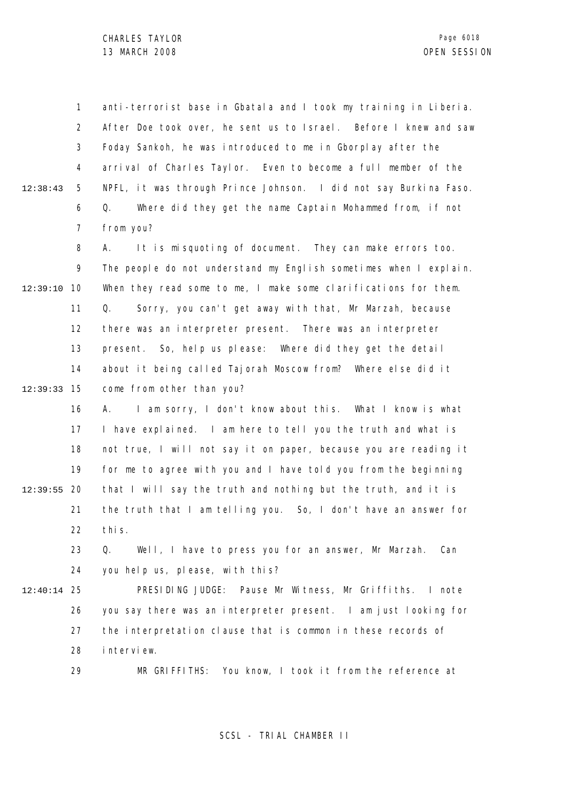1 2 3 4 5 6 7 12:38:43 anti-terrorist base in Gbatala and I took my training in Liberia. After Doe took over, he sent us to Israel. Before I knew and saw Foday Sankoh, he was introduced to me in Gborplay after the arrival of Charles Taylor. Even to become a full member of the NPFL, it was through Prince Johnson. I did not say Burkina Faso. Q. Where did they get the name Captain Mohammed from, if not from you?

8 9 10 12:39:10 11 12 13 14 15 12:39:33 A. It is misquoting of document. They can make errors too. The people do not understand my English sometimes when I explain. When they read some to me, I make some clarifications for them. Q. Sorry, you can't get away with that, Mr Marzah, because there was an interpreter present. There was an interpreter present. So, help us please: Where did they get the detail about it being called Tajorah Moscow from? Where else did it come from other than you?

16 17 18 19 12:39:55 20 21 22 A. I am sorry, I don't know about this. What I know is what I have explained. I am here to tell you the truth and what is not true, I will not say it on paper, because you are reading it for me to agree with you and I have told you from the beginning that I will say the truth and nothing but the truth, and it is the truth that I am telling you. So, I don't have an answer for this.

23 24 Q. Well, I have to press you for an answer, Mr Marzah. Can you help us, please, with this?

25 12:40:14 26 27 28 PRESIDING JUDGE: Pause Mr Witness, Mr Griffiths. I note you say there was an interpreter present. I am just looking for the interpretation clause that is common in these records of interview.

29

MR GRIFFITHS: You know, I took it from the reference at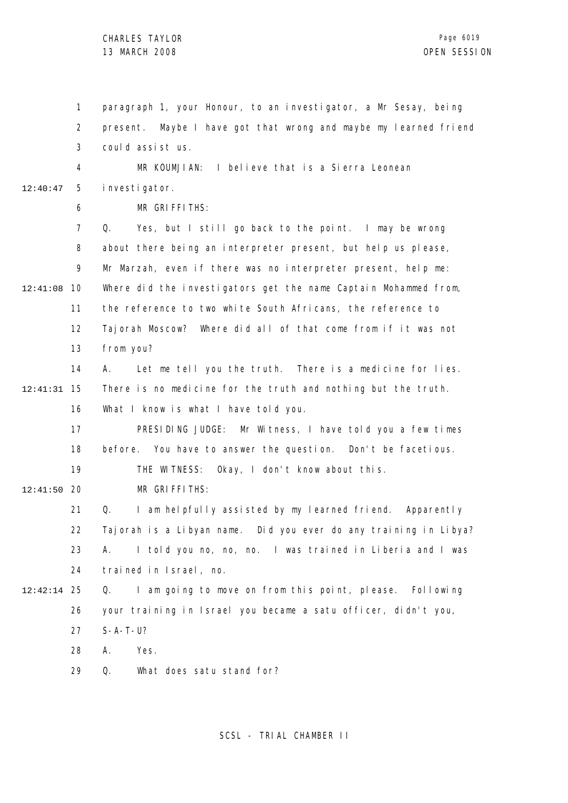1 2 3 4 5 6 7 8 9 10 12:41:08 11 12 13 14 15 12:41:31 16 17 18 19 12:41:50 20 21 22 23 24 25 12:42:14 26 27 28 29 12:40:47 paragraph 1, your Honour, to an investigator, a Mr Sesay, being present. Maybe I have got that wrong and maybe my learned friend could assist us. MR KOUMJIAN: I believe that is a Sierra Leonean investigator. MR GRIFFITHS: Q. Yes, but I still go back to the point. I may be wrong about there being an interpreter present, but help us please, Mr Marzah, even if there was no interpreter present, help me: Where did the investigators get the name Captain Mohammed from, the reference to two white South Africans, the reference to Tajorah Moscow? Where did all of that come from if it was not from you? A. Let me tell you the truth. There is a medicine for lies. There is no medicine for the truth and nothing but the truth. What I know is what I have told you. PRESIDING JUDGE: Mr Witness, I have told you a few times before. You have to answer the question. Don't be facetious. THE WITNESS: Okay, I don't know about this. MR GRIFFITHS: Q. I am helpfully assisted by my learned friend. Apparently Tajorah is a Libyan name. Did you ever do any training in Libya? A. I told you no, no, no. I was trained in Liberia and I was trained in Israel, no. Q. I am going to move on from this point, please. Following your training in Israel you became a satu officer, didn't you, S-A-T-U? A. Yes. Q. What does satu stand for?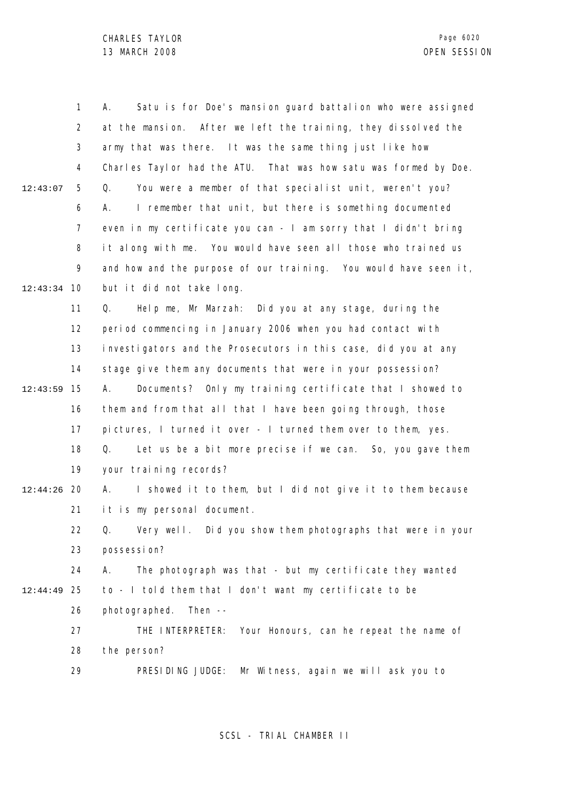|          | 1              | Satu is for Doe's mansion guard battalion who were assigned<br>А. |
|----------|----------------|-------------------------------------------------------------------|
|          | $\overline{2}$ | at the mansion. After we left the training, they dissolved the    |
|          | 3              | army that was there. It was the same thing just like how          |
|          | 4              | Charles Taylor had the ATU. That was how satu was formed by Doe.  |
| 12:43:07 | 5              | You were a member of that specialist unit, weren't you?<br>Q.     |
|          | 6              | I remember that unit, but there is something documented<br>А.     |
|          | $\overline{7}$ | even in my certificate you can - I am sorry that I didn't bring   |
|          | 8              | it along with me. You would have seen all those who trained us    |
|          | 9              | and how and the purpose of our training. You would have seen it,  |
| 12:43:34 | 10             | but it did not take long.                                         |
|          | 11             | Help me, Mr Marzah: Did you at any stage, during the<br>Q.        |
|          | 12             | period commencing in January 2006 when you had contact with       |
|          | 13             | investigators and the Prosecutors in this case, did you at any    |
|          | 14             | stage give them any documents that were in your possession?       |
| 12:43:59 | 15             | Documents? Only my training certificate that I showed to<br>А.    |
|          | 16             | them and from that all that I have been going through, those      |
|          | 17             | pictures, I turned it over - I turned them over to them, yes.     |
|          | 18             | Let us be a bit more precise if we can. So, you gave them<br>Q.   |
|          | 19             | your training records?                                            |
| 12:44:26 | 20             | I showed it to them, but I did not give it to them because<br>А.  |
|          | 21             | it is my personal document.                                       |
|          | 22             | Q. Very well. Did you show them photographs that were in your     |
|          | 23             | possessi on?                                                      |
|          | 24             | The photograph was that - but my certificate they wanted<br>А.    |
| 12:44:49 | 25             | to - I told them that I don't want my certificate to be           |
|          | 26             | Then $--$<br>photographed.                                        |
|          | 27             | THE INTERPRETER: Your Honours, can he repeat the name of          |
|          | 28             | the person?                                                       |
|          | 29             | PRESIDING JUDGE:<br>Mr Witness, again we will ask you to          |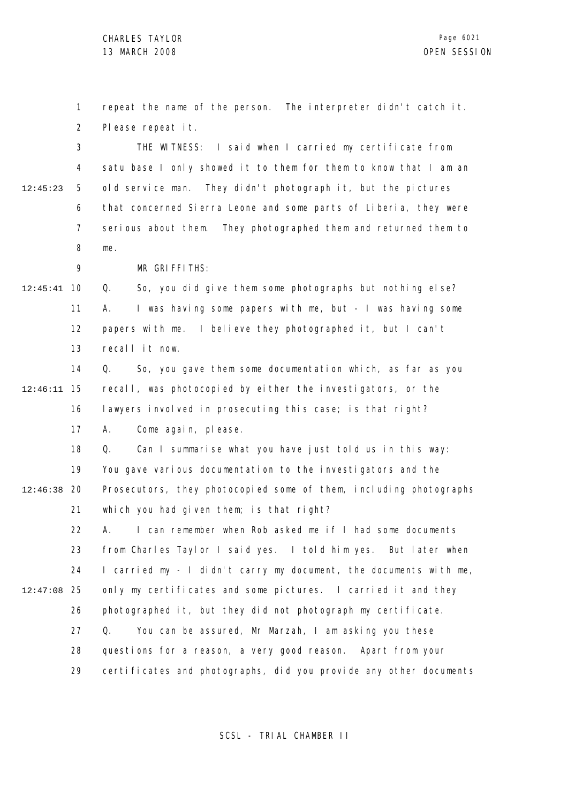1 2 repeat the name of the person. The interpreter didn't catch it. Please repeat it.

3 4 5 6 7 8 12:45:23 THE WITNESS: I said when I carried my certificate from satu base I only showed it to them for them to know that I am an old service man. They didn't photograph it, but the pictures that concerned Sierra Leone and some parts of Liberia, they were serious about them. They photographed them and returned them to me.

MR GRIFFITHS:

9

10 12:45:41 11 12 13 Q. So, you did give them some photographs but nothing else? A. I was having some papers with me, but - I was having some papers with me. I believe they photographed it, but I can't recall it now.

14 15 12:46:11 16 17 Q. So, you gave them some documentation which, as far as you recall, was photocopied by either the investigators, or the lawyers involved in prosecuting this case; is that right? A. Come again, please.

18 19 12:46:38 20 21 Q. Can I summarise what you have just told us in this way: You gave various documentation to the investigators and the Prosecutors, they photocopied some of them, including photographs which you had given them; is that right?

22 23 24 25 12:47:08 26 27 28 29 A. I can remember when Rob asked me if I had some documents from Charles Taylor I said yes. I told him yes. But later when I carried my - I didn't carry my document, the documents with me, only my certificates and some pictures. I carried it and they photographed it, but they did not photograph my certificate. Q. You can be assured, Mr Marzah, I am asking you these questions for a reason, a very good reason. Apart from your certificates and photographs, did you provide any other documents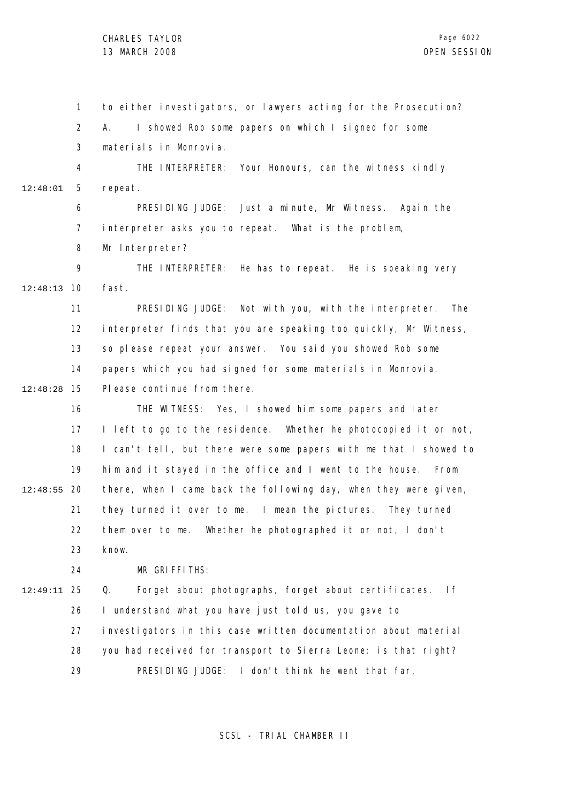1 2 3 4 5 6 7 8 9 10 12:48:13 11 12 13 14 15 12:48:28 16 17 18 19 12:48:55 20 21 22 23 24 25 12:49:11 26 27 28 29 12:48:01 to either investigators, or lawyers acting for the Prosecution? A. I showed Rob some papers on which I signed for some materials in Monrovia. THE INTERPRETER: Your Honours, can the witness kindly repeat. PRESIDING JUDGE: Just a minute, Mr Witness. Again the interpreter asks you to repeat. What is the problem, Mr Interpreter? THE INTERPRETER: He has to repeat. He is speaking very fast. PRESIDING JUDGE: Not with you, with the interpreter. The interpreter finds that you are speaking too quickly, Mr Witness, so please repeat your answer. You said you showed Rob some papers which you had signed for some materials in Monrovia. Please continue from there. THE WITNESS: Yes, I showed him some papers and later I left to go to the residence. Whether he photocopied it or not, I can't tell, but there were some papers with me that I showed to him and it stayed in the office and I went to the house. From there, when I came back the following day, when they were given, they turned it over to me. I mean the pictures. They turned them over to me. Whether he photographed it or not, I don't know. MR GRIFFITHS: Q. Forget about photographs, forget about certificates. If I understand what you have just told us, you gave to investigators in this case written documentation about material you had received for transport to Sierra Leone; is that right? PRESIDING JUDGE: I don't think he went that far,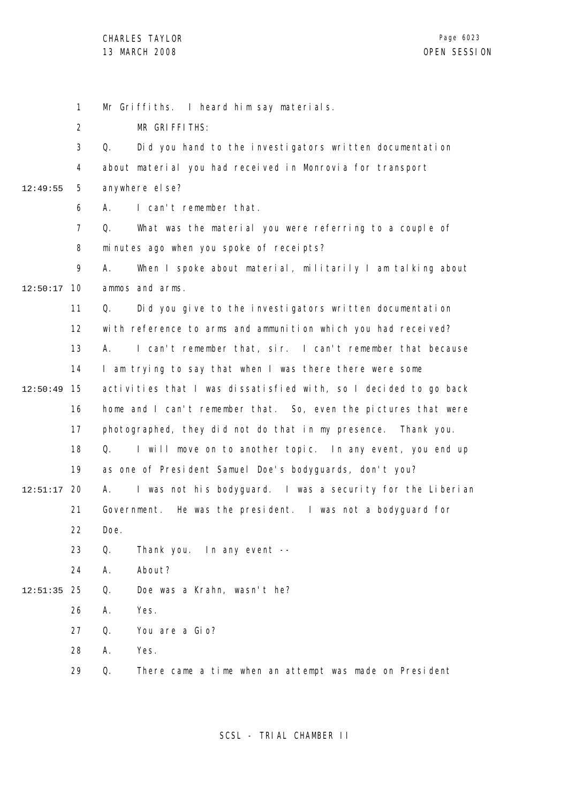1 2 3 4 5 6 7 8 9 10 12:50:17 11 12 13 14 15 12:50:49 16 17 18 19 12:51:17 20 21 22 23 24 25 12:51:35 26 27 28 29 12:49:55 Mr Griffiths. I heard him say materials. MR GRIFFITHS: Q. Did you hand to the investigators written documentation about material you had received in Monrovia for transport anywhere else? A. I can't remember that. Q. What was the material you were referring to a couple of minutes ago when you spoke of receipts? A. When I spoke about material, militarily I am talking about ammos and arms. Q. Did you give to the investigators written documentation with reference to arms and ammunition which you had received? A. I can't remember that, sir. I can't remember that because I am trying to say that when I was there there were some activities that I was dissatisfied with, so I decided to go back home and I can't remember that. So, even the pictures that were photographed, they did not do that in my presence. Thank you. Q. I will move on to another topic. In any event, you end up as one of President Samuel Doe's bodyguards, don't you? A. I was not his bodyguard. I was a security for the Liberian Government. He was the president. I was not a bodyguard for Doe. Q. Thank you. In any event -- A. About? Q. Doe was a Krahn, wasn't he? A. Yes. Q. You are a Gio? A. Yes. Q. There came a time when an attempt was made on President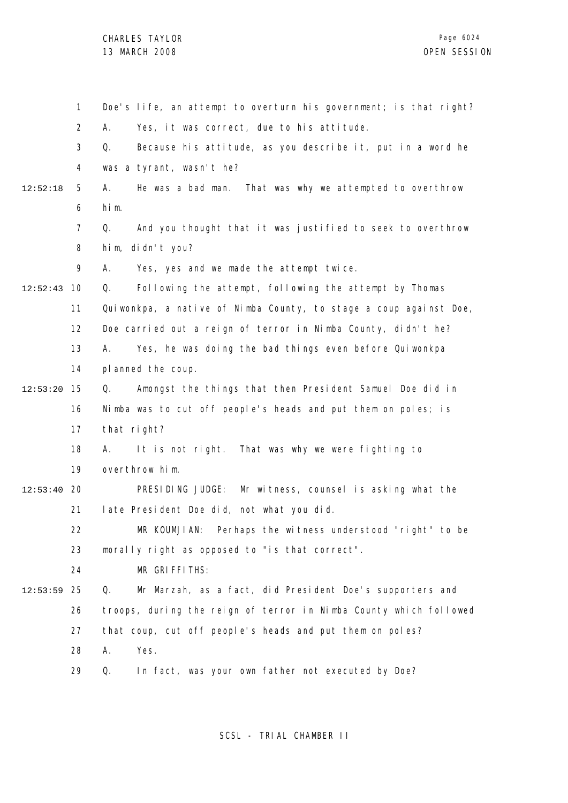|          | 1              | Doe's life, an attempt to overturn his government; is that right? |
|----------|----------------|-------------------------------------------------------------------|
|          | $\overline{2}$ | Yes, it was correct, due to his attitude.<br>А.                   |
|          | 3              | Because his attitude, as you describe it, put in a word he<br>Q.  |
|          | 4              | was a tyrant, wasn't he?                                          |
| 12:52:18 | 5              | He was a bad man. That was why we attempted to overthrow<br>А.    |
|          | 6              | him.                                                              |
|          | $\overline{7}$ | And you thought that it was justified to seek to overthrow<br>Q.  |
|          | 8              | him, didn't you?                                                  |
|          | 9              | Yes, yes and we made the attempt twice.<br>А.                     |
| 12:52:43 | 10             | Following the attempt, following the attempt by Thomas<br>Q.      |
|          | 11             | Quiwonkpa, a native of Nimba County, to stage a coup against Doe, |
|          | 12             | Doe carried out a reign of terror in Nimba County, didn't he?     |
|          | 13             | Yes, he was doing the bad things even before Quiwonkpa<br>А.      |
|          | 14             | pl anned the coup.                                                |
| 12:53:20 | 15             | Amongst the things that then President Samuel Doe did in<br>Q.    |
|          | 16             | Nimba was to cut off people's heads and put them on poles; is     |
|          | 17             | that right?                                                       |
|          | 18             | It is not right. That was why we were fighting to<br>А.           |
|          | 19             | overthrow him.                                                    |
| 12:53:40 | 20             | PRESIDING JUDGE: Mr witness, counsel is asking what the           |
|          | 21             | late President Doe did, not what you did.                         |
|          | 22             | MR KOUMJIAN: Perhaps the witness understood "right" to be         |
|          | 23             | morally right as opposed to "is that correct".                    |
|          | 24             | MR GRIFFITHS:                                                     |
| 12:53:59 | 25             | Mr Marzah, as a fact, did President Doe's supporters and<br>Q.    |
|          | 26             | troops, during the reign of terror in Nimba County which followed |
|          | 27             | that coup, cut off people's heads and put them on poles?          |
|          | 28             | Yes.<br>Α.                                                        |
|          | 29             | Q.<br>In fact, was your own father not executed by Doe?           |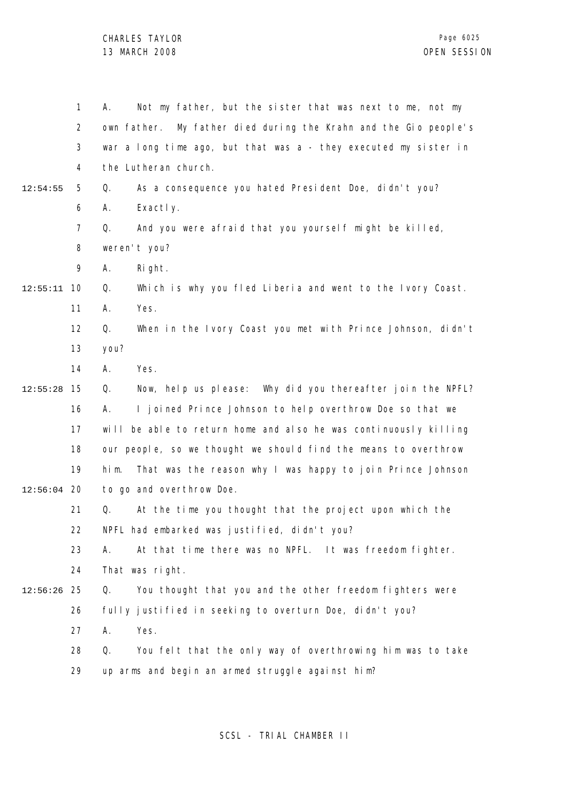1 2 3 4 5 6 7 8  $\mathsf{o}$ 10 12:55:11 11 12 13 14 15 12:55:28 16 17 18 19 12:56:04 20 21 22 23 24 25 12:56:26 26 27 28 29 12:54:55 A. Not my father, but the sister that was next to me, not my own father. My father died during the Krahn and the Gio people's war a long time ago, but that was a - they executed my sister in the Lutheran church. Q. As a consequence you hated President Doe, didn't you? A. Exactly. Q. And you were afraid that you yourself might be killed, weren't you? A. Right. Q. Which is why you fled Liberia and went to the Ivory Coast. A. Yes. Q. When in the Ivory Coast you met with Prince Johnson, didn't you? A. Yes. Q. Now, help us please: Why did you thereafter join the NPFL? A. I joined Prince Johnson to help overthrow Doe so that we will be able to return home and also he was continuously killing our people, so we thought we should find the means to overthrow him. That was the reason why I was happy to join Prince Johnson to go and overthrow Doe. Q. At the time you thought that the project upon which the NPFL had embarked was justified, didn't you? A. At that time there was no NPFL. It was freedom fighter. That was right. Q. You thought that you and the other freedom fighters were fully justified in seeking to overturn Doe, didn't you? A. Yes. Q. You felt that the only way of overthrowing him was to take up arms and begin an armed struggle against him?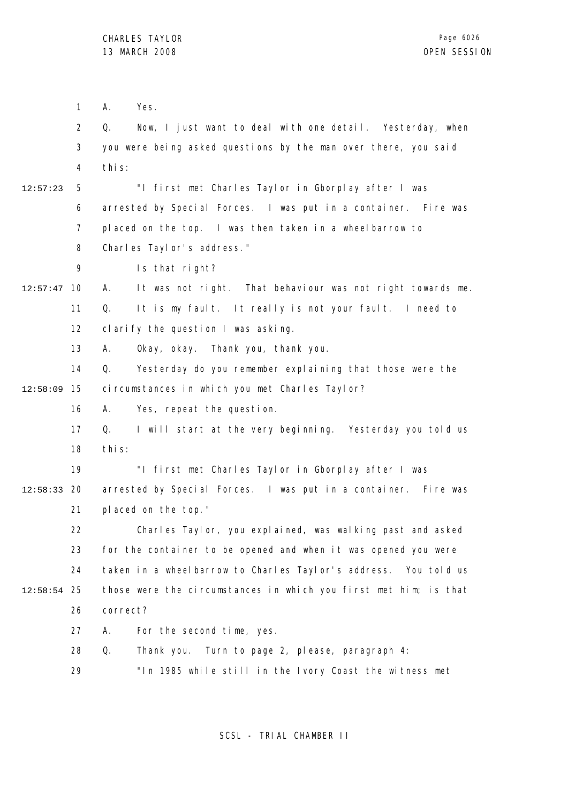1 2 3 4 5 6 7 8 9 10 12:57:47 11 12 13 14 15 12:58:09 16 17 18 19 12:58:33 20 21 22 23 24 25 12:58:54 26 27 28 29 12:57:23 A. Yes. Q. Now, I just want to deal with one detail. Yesterday, when you were being asked questions by the man over there, you said this: "I first met Charles Taylor in Gborplay after I was arrested by Special Forces. I was put in a container. Fire was placed on the top. I was then taken in a wheelbarrow to Charles Taylor's address." Is that right? A. It was not right. That behaviour was not right towards me. Q. It is my fault. It really is not your fault. I need to clarify the question I was asking. A. Okay, okay. Thank you, thank you. Q. Yesterday do you remember explaining that those were the circumstances in which you met Charles Taylor? A. Yes, repeat the question. Q. I will start at the very beginning. Yesterday you told us this: "I first met Charles Taylor in Gborplay after I was arrested by Special Forces. I was put in a container. Fire was placed on the top." Charles Taylor, you explained, was walking past and asked for the container to be opened and when it was opened you were taken in a wheelbarrow to Charles Taylor's address. You told us those were the circumstances in which you first met him; is that correct? A. For the second time, yes. Q. Thank you. Turn to page 2, please, paragraph 4: "In 1985 while still in the Ivory Coast the witness met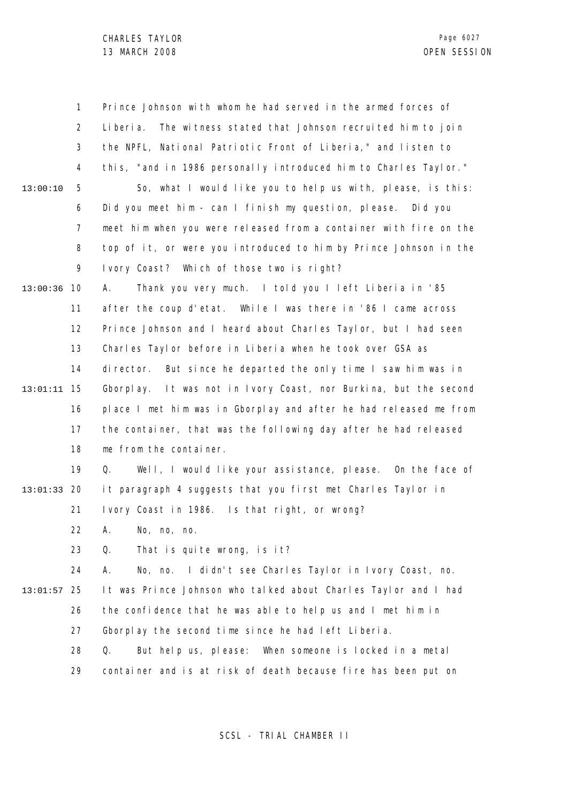1 2 3 4 5 6 7 8 9 13:00:36 10 11 12 13 14 15 13:01:11 16 17 18 19 20 13:01:33 21 22 23 24 25 13:01:57 26 27 28 29 13:00:10 Prince Johnson with whom he had served in the armed forces of Liberia. The witness stated that Johnson recruited him to join the NPFL, National Patriotic Front of Liberia," and listen to this, "and in 1986 personally introduced him to Charles Taylor." So, what I would like you to help us with, please, is this: Did you meet him - can I finish my question, please. Did you meet him when you were released from a container with fire on the top of it, or were you introduced to him by Prince Johnson in the Ivory Coast? Which of those two is right? A. Thank you very much. I told you I left Liberia in '85 after the coup d'etat. While I was there in '86 I came across Prince Johnson and I heard about Charles Taylor, but I had seen Charles Taylor before in Liberia when he took over GSA as director. But since he departed the only time I saw him was in Gborplay. It was not in Ivory Coast, nor Burkina, but the second place I met him was in Gborplay and after he had released me from the container, that was the following day after he had released me from the container. Q. Well, I would like your assistance, please. On the face of it paragraph 4 suggests that you first met Charles Taylor in Ivory Coast in 1986. Is that right, or wrong? A. No, no, no. Q. That is quite wrong, is it? A. No, no. I didn't see Charles Taylor in Ivory Coast, no. It was Prince Johnson who talked about Charles Taylor and I had the confidence that he was able to help us and I met him in Gborplay the second time since he had left Liberia. Q. But help us, please: When someone is locked in a metal container and is at risk of death because fire has been put on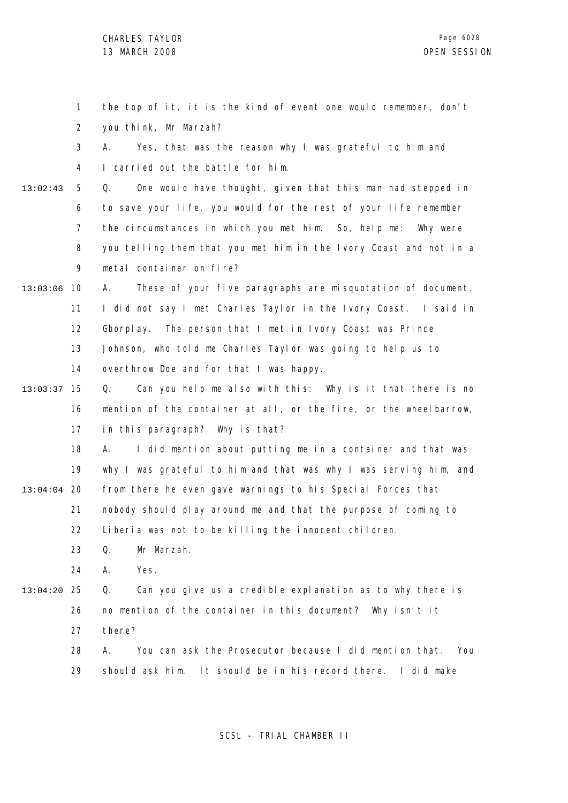|               | 1              | the top of it, it is the kind of event one would remember, don't    |
|---------------|----------------|---------------------------------------------------------------------|
|               | $\overline{2}$ | you think, Mr Marzah?                                               |
|               | 3              | Yes, that was the reason why I was grateful to him and<br>А.        |
|               | 4              | I carried out the battle for him.                                   |
| 13:02:43      | 5              | One would have thought, given that this man had stepped in<br>Q.    |
|               | 6              | to save your life, you would for the rest of your life remember     |
|               | $\overline{7}$ | the circumstances in which you met him. So, help me:<br>Why were    |
|               | 8              | you telling them that you met him in the Ivory Coast and not in a   |
|               | 9              | metal container on fire?                                            |
| 13:03:06      | 10             | These of your five paragraphs are misquotation of document.<br>А.   |
|               | 11             | I did not say I met Charles Taylor in the Ivory Coast. I said in    |
|               | 12             | The person that I met in Ivory Coast was Prince<br>Gborplay.        |
|               | 13             | Johnson, who told me Charles Taylor was going to help us to         |
|               | 14             | overthrow Doe and for that I was happy.                             |
| 13:03:37      | 15             | Can you help me also with this: Why is it that there is no<br>Q.    |
|               | 16             | mention of the container at all, or the fire, or the wheelbarrow,   |
|               | 17             | in this paragraph? Why is that?                                     |
|               | 18             | I did mention about putting me in a container and that was<br>А.    |
|               | 19             | why I was grateful to him and that was why I was serving him, and   |
| $13:04:04$ 20 |                | from there he even gave warnings to his Special Forces that         |
|               | 21             | nobody should play around me and that the purpose of coming to      |
|               | 22             | Liberia was not to be killing the innocent children.                |
|               | 23             | Mr Marzah.<br>Q.                                                    |
|               | 24             | Yes.<br>Α.                                                          |
| 13:04:20      | 25             | Can you give us a credible explanation as to why there is<br>Q.     |
|               | 26             | no mention of the container in this document? Why isn't it          |
|               | 27             | there?                                                              |
|               | 28             | You can ask the Prosecutor because I did mention that.<br>А.<br>You |
|               | 29             | should ask him. It should be in his record there.<br>I did make     |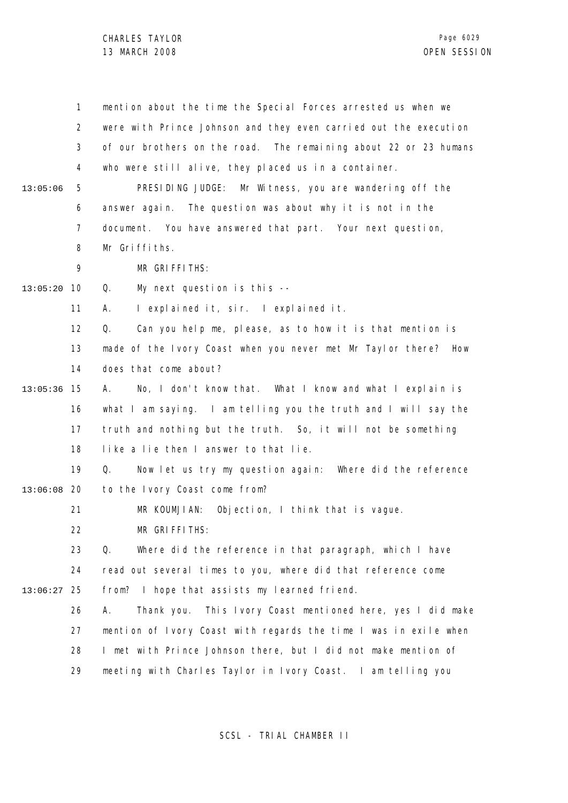|               | $\mathbf{1}$   | mention about the time the Special Forces arrested us when we       |
|---------------|----------------|---------------------------------------------------------------------|
|               | $\overline{2}$ | were with Prince Johnson and they even carried out the execution    |
|               | 3              | of our brothers on the road. The remaining about 22 or 23 humans    |
|               | 4              | who were still alive, they placed us in a container.                |
| 13:05:06      | 5              | PRESIDING JUDGE: Mr Witness, you are wandering off the              |
|               | 6              | answer again. The question was about why it is not in the           |
|               | $\overline{7}$ | document. You have answered that part. Your next question,          |
|               | 8              | Mr Griffiths.                                                       |
|               | 9              | MR GRIFFITHS:                                                       |
| 13:05:20      | 10             | Q.<br>My next question is this --                                   |
|               | 11             | I explained it, sir. I explained it.<br>А.                          |
|               | 12             | Q.<br>Can you help me, please, as to how it is that mention is      |
|               | 13             | made of the Ivory Coast when you never met Mr Taylor there?<br>How  |
|               | 14             | does that come about?                                               |
| 13:05:36      | 15             | No, I don't know that. What I know and what I explain is<br>А.      |
|               | 16             | what I am saying. I am telling you the truth and I will say the     |
|               | 17             | truth and nothing but the truth. So, it will not be something       |
|               | 18             | like a lie then I answer to that lie.                               |
|               | 19             | Q.<br>Now let us try my question again: Where did the reference     |
| $13:06:08$ 20 |                | to the Ivory Coast come from?                                       |
|               | 21             | MR KOUMJIAN: Objection, I think that is vague.                      |
|               | 22             | MR GRIFFITHS:                                                       |
|               | 23             | Q.<br>Where did the reference in that paragraph, which I have       |
|               | 24             | read out several times to you, where did that reference come        |
| 13:06:27      | 25             | from? I hope that assists my learned friend.                        |
|               | 26             | This Ivory Coast mentioned here, yes I did make<br>Α.<br>Thank you. |
|               | 27             | mention of Ivory Coast with regards the time I was in exile when    |
|               | 28             | I met with Prince Johnson there, but I did not make mention of      |
|               | 29             | meeting with Charles Taylor in Ivory Coast. I am telling you        |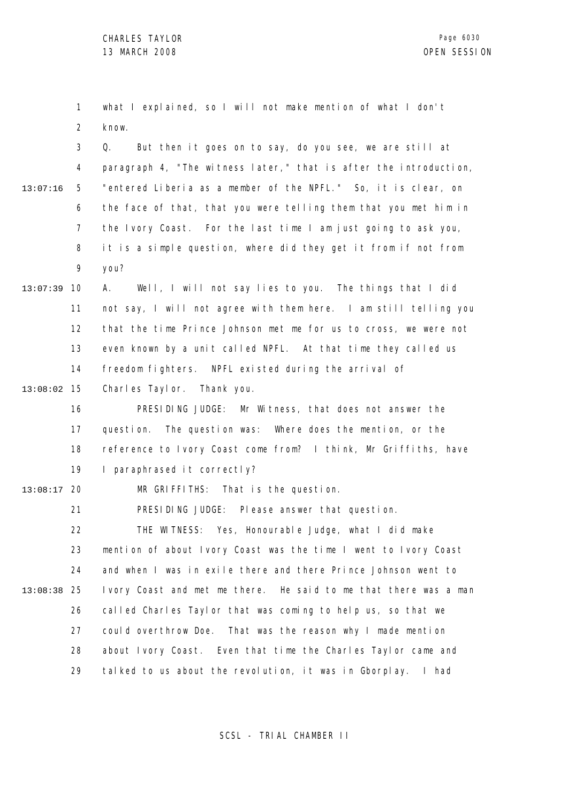1 2 what I explained, so I will not make mention of what I don't know.

3 4 5 6 7 8 9 13:07:16 Q. But then it goes on to say, do you see, we are still at paragraph 4, "The witness later," that is after the introduction, "entered Liberia as a member of the NPFL." So, it is clear, on the face of that, that you were telling them that you met him in the Ivory Coast. For the last time I am just going to ask you, it is a simple question, where did they get it from if not from you?

10 13:07:39 11 12 13 14 A. Well, I will not say lies to you. The things that I did not say, I will not agree with them here. I am still telling you that the time Prince Johnson met me for us to cross, we were not even known by a unit called NPFL. At that time they called us freedom fighters. NPFL existed during the arrival of

15 13:08:02 Charles Taylor. Thank you.

> 16 17 18 19 PRESIDING JUDGE: Mr Witness, that does not answer the question. The question was: Where does the mention, or the reference to Ivory Coast come from? I think, Mr Griffiths, have I paraphrased it correctly?

20 13:08:17 MR GRIFFITHS: That is the question.

> 21 PRESIDING JUDGE: Please answer that question.

22 23 24 25 13:08:38 26 27 28 29 THE WITNESS: Yes, Honourable Judge, what I did make mention of about Ivory Coast was the time I went to Ivory Coast and when I was in exile there and there Prince Johnson went to Ivory Coast and met me there. He said to me that there was a man called Charles Taylor that was coming to help us, so that we could overthrow Doe. That was the reason why I made mention about Ivory Coast. Even that time the Charles Taylor came and talked to us about the revolution, it was in Gborplay. I had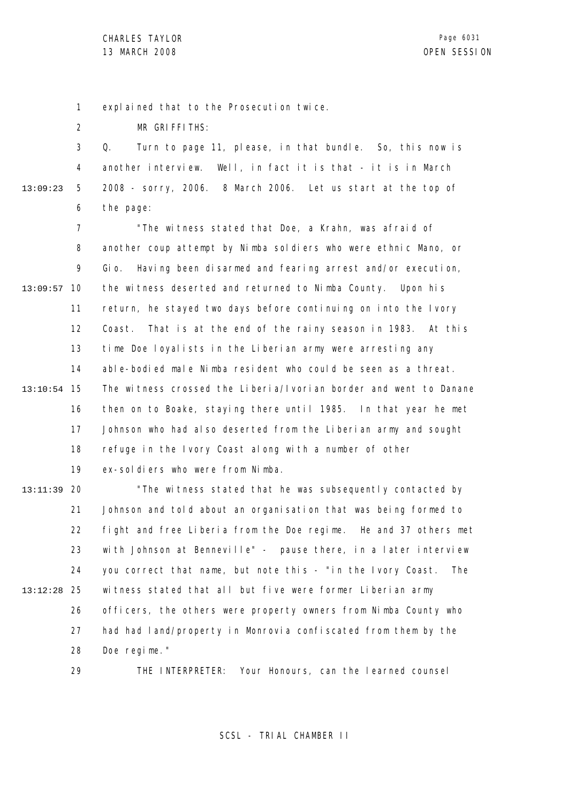1 explained that to the Prosecution twice.

2 MR GRIFFITHS:

29

3 4 5 6 13:09:23 Q. Turn to page 11, please, in that bundle. So, this now is another interview. Well, in fact it is that - it is in March 2008 - sorry, 2006. 8 March 2006. Let us start at the top of the page:

7 8 9 13:09:57 10 11 12 13 14 15 13:10:54 16 17 18 19 "The witness stated that Doe, a Krahn, was afraid of another coup attempt by Nimba soldiers who were ethnic Mano, or Gio. Having been disarmed and fearing arrest and/or execution, the witness deserted and returned to Nimba County. Upon his return, he stayed two days before continuing on into the Ivory Coast. That is at the end of the rainy season in 1983. At this time Doe loyalists in the Liberian army were arresting any able-bodied male Nimba resident who could be seen as a threat. The witness crossed the Liberia/Ivorian border and went to Danane then on to Boake, staying there until 1985. In that year he met Johnson who had also deserted from the Liberian army and sought refuge in the Ivory Coast along with a number of other ex-soldiers who were from Nimba.

20 13:11:39 21 22 23 24 25 13:12:28 26 27 28 "The witness stated that he was subsequently contacted by Johnson and told about an organisation that was being formed to fight and free Liberia from the Doe regime. He and 37 others met with Johnson at Benneville" - pause there, in a later interview you correct that name, but note this - "in the Ivory Coast. The witness stated that all but five were former Liberian army officers, the others were property owners from Nimba County who had had land/property in Monrovia confiscated from them by the Doe regime."

THE INTERPRETER: Your Honours, can the learned counsel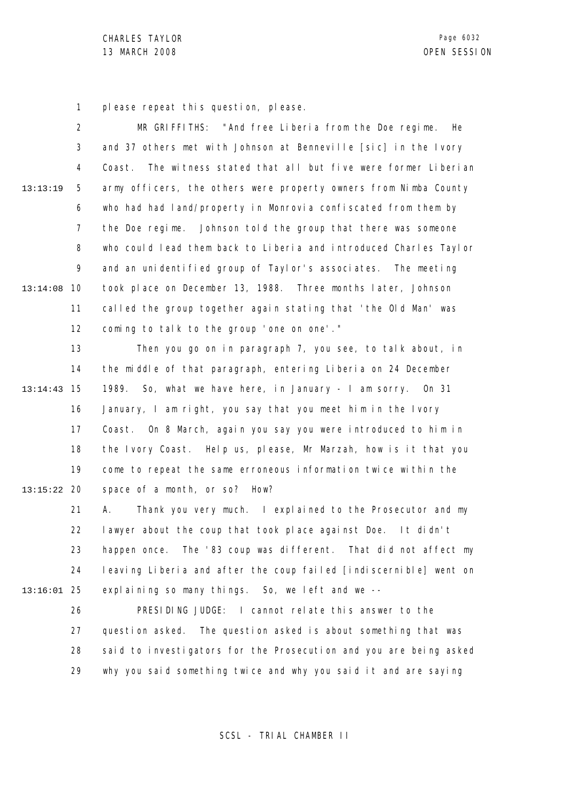1 please repeat this question, please.

2 3 4 5 6 7 8 9 10 13:14:08 11 12 13:13:19 MR GRIFFITHS: "And free Liberia from the Doe regime. He and 37 others met with Johnson at Benneville [sic] in the Ivory Coast. The witness stated that all but five were former Liberian army officers, the others were property owners from Nimba County who had had land/property in Monrovia confiscated from them by the Doe regime. Johnson told the group that there was someone who could lead them back to Liberia and introduced Charles Taylor and an unidentified group of Taylor's associates. The meeting took place on December 13, 1988. Three months later, Johnson called the group together again stating that 'the Old Man' was coming to talk to the group 'one on one'."

13 14 15 13:14:43 16 17 18 19 20 13:15:22 Then you go on in paragraph 7, you see, to talk about, in the middle of that paragraph, entering Liberia on 24 December 1989. So, what we have here, in January - I am sorry. On 31 January, I am right, you say that you meet him in the Ivory Coast. On 8 March, again you say you were introduced to him in the Ivory Coast. Help us, please, Mr Marzah, how is it that you come to repeat the same erroneous information twice within the space of a month, or so? How?

21 22 23 24 25 13:16:01 A. Thank you very much. I explained to the Prosecutor and my lawyer about the coup that took place against Doe. It didn't happen once. The '83 coup was different. That did not affect my leaving Liberia and after the coup failed [indiscernible] went on explaining so many things. So, we left and we --

> 26 27 28 29 PRESIDING JUDGE: I cannot relate this answer to the question asked. The question asked is about something that was said to investigators for the Prosecution and you are being asked why you said something twice and why you said it and are saying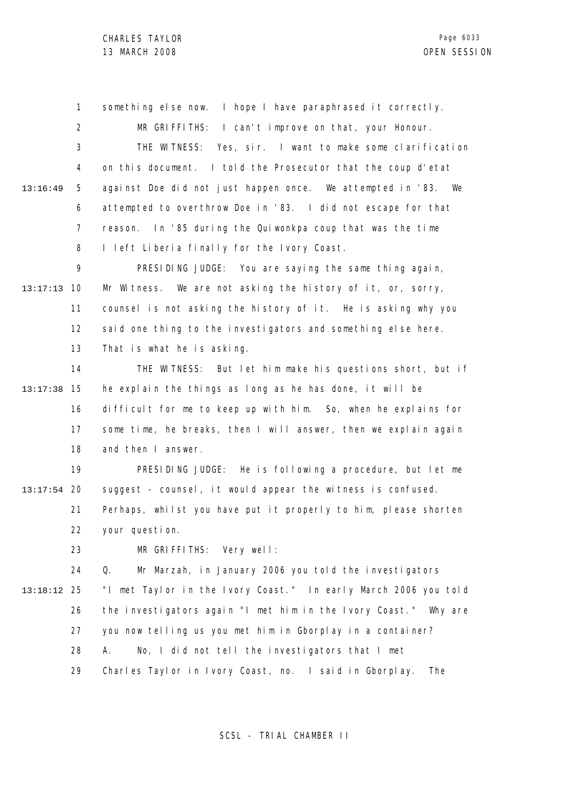1 2 3 4 5 6 7 8 13:16:49 something else now. I hope I have paraphrased it correctly. MR GRIFFITHS: I can't improve on that, your Honour. THE WITNESS: Yes, sir. I want to make some clarification on this document. I told the Prosecutor that the coup d'etat against Doe did not just happen once. We attempted in '83. We attempted to overthrow Doe in '83. I did not escape for that reason. In '85 during the Quiwonkpa coup that was the time I left Liberia finally for the Ivory Coast.

9 10 13:17:13 11 12 13 PRESIDING JUDGE: You are saying the same thing again, Mr Witness. We are not asking the history of it, or, sorry, counsel is not asking the history of it. He is asking why you said one thing to the investigators and something else here. That is what he is asking.

14 15 13:17:38 16 17 18 THE WITNESS: But let him make his questions short, but if he explain the things as long as he has done, it will be difficult for me to keep up with him. So, when he explains for some time, he breaks, then I will answer, then we explain again and then I answer.

19 20 13:17:54 21 22 PRESIDING JUDGE: He is following a procedure, but let me suggest - counsel, it would appear the witness is confused. Perhaps, whilst you have put it properly to him, please shorten your question.

> 23 MR GRIFFITHS: Very well:

24 25 13:18:12 26 27 28 29 Q. Mr Marzah, in January 2006 you told the investigators "I met Taylor in the Ivory Coast." In early March 2006 you told the investigators again "I met him in the Ivory Coast." Why are you now telling us you met him in Gborplay in a container? A. No, I did not tell the investigators that I met Charles Taylor in Ivory Coast, no. I said in Gborplay. The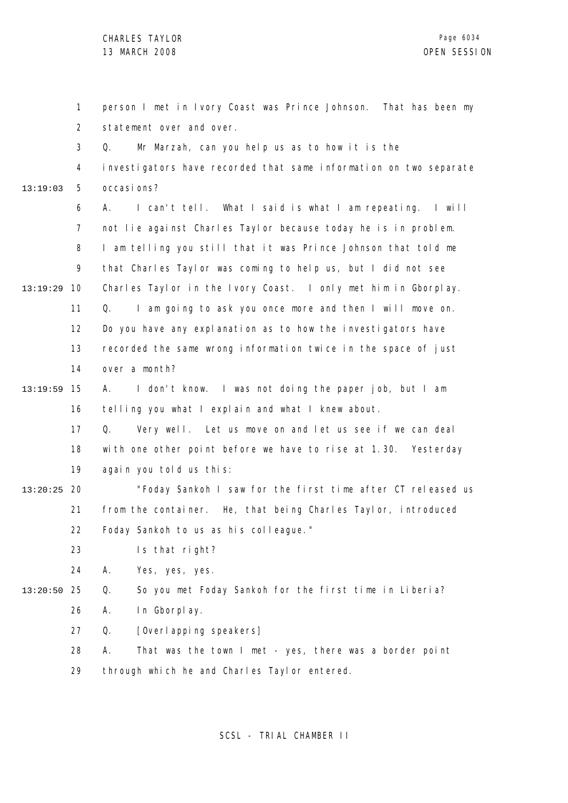|               | 1              | person I met in Ivory Coast was Prince Johnson. That has been my  |
|---------------|----------------|-------------------------------------------------------------------|
|               | $\overline{2}$ | statement over and over.                                          |
|               | 3              | Mr Marzah, can you help us as to how it is the<br>Q.              |
|               | 4              | investigators have recorded that same information on two separate |
| 13:19:03      | 5              | occasi ons?                                                       |
|               | 6              | I can't tell. What I said is what I am repeating. I will<br>А.    |
|               | $\overline{7}$ | not lie against Charles Taylor because today he is in problem.    |
|               | 8              | I am telling you still that it was Prince Johnson that told me    |
|               | 9              | that Charles Taylor was coming to help us, but I did not see      |
| 13:19:29      | 10             | Charles Taylor in the Ivory Coast. I only met him in Gborplay.    |
|               | 11             | I am going to ask you once more and then I will move on.<br>Q.    |
|               | 12             | Do you have any explanation as to how the investigators have      |
|               | 13             | recorded the same wrong information twice in the space of just    |
|               | 14             | over a month?                                                     |
| 13:19:59      | 15             | I don't know. I was not doing the paper job, but I am<br>A.       |
|               | 16             | telling you what I explain and what I knew about.                 |
|               | 17             | Very well. Let us move on and let us see if we can deal<br>Q.     |
|               | 18             | with one other point before we have to rise at 1.30. Yesterday    |
|               | 19             | again you told us this:                                           |
| $13:20:25$ 20 |                | "Foday Sankoh I saw for the first time after CT released us       |
|               | 21             | from the container. He, that being Charles Taylor, introduced     |
|               | 22             | Foday Sankoh to us as his colleague."                             |
|               | 23             | Is that right?                                                    |
|               | 24             | Α.<br>Yes, yes, yes.                                              |
| 13:20:50      | 25             | Q.<br>So you met Foday Sankoh for the first time in Liberia?      |
|               | 26             | А.<br>In Gborplay.                                                |
|               | 27             | [Overl apping speakers]<br>Q.                                     |
|               | 28             | Α.<br>That was the town I met - yes, there was a border point     |
|               | 29             | through which he and Charles Taylor entered.                      |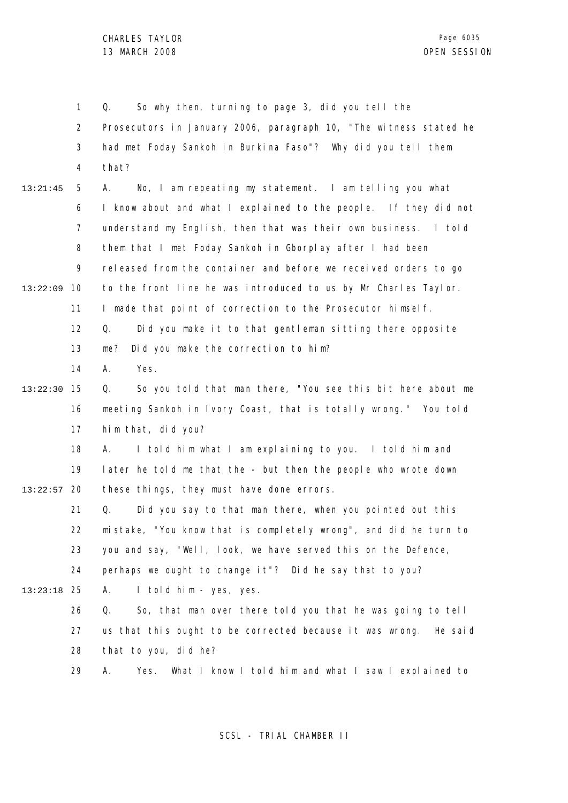1 2 3 4 5 6 7 8 9 10 13:22:09 11 12 13 14 15 13:22:30 16 17 18 19 13:22:57 20 21 22 23 24 25 13:23:18 26 27 28 29 13:21:45 Q. So why then, turning to page 3, did you tell the Prosecutors in January 2006, paragraph 10, "The witness stated he had met Foday Sankoh in Burkina Faso"? Why did you tell them that? A. No, I am repeating my statement. I am telling you what I know about and what I explained to the people. If they did not understand my English, then that was their own business. I told them that I met Foday Sankoh in Gborplay after I had been released from the container and before we received orders to go to the front line he was introduced to us by Mr Charles Taylor. I made that point of correction to the Prosecutor himself. Q. Did you make it to that gentleman sitting there opposite me? Did you make the correction to him? A. Yes. Q. So you told that man there, "You see this bit here about me meeting Sankoh in Ivory Coast, that is totally wrong." You told him that, did you? A. I told him what I am explaining to you. I told him and later he told me that the - but then the people who wrote down these things, they must have done errors. Q. Did you say to that man there, when you pointed out this mistake, "You know that is completely wrong", and did he turn to you and say, "Well, look, we have served this on the Defence, perhaps we ought to change it"? Did he say that to you? A. I told him - yes, yes. Q. So, that man over there told you that he was going to tell us that this ought to be corrected because it was wrong. He said that to you, did he? A. Yes. What I know I told him and what I saw I explained to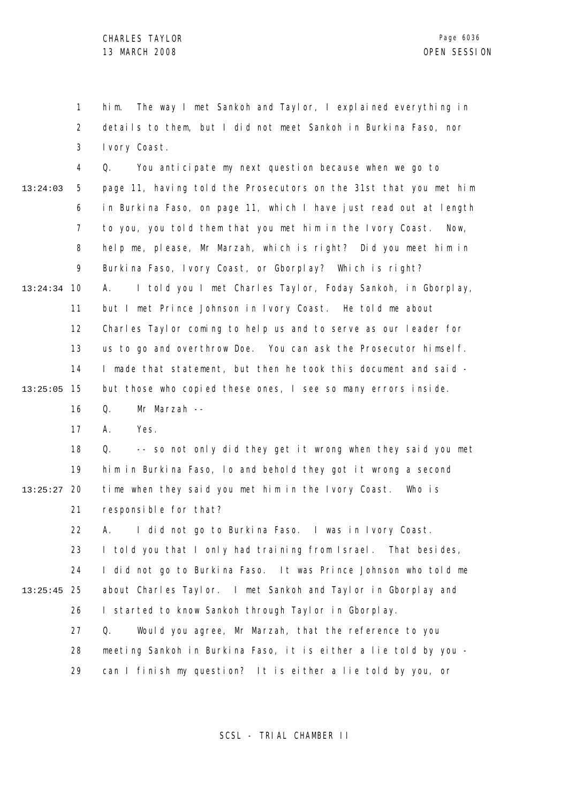1 2 3 him. The way I met Sankoh and Taylor, I explained everything in details to them, but I did not meet Sankoh in Burkina Faso, nor Ivory Coast.

4 5 6 7 8 9 10 13:24:34 11 12 13 14 15 13:25:05 16 13:24:03 Q. You anticipate my next question because when we go to page 11, having told the Prosecutors on the 31st that you met him in Burkina Faso, on page 11, which I have just read out at length to you, you told them that you met him in the Ivory Coast. Now, help me, please, Mr Marzah, which is right? Did you meet him in Burkina Faso, Ivory Coast, or Gborplay? Which is right? A. I told you I met Charles Taylor, Foday Sankoh, in Gborplay, but I met Prince Johnson in Ivory Coast. He told me about Charles Taylor coming to help us and to serve as our leader for us to go and overthrow Doe. You can ask the Prosecutor himself. I made that statement, but then he took this document and said but those who copied these ones, I see so many errors inside. Q. Mr Marzah --

> 17 A. Yes.

18 19 20 13:25:27 21 Q. -- so not only did they get it wrong when they said you met him in Burkina Faso, lo and behold they got it wrong a second time when they said you met him in the Ivory Coast. Who is responsible for that?

22 23 24 25 13:25:45 26 27 28 A. I did not go to Burkina Faso. I was in Ivory Coast. I told you that I only had training from Israel. That besides, I did not go to Burkina Faso. It was Prince Johnson who told me about Charles Taylor. I met Sankoh and Taylor in Gborplay and I started to know Sankoh through Taylor in Gborplay. Q. Would you agree, Mr Marzah, that the reference to you meeting Sankoh in Burkina Faso, it is either a lie told by you -

> 29 can I finish my question? It is either a lie told by you, or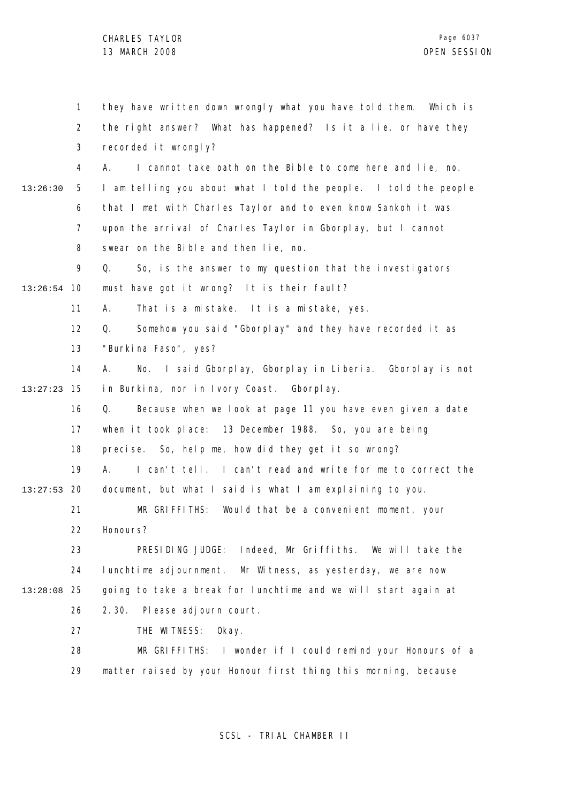|               | 1              | they have written down wrongly what you have told them. Which is |
|---------------|----------------|------------------------------------------------------------------|
|               | $\overline{2}$ | the right answer? What has happened? Is it a lie, or have they   |
|               | 3              | recorded it wrongly?                                             |
|               | 4              | I cannot take oath on the Bible to come here and lie, no.<br>А.  |
| 13:26:30      | 5              | I am telling you about what I told the people. I told the people |
|               | 6              | that I met with Charles Taylor and to even know Sankoh it was    |
|               | $\overline{7}$ | upon the arrival of Charles Taylor in Gborplay, but I cannot     |
|               | 8              | swear on the Bible and then lie, no.                             |
|               | 9              | So, is the answer to my question that the investigators<br>Q.    |
| $13:26:54$ 10 |                | must have got it wrong? It is their fault?                       |
|               | 11             | That is a mistake. It is a mistake, yes.<br>А.                   |
|               | 12             | Somehow you said "Gborplay" and they have recorded it as<br>Q.   |
|               | 13             | "Burki na Faso", yes?                                            |
|               | 14             | No. I said Gborplay, Gborplay in Liberia. Gborplay is not<br>А.  |
| 13:27:23      | 15             | in Burkina, nor in Ivory Coast. Gborplay.                        |
|               | 16             | Because when we look at page 11 you have even given a date<br>Q. |
|               | 17             | when it took place: 13 December 1988. So, you are being          |
|               | 18             | precise. So, help me, how did they get it so wrong?              |
|               | 19             | I can't tell. I can't read and write for me to correct the<br>А. |
| 13:27:53      | -20            | document, but what I said is what I am explaining to you.        |
|               | 21             | MR GRIFFITHS: Would that be a convenient moment, your            |
|               | 22             | Honours?                                                         |
|               | 23             | PRESIDING JUDGE:<br>Indeed, Mr Griffiths. We will take the       |
|               | 24             | lunchtime adjournment. Mr Witness, as yesterday, we are now      |
| 13:28:08      | 25             | going to take a break for lunchtime and we will start again at   |
|               | 26             | 2.30.<br>Please adjourn court.                                   |
|               | 27             | THE WITNESS:<br>0kay.                                            |
|               | 28             | MR GRIFFITHS: I wonder if I could remind your Honours of a       |
|               | 29             | matter raised by your Honour first thing this morning, because   |
|               |                |                                                                  |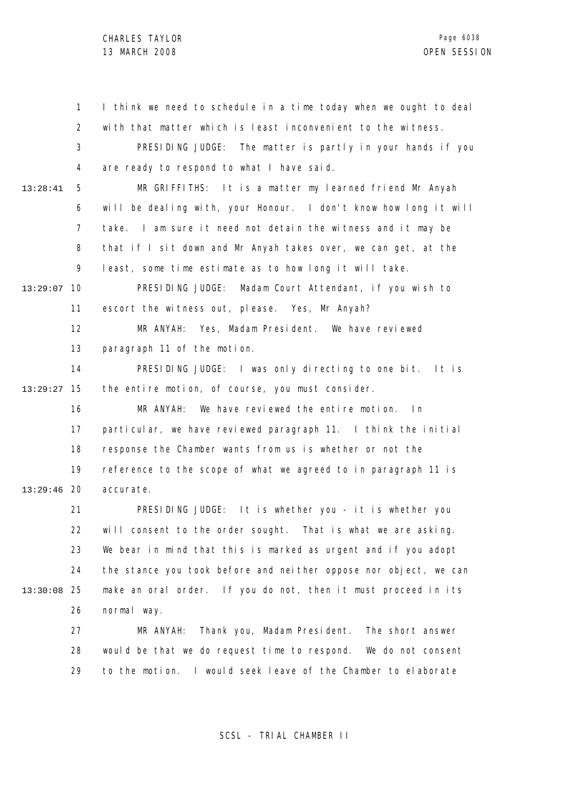1 2 3 4 5 6 7 8 9 13:29:07 10 11 12 13 14 15 13:29:27 16 17 18 19 20 13:29:46 21 22 23 24 25 13:30:08 26 27 28 29 13:28:41 I think we need to schedule in a time today when we ought to deal with that matter which is least inconvenient to the witness. PRESIDING JUDGE: The matter is partly in your hands if you are ready to respond to what I have said. MR GRIFFITHS: It is a matter my learned friend Mr Anyah will be dealing with, your Honour. I don't know how long it will take. I am sure it need not detain the witness and it may be that if I sit down and Mr Anyah takes over, we can get, at the least, some time estimate as to how long it will take. PRESIDING JUDGE: Madam Court Attendant, if you wish to escort the witness out, please. Yes, Mr Anyah? MR ANYAH: Yes, Madam President. We have reviewed paragraph 11 of the motion. PRESIDING JUDGE: I was only directing to one bit. It is the entire motion, of course, you must consider. MR ANYAH: We have reviewed the entire motion. In particular, we have reviewed paragraph 11. I think the initial response the Chamber wants from us is whether or not the reference to the scope of what we agreed to in paragraph 11 is accurate. PRESIDING JUDGE: It is whether you - it is whether you will consent to the order sought. That is what we are asking. We bear in mind that this is marked as urgent and if you adopt the stance you took before and neither oppose nor object, we can make an oral order. If you do not, then it must proceed in its normal way. MR ANYAH: Thank you, Madam President. The short answer would be that we do request time to respond. We do not consent to the motion. I would seek leave of the Chamber to elaborate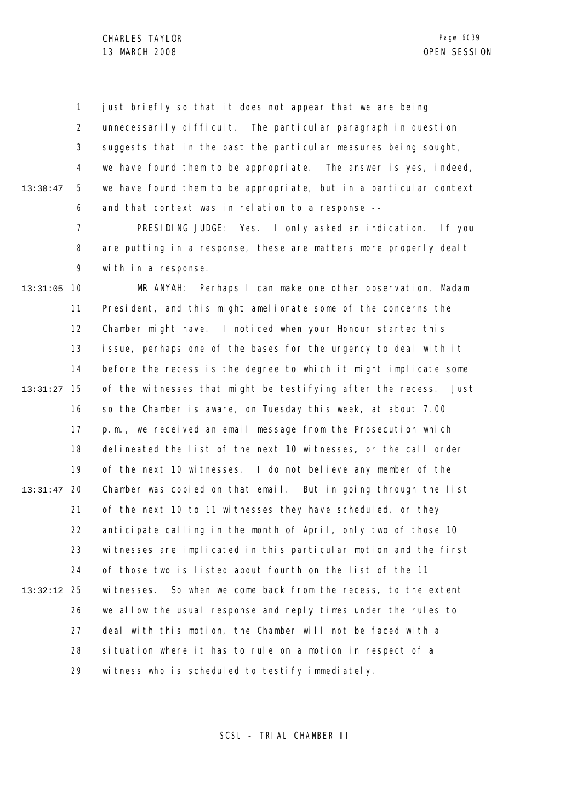1 2 3 4 5 6 13:30:47 just briefly so that it does not appear that we are being unnecessarily difficult. The particular paragraph in question suggests that in the past the particular measures being sought, we have found them to be appropriate. The answer is yes, indeed, we have found them to be appropriate, but in a particular context and that context was in relation to a response --

> 7 8 9 PRESIDING JUDGE: Yes. I only asked an indication. If you are putting in a response, these are matters more properly dealt with in a response.

13:31:05 10 11 12 13 14 15 13:31:27 16 17 18 19 20 13:31:47 21 22 23 24 25 13:32:12 26 27 28 29 MR ANYAH: Perhaps I can make one other observation, Madam President, and this might ameliorate some of the concerns the Chamber might have. I noticed when your Honour started this issue, perhaps one of the bases for the urgency to deal with it before the recess is the degree to which it might implicate some of the witnesses that might be testifying after the recess. Just so the Chamber is aware, on Tuesday this week, at about 7.00 p.m., we received an email message from the Prosecution which delineated the list of the next 10 witnesses, or the call order of the next 10 witnesses. I do not believe any member of the Chamber was copied on that email. But in going through the list of the next 10 to 11 witnesses they have scheduled, or they anticipate calling in the month of April, only two of those 10 witnesses are implicated in this particular motion and the first of those two is listed about fourth on the list of the 11 witnesses. So when we come back from the recess, to the extent we allow the usual response and reply times under the rules to deal with this motion, the Chamber will not be faced with a situation where it has to rule on a motion in respect of a witness who is scheduled to testify immediately.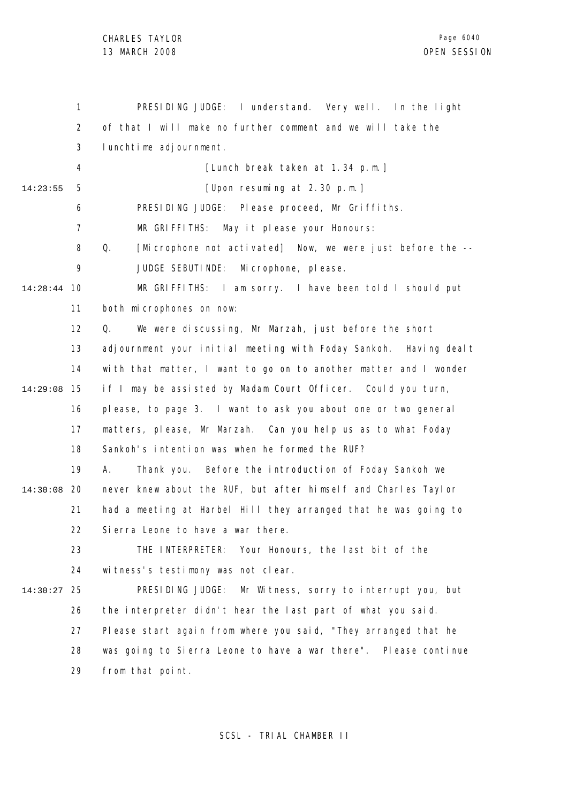1 2 3 4 5 6 7 8 9 10 14:28:44 11 12 13 14 15 14:29:08 16 17 18 19 14:30:08 20 21 22 23 24 25 14:30:27 26 27 28 29 14:23:55 PRESIDING JUDGE: I understand. Very well. In the light of that I will make no further comment and we will take the lunchtime adjournment. [Lunch break taken at 1.34 p.m.] [Upon resuming at 2.30 p.m.] PRESIDING JUDGE: Please proceed, Mr Griffiths. MR GRIFFITHS: May it please your Honours: Q. [Microphone not activated] Now, we were just before the -- JUDGE SEBUTINDE: Microphone, please. MR GRIFFITHS: I am sorry. I have been told I should put both microphones on now: Q. We were discussing, Mr Marzah, just before the short adjournment your initial meeting with Foday Sankoh. Having dealt with that matter, I want to go on to another matter and I wonder if I may be assisted by Madam Court Officer. Could you turn, please, to page 3. I want to ask you about one or two general matters, please, Mr Marzah. Can you help us as to what Foday Sankoh's intention was when he formed the RUF? A. Thank you. Before the introduction of Foday Sankoh we never knew about the RUF, but after himself and Charles Taylor had a meeting at Harbel Hill they arranged that he was going to Sierra Leone to have a war there. THE INTERPRETER: Your Honours, the last bit of the witness's testimony was not clear. PRESIDING JUDGE: Mr Witness, sorry to interrupt you, but the interpreter didn't hear the last part of what you said. Please start again from where you said, "They arranged that he was going to Sierra Leone to have a war there". Please continue from that point.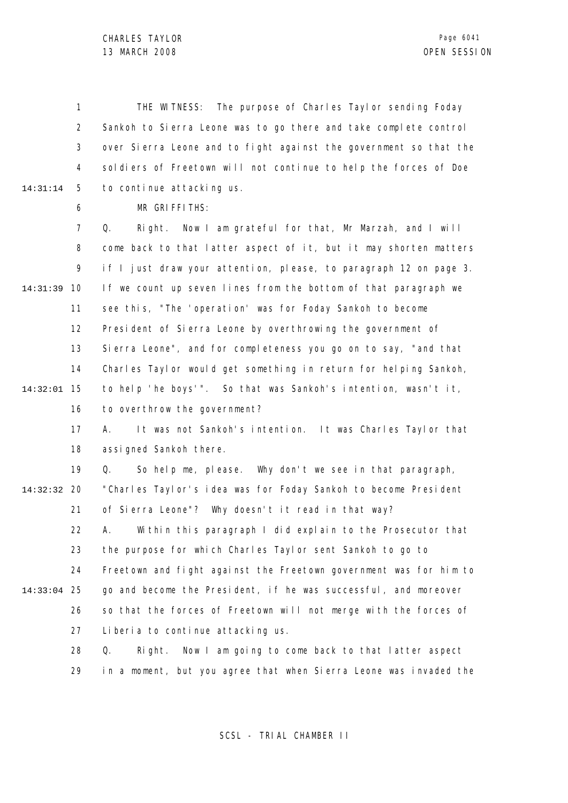1 2 3 4 5 14:31:14 THE WITNESS: The purpose of Charles Taylor sending Foday Sankoh to Sierra Leone was to go there and take complete control over Sierra Leone and to fight against the government so that the soldiers of Freetown will not continue to help the forces of Doe to continue attacking us.

6

MR GRIFFITHS:

7 8 9 10 14:31:39 11 12 13 14 15 14:32:01 16 Q. Right. Now I am grateful for that, Mr Marzah, and I will come back to that latter aspect of it, but it may shorten matters if I just draw your attention, please, to paragraph 12 on page 3. If we count up seven lines from the bottom of that paragraph we see this, "The 'operation' was for Foday Sankoh to become President of Sierra Leone by overthrowing the government of Sierra Leone", and for completeness you go on to say, "and that Charles Taylor would get something in return for helping Sankoh, to help 'he boys'". So that was Sankoh's intention, wasn't it, to overthrow the government?

17 18 A. It was not Sankoh's intention. It was Charles Taylor that assigned Sankoh there.

19 20 14:32:32 21 22 23 Q. So help me, please. Why don't we see in that paragraph, "Charles Taylor's idea was for Foday Sankoh to become President of Sierra Leone"? Why doesn't it read in that way? A. Within this paragraph I did explain to the Prosecutor that the purpose for which Charles Taylor sent Sankoh to go to

25 14:33:04 26 go and become the President, if he was successful, and moreover so that the forces of Freetown will not merge with the forces of

24

27 Liberia to continue attacking us.

28 29 Q. Right. Now I am going to come back to that latter aspect in a moment, but you agree that when Sierra Leone was invaded the

Freetown and fight against the Freetown government was for him to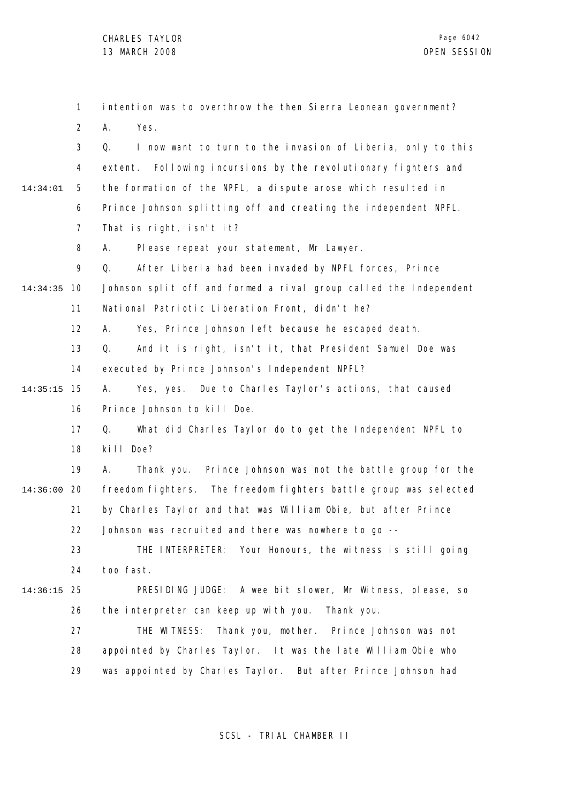1 2 3 4 5 6 7 8 9 10 14:34:35 11 12 13 14 15 14:35:15 16 17 18 19 20 14:36:00 21 22 23 24 25 14:36:15 26 27 28 29 14:34:01 intention was to overthrow the then Sierra Leonean government? A. Yes. Q. I now want to turn to the invasion of Liberia, only to this extent. Following incursions by the revolutionary fighters and the formation of the NPFL, a dispute arose which resulted in Prince Johnson splitting off and creating the independent NPFL. That is right, isn't it? A. Please repeat your statement, Mr Lawyer. Q. After Liberia had been invaded by NPFL forces, Prince Johnson split off and formed a rival group called the Independent National Patriotic Liberation Front, didn't he? A. Yes, Prince Johnson left because he escaped death. Q. And it is right, isn't it, that President Samuel Doe was executed by Prince Johnson's Independent NPFL? A. Yes, yes. Due to Charles Taylor's actions, that caused Prince Johnson to kill Doe. Q. What did Charles Taylor do to get the Independent NPFL to kill Doe? A. Thank you. Prince Johnson was not the battle group for the freedom fighters. The freedom fighters battle group was selected by Charles Taylor and that was William Obie, but after Prince Johnson was recruited and there was nowhere to go --THE INTERPRETER: Your Honours, the witness is still going too fast. PRESIDING JUDGE: A wee bit slower, Mr Witness, please, so the interpreter can keep up with you. Thank you. THE WITNESS: Thank you, mother. Prince Johnson was not appointed by Charles Taylor. It was the late William Obie who was appointed by Charles Taylor. But after Prince Johnson had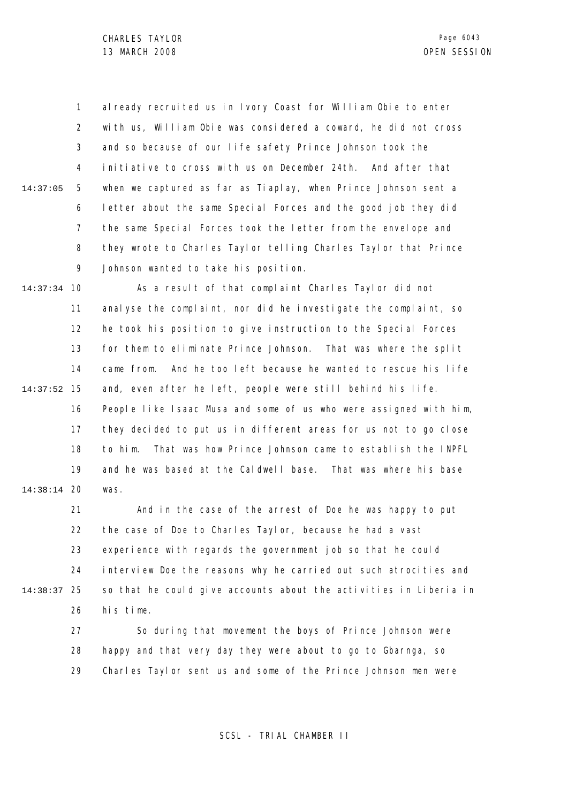1 2 3 4 5 6 7 8 9 14:37:05 al ready recruited us in Ivory Coast for William Obie to enter with us, William Obie was considered a coward, he did not cross and so because of our life safety Prince Johnson took the initiative to cross with us on December 24th. And after that when we captured as far as Tiaplay, when Prince Johnson sent a letter about the same Special Forces and the good job they did the same Special Forces took the letter from the envelope and they wrote to Charles Taylor telling Charles Taylor that Prince Johnson wanted to take his position.

10 14:37:34 11 12 13 14 15 14:37:52 16 17 18 19 20 14:38:14 As a result of that complaint Charles Taylor did not analyse the complaint, nor did he investigate the complaint, so he took his position to give instruction to the Special Forces for them to eliminate Prince Johnson. That was where the split came from. And he too left because he wanted to rescue his life and, even after he left, people were still behind his life. People like Isaac Musa and some of us who were assigned with him, they decided to put us in different areas for us not to go close to him. That was how Prince Johnson came to establish the INPFL and he was based at the Caldwell base. That was where his base was.

21 22 23 24 25 14:38:37 26 And in the case of the arrest of Doe he was happy to put the case of Doe to Charles Taylor, because he had a vast experience with regards the government job so that he could interview Doe the reasons why he carried out such atrocities and so that he could give accounts about the activities in Liberia in his time.

> 27 28 29 So during that movement the boys of Prince Johnson were happy and that very day they were about to go to Gbarnga, so Charles Taylor sent us and some of the Prince Johnson men were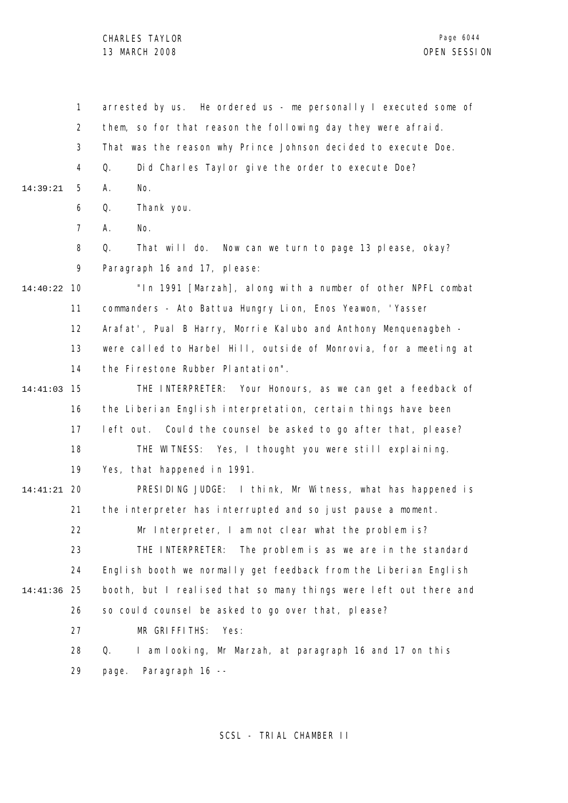1 2 3 4 5 6 7 8  $\mathsf{o}$ 10 14:40:22 11 12 13 14 15 14:41:03 16 17 18 19 20 14:41:21 21 22 23 24 25 14:41:36 26 27 28 29 14:39:21 arrested by us. He ordered us - me personally I executed some of them, so for that reason the following day they were afraid. That was the reason why Prince Johnson decided to execute Doe. Q. Did Charles Taylor give the order to execute Doe? A. No. Q. Thank you. A. No. Q. That will do. Now can we turn to page 13 please, okay? Paragraph 16 and 17, please: "In 1991 [Marzah], along with a number of other NPFL combat commanders - Ato Battua Hungry Lion, Enos Yeawon, 'Yasser Arafat', Pual B Harry, Morrie Kalubo and Anthony Menquenagbeh were called to Harbel Hill, outside of Monrovia, for a meeting at the Firestone Rubber Plantation". THE INTERPRETER: Your Honours, as we can get a feedback of the Liberian English interpretation, certain things have been left out. Could the counsel be asked to go after that, please? THE WITNESS: Yes, I thought you were still explaining. Yes, that happened in 1991. PRESIDING JUDGE: I think, Mr Witness, what has happened is the interpreter has interrupted and so just pause a moment. Mr Interpreter, I am not clear what the problem is? THE INTERPRETER: The problem is as we are in the standard English booth we normally get feedback from the Liberian English booth, but I realised that so many things were left out there and so could counsel be asked to go over that, please? MR GRIFFITHS: Yes: Q. I am looking, Mr Marzah, at paragraph 16 and 17 on this page. Paragraph 16 --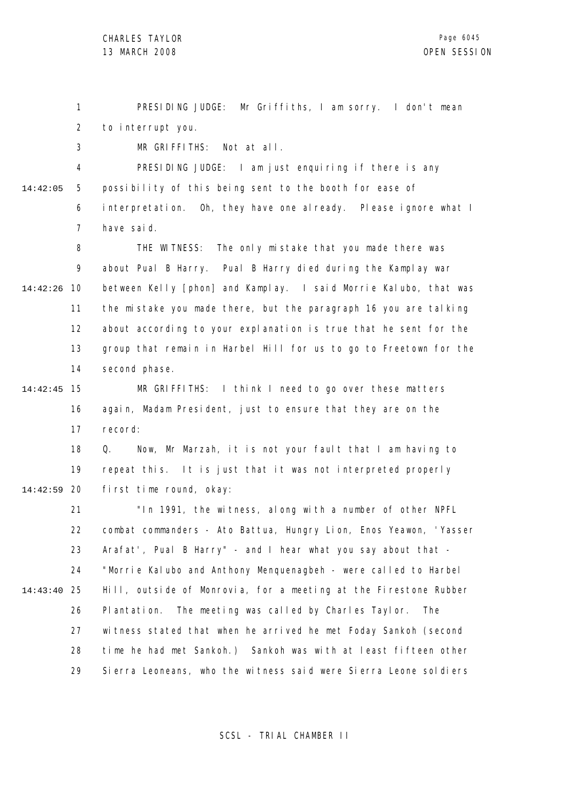1 2 PRESIDING JUDGE: Mr Griffiths, I am sorry. I don't mean to interrupt you.

3 MR GRIFFITHS: Not at all.

4 5 6 7 14:42:05 PRESIDING JUDGE: I am just enquiring if there is any possibility of this being sent to the booth for ease of interpretation. Oh, they have one already. Please ignore what I have said.

8 9 10 14:42:26 11 12 13 14 THE WITNESS: The only mistake that you made there was about Pual B Harry. Pual B Harry died during the Kamplay war between Kelly [phon] and Kamplay. I said Morrie Kalubo, that was the mistake you made there, but the paragraph 16 you are talking about according to your explanation is true that he sent for the group that remain in Harbel Hill for us to go to Freetown for the second phase.

15 14:42:45 16 17 MR GRIFFITHS: I think I need to go over these matters again, Madam President, just to ensure that they are on the record:

18 19 20 14:42:59 Q. Now, Mr Marzah, it is not your fault that I am having to repeat this. It is just that it was not interpreted properly first time round, okay:

21 22 23 24 25 14:43:40 26 27 28 29 "In 1991, the witness, along with a number of other NPFL combat commanders - Ato Battua, Hungry Lion, Enos Yeawon, 'Yasser Arafat', Pual B Harry" - and I hear what you say about that - "Morrie Kalubo and Anthony Menquenagbeh - were called to Harbel Hill, outside of Monrovia, for a meeting at the Firestone Rubber Plantation. The meeting was called by Charles Taylor. The witness stated that when he arrived he met Foday Sankoh (second time he had met Sankoh.) Sankoh was with at least fifteen other Sierra Leoneans, who the witness said were Sierra Leone soldiers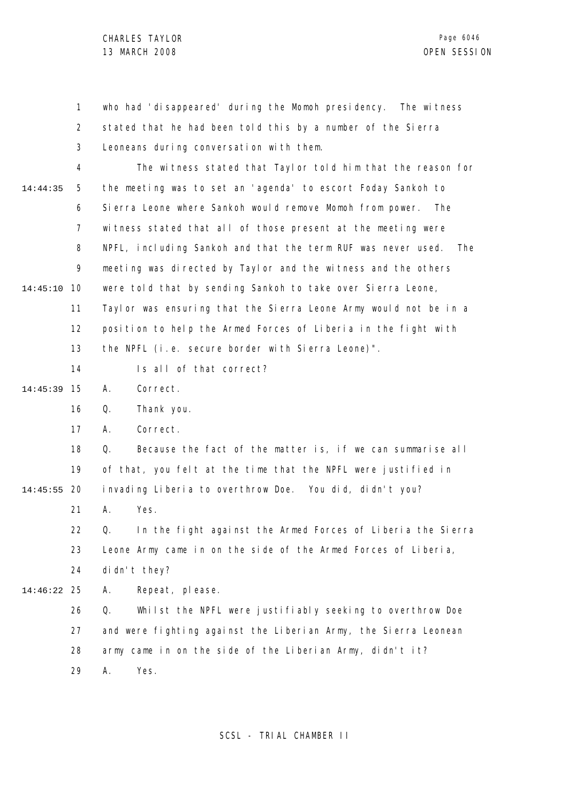1 2 3 4 5 6 7 8 9 10 14:45:10 11 12 13 14 15 14:45:39 16 17 18 19 20 14:45:55 21 22 23 24 25 14:46:22 26 27 28 14:44:35 who had 'disappeared' during the Momoh presidency. The witness stated that he had been told this by a number of the Sierra Leoneans during conversation with them. The witness stated that Taylor told him that the reason for the meeting was to set an 'agenda' to escort Foday Sankoh to Sierra Leone where Sankoh would remove Momoh from power. The witness stated that all of those present at the meeting were NPFL, including Sankoh and that the term RUF was never used. The meeting was directed by Taylor and the witness and the others were told that by sending Sankoh to take over Sierra Leone, Taylor was ensuring that the Sierra Leone Army would not be in a position to help the Armed Forces of Liberia in the fight with the NPFL (i.e. secure border with Sierra Leone)". Is all of that correct? A. Correct. Q. Thank you. A. Correct. Q. Because the fact of the matter is, if we can summarise all of that, you felt at the time that the NPFL were justified in invading Liberia to overthrow Doe. You did, didn't you? A. Yes. Q. In the fight against the Armed Forces of Liberia the Sierra Leone Army came in on the side of the Armed Forces of Liberia, didn't they? A. Repeat, please. Q. Whilst the NPFL were justifiably seeking to overthrow Doe and were fighting against the Liberian Army, the Sierra Leonean army came in on the side of the Liberian Army, didn't it?

> 29 A. Yes.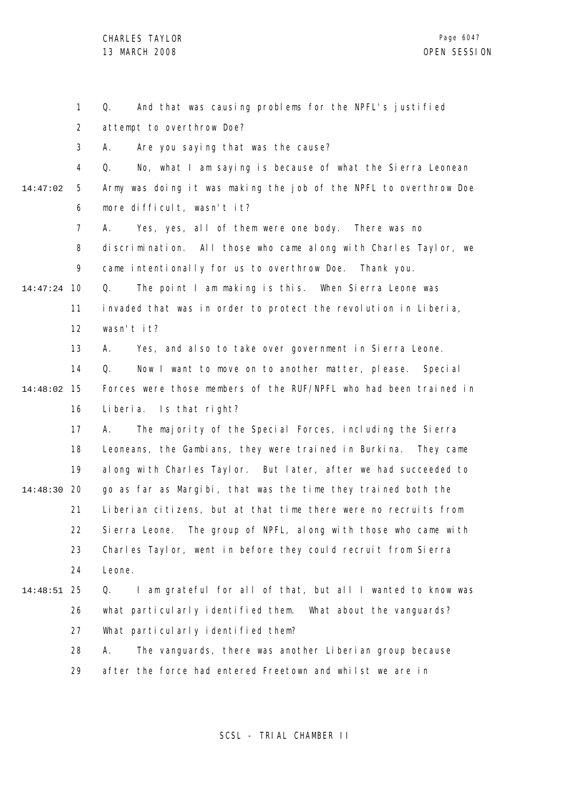1 2 3 4 5 6 7 8  $\mathsf{o}$ 10 14:47:24 11 12 13 14 15 14:48:02 16 17 18 19 20 14:48:30 21 22 23 24 25 14:48:51 26 27 28 29 14:47:02 Q. And that was causing problems for the NPFL's justified attempt to overthrow Doe? A. Are you saying that was the cause? Q. No, what I am saying is because of what the Sierra Leonean Army was doing it was making the job of the NPFL to overthrow Doe more difficult, wasn't it? A. Yes, yes, all of them were one body. There was no discrimination. All those who came along with Charles Taylor, we came intentionally for us to overthrow Doe. Thank you. Q. The point I am making is this. When Sierra Leone was invaded that was in order to protect the revolution in Liberia, wasn't it? A. Yes, and also to take over government in Sierra Leone. Q. Now I want to move on to another matter, please. Special Forces were those members of the RUF/NPFL who had been trained in Liberia. Is that right? A. The majority of the Special Forces, including the Sierra Leoneans, the Gambians, they were trained in Burkina. They came along with Charles Taylor. But later, after we had succeeded to go as far as Margibi, that was the time they trained both the Liberian citizens, but at that time there were no recruits from Sierra Leone. The group of NPFL, along with those who came with Charles Taylor, went in before they could recruit from Sierra Leone. Q. I am grateful for all of that, but all I wanted to know was what particularly identified them. What about the vanguards? What particularly identified them? A. The vanguards, there was another Liberian group because after the force had entered Freetown and whilst we are in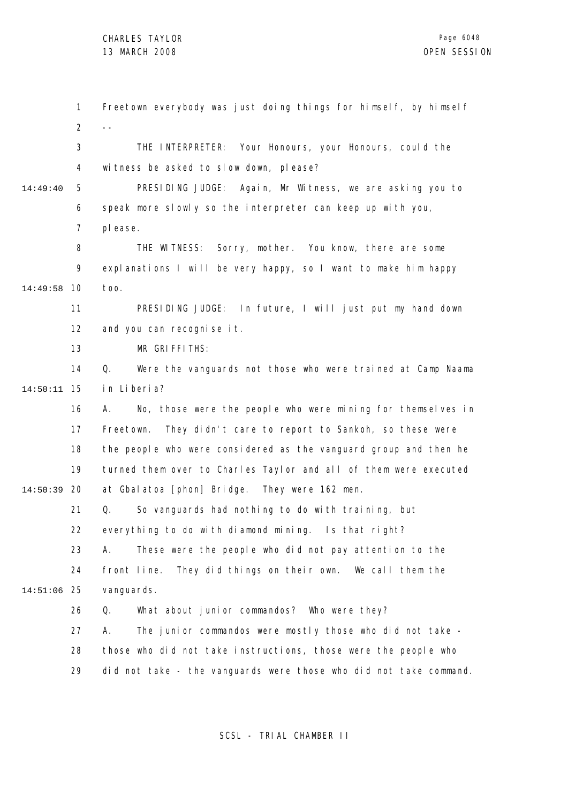1 2 3 4 5 6 7 8 9 10 14:49:58 11 12 13 14 15 14:50:11 16 17 18 19 20 14:50:39 21 22 23 24 25 14:51:06 26 27 28 29 14:49:40 Freetown everybody was just doing things for himself, by himself  $-$ THE INTERPRETER: Your Honours, your Honours, could the witness be asked to slow down, please? PRESIDING JUDGE: Again, Mr Witness, we are asking you to speak more slowly so the interpreter can keep up with you, please. THE WITNESS: Sorry, mother. You know, there are some explanations I will be very happy, so I want to make him happy too. PRESIDING JUDGE: In future, I will just put my hand down and you can recognise it. MR GRIFFITHS: Q. Were the vanguards not those who were trained at Camp Naama in Liberia? A. No, those were the people who were mining for themselves in Freetown. They didn't care to report to Sankoh, so these were the people who were considered as the vanguard group and then he turned them over to Charles Taylor and all of them were executed at Gbalatoa [phon] Bridge. They were 162 men. Q. So vanguards had nothing to do with training, but everything to do with diamond mining. Is that right? A. These were the people who did not pay attention to the front line. They did things on their own. We call them the vanguards. Q. What about junior commandos? Who were they? A. The junior commandos were mostly those who did not take those who did not take instructions, those were the people who did not take - the vanguards were those who did not take command.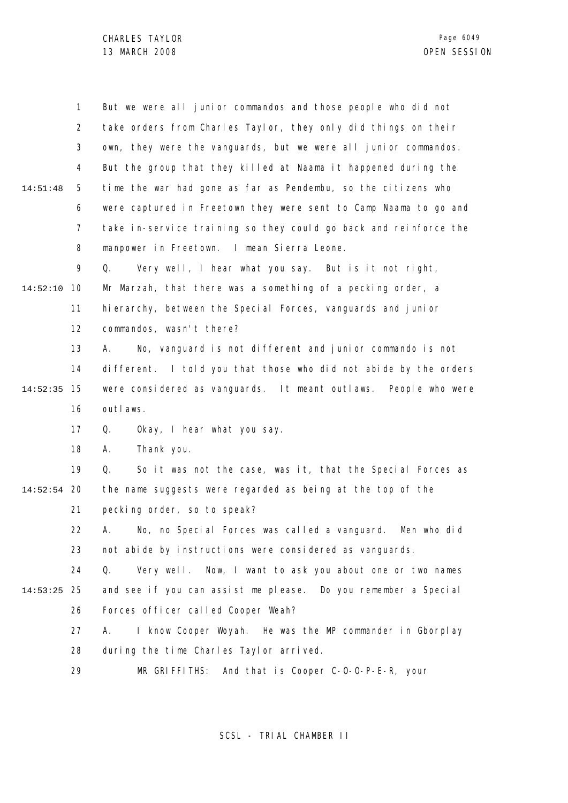1 2 3 4 5 6 7 8 9 10 14:52:10 11 12 13 14 15 14:52:35 16 17 18 19 20 14:52:54 21 22 23 24 25 14:53:25 26 27 28 29 14:51:48 But we were all junior commandos and those people who did not take orders from Charles Taylor, they only did things on their own, they were the vanguards, but we were all junior commandos. But the group that they killed at Naama it happened during the time the war had gone as far as Pendembu, so the citizens who were captured in Freetown they were sent to Camp Naama to go and take in-service training so they could go back and reinforce the manpower in Freetown. I mean Sierra Leone. Q. Very well, I hear what you say. But is it not right, Mr Marzah, that there was a something of a pecking order, a hierarchy, between the Special Forces, vanguards and junior commandos, wasn't there? A. No, vanguard is not different and junior commando is not different. I told you that those who did not abide by the orders were considered as vanguards. It meant outlaws. People who were outlaws. Q. Okay, I hear what you say. A. Thank you. Q. So it was not the case, was it, that the Special Forces as the name suggests were regarded as being at the top of the pecking order, so to speak? A. No, no Special Forces was called a vanguard. Men who did not abide by instructions were considered as vanguards. Q. Very well. Now, I want to ask you about one or two names and see if you can assist me please. Do you remember a Special Forces officer called Cooper Weah? A. I know Cooper Woyah. He was the MP commander in Gborplay during the time Charles Taylor arrived. MR GRIFFITHS: And that is Cooper C-O-O-P-E-R, your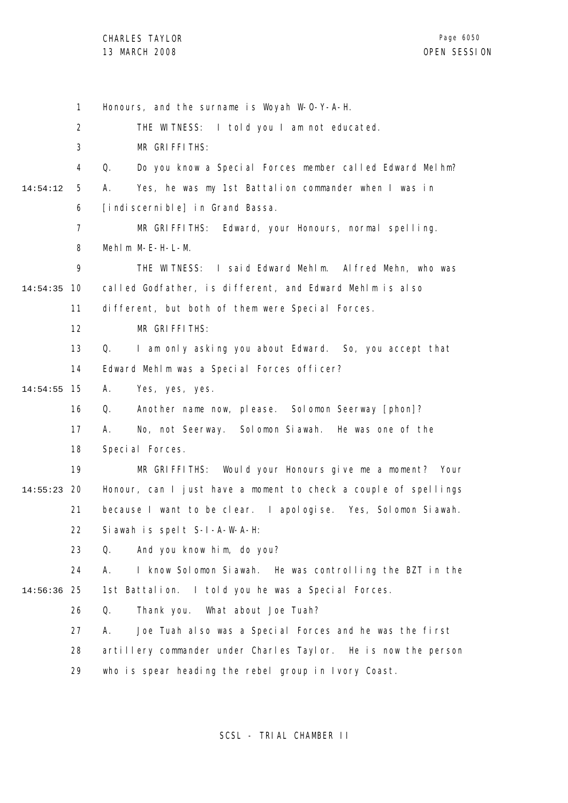1 2 3 4 5 6 7 8 9 10 14:54:35 11 12 13 14 15 14:54:55 16 17 18 19 20 14:55:23 21 22 23 24 25 14:56:36 26 27 28 29 14:54:12 Honours, and the surname is Woyah W-O-Y-A-H. THE WITNESS: I told you I am not educated. MR GRIFFITHS: Q. Do you know a Special Forces member called Edward Melhm? A. Yes, he was my 1st Battalion commander when I was in [indiscernible] in Grand Bassa. MR GRIFFITHS: Edward, your Honours, normal spelling. Mehlm M-E-H-L-M. THE WITNESS: I said Edward Mehlm. Alfred Mehn, who was called Godfather, is different, and Edward Mehlm is also different, but both of them were Special Forces. MR GRIFFITHS: Q. I am only asking you about Edward. So, you accept that Edward Mehlm was a Special Forces officer? A. Yes, yes, yes. Q. Another name now, please. Solomon Seerway [phon]? A. No, not Seerway. Solomon Siawah. He was one of the Special Forces. MR GRIFFITHS: Would your Honours give me a moment? Your Honour, can I just have a moment to check a couple of spellings because I want to be clear. I apologise. Yes, Solomon Siawah. Siawah is spelt S-I-A-W-A-H: Q. And you know him, do you? A. I know Solomon Siawah. He was controlling the BZT in the 1st Battalion. I told you he was a Special Forces. Q. Thank you. What about Joe Tuah? A. Joe Tuah also was a Special Forces and he was the first artillery commander under Charles Taylor. He is now the person who is spear heading the rebel group in Ivory Coast.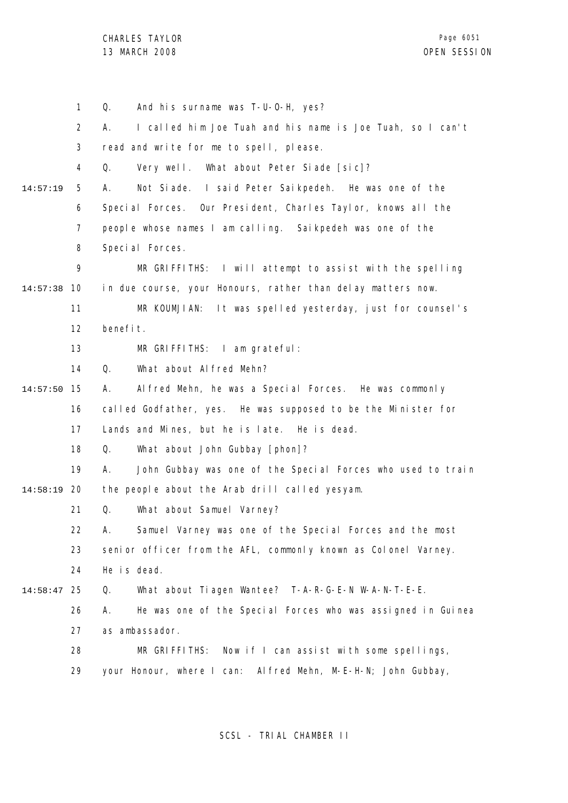1 2 3 4 5 6 7 8 9 10 14:57:38 11 12 13 14 15 14:57:50 16 17 18 19 20 14:58:19 21 22 23 24 25 14:58:47 26 27 28 29 14:57:19 Q. And his surname was T-U-O-H, yes? A. I called him Joe Tuah and his name is Joe Tuah, so I can't read and write for me to spell, please. Q. Very well. What about Peter Siade [sic]? A. Not Siade. I said Peter Saikpedeh. He was one of the Special Forces. Our President, Charles Taylor, knows all the people whose names I am calling. Saikpedeh was one of the Special Forces. MR GRIFFITHS: I will attempt to assist with the spelling in due course, your Honours, rather than delay matters now. MR KOUMJIAN: It was spelled yesterday, just for counsel's benefit. MR GRIFFITHS: I am grateful: Q. What about Alfred Mehn? A. Alfred Mehn, he was a Special Forces. He was commonly called Godfather, yes. He was supposed to be the Minister for Lands and Mines, but he is late. He is dead. Q. What about John Gubbay [phon]? A. John Gubbay was one of the Special Forces who used to train the people about the Arab drill called yesyam. Q. What about Samuel Varney? A. Samuel Varney was one of the Special Forces and the most senior officer from the AFL, commonly known as Colonel Varney. He is dead. Q. What about Tiagen Wantee? T-A-R-G-E-N W-A-N-T-E-E. A. He was one of the Special Forces who was assigned in Guinea as ambassador. MR GRIFFITHS: Now if I can assist with some spellings, your Honour, where I can: Alfred Mehn, M-E-H-N; John Gubbay,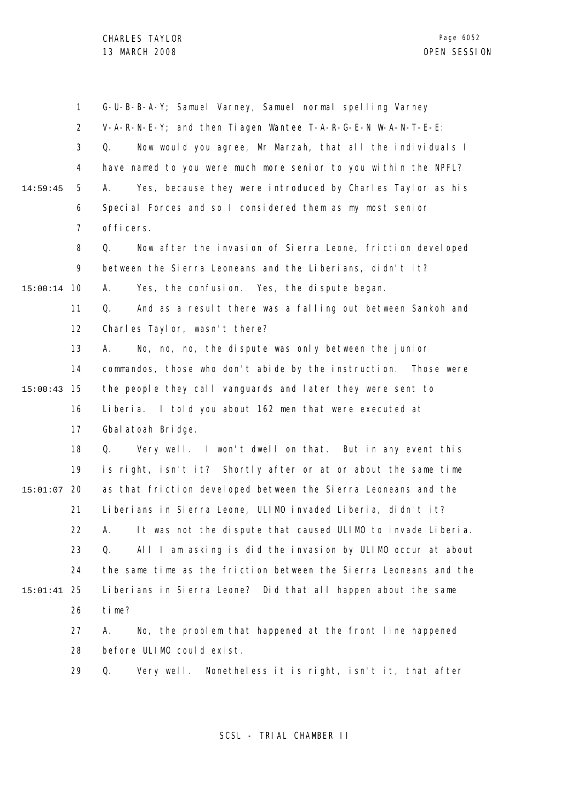1 2 3 4 5 6 7 8 9 10 15:00:14 11 12 13 14 15 15:00:43 16 17 18 19 20 15:01:07 21 22 23 24 25 15:01:41 26 27 28 29 14:59:45 G-U-B-B-A-Y; Samuel Varney, Samuel normal spelling Varney V-A-R-N-E-Y; and then Tiagen Wantee T-A-R-G-E-N W-A-N-T-E-E: Q. Now would you agree, Mr Marzah, that all the individuals I have named to you were much more senior to you within the NPFL? A. Yes, because they were introduced by Charles Taylor as his Special Forces and so I considered them as my most senior officers. Q. Now after the invasion of Sierra Leone, friction developed between the Sierra Leoneans and the Liberians, didn't it? A. Yes, the confusion. Yes, the dispute began. Q. And as a result there was a falling out between Sankoh and Charles Taylor, wasn't there? A. No, no, no, the dispute was only between the junior commandos, those who don't abide by the instruction. Those were the people they call vanguards and later they were sent to Liberia. I told you about 162 men that were executed at Gbalatoah Bridge. Q. Very well. I won't dwell on that. But in any event this is right, isn't it? Shortly after or at or about the same time as that friction developed between the Sierra Leoneans and the Liberians in Sierra Leone, ULIMO invaded Liberia, didn't it? A. It was not the dispute that caused ULIMO to invade Liberia. Q. All I am asking is did the invasion by ULIMO occur at about the same time as the friction between the Sierra Leoneans and the Liberians in Sierra Leone? Did that all happen about the same time? A. No, the problem that happened at the front line happened before ULIMO could exist. Q. Very well. Nonetheless it is right, isn't it, that after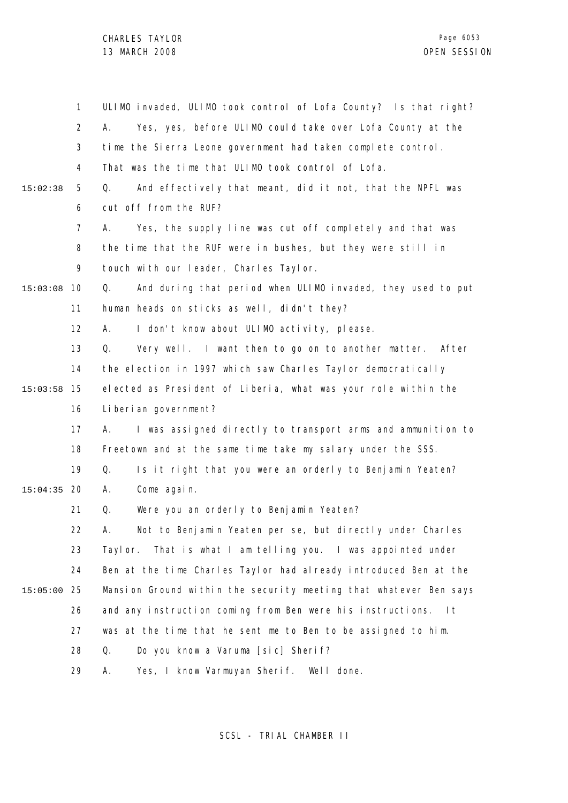|          | 1              | ULIMO invaded, ULIMO took control of Lofa County? Is that right?    |
|----------|----------------|---------------------------------------------------------------------|
|          | $\overline{2}$ | А.<br>Yes, yes, before ULIMO could take over Lofa County at the     |
|          | 3              | time the Sierra Leone government had taken complete control.        |
|          | 4              | That was the time that ULIMO took control of Lofa.                  |
| 15:02:38 | 5              | And effectively that meant, did it not, that the NPFL was<br>Q.     |
|          | 6              | cut off from the RUF?                                               |
|          | 7              | Yes, the supply line was cut off completely and that was<br>А.      |
|          | 8              | the time that the RUF were in bushes, but they were still in        |
|          | 9              | touch with our leader, Charles Taylor.                              |
| 15:03:08 | 10             | And during that period when ULIMO invaded, they used to put<br>Q.   |
|          | 11             | human heads on sticks as well, didn't they?                         |
|          | 12             | I don't know about ULIMO activity, please.<br>А.                    |
|          | 13             | Very well. I want then to go on to another matter. After<br>Q.      |
|          | 14             | the election in 1997 which saw Charles Taylor democratically        |
| 15:03:58 | 15             | elected as President of Liberia, what was your role within the      |
|          | 16             | Liberian government?                                                |
|          | 17             | I was assigned directly to transport arms and ammunition to<br>А.   |
|          | 18             | Freetown and at the same time take my salary under the SSS.         |
|          | 19             | Q.<br>Is it right that you were an orderly to Benjamin Yeaten?      |
| 15:04:35 | 20             | Come again.<br>Α.                                                   |
|          | 21             | Were you an orderly to Benjamin Yeaten?<br>Q.                       |
|          | 22             | Not to Benjamin Yeaten per se, but directly under Charles<br>Α.     |
|          | 23             | Taylor. That is what I am telling you. I was appointed under        |
|          | 24             | Ben at the time Charles Taylor had already introduced Ben at the    |
| 15:05:00 | 25             | Mansion Ground within the security meeting that whatever Ben says   |
|          | 26             | and any instruction coming from Ben were his instructions.<br>- I t |
|          | 27             | was at the time that he sent me to Ben to be assigned to him.       |
|          | 28             | Do you know a Varuma [sic] Sherif?<br>Q.                            |
|          | 29             | Yes, I know Varmuyan Sherif. Well done.<br>Α.                       |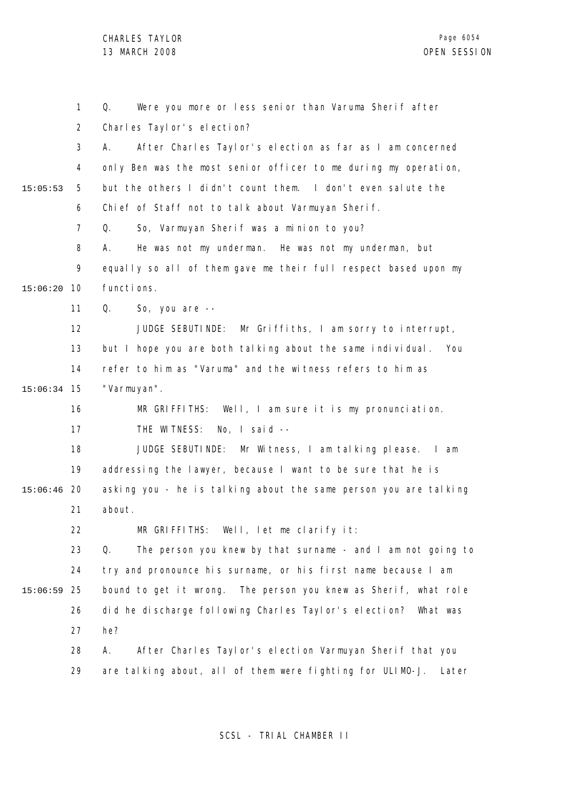1 2 3 4 5 6 7 8 9 10 15:06:20 11 12 13 14 15 15:06:34 16 17 18 19 20 15:06:46 21 22 23 24 25 15:06:59 26 27 28 29 15:05:53 Q. Were you more or less senior than Varuma Sherif after Charles Taylor's election? A. After Charles Taylor's election as far as I am concerned only Ben was the most senior officer to me during my operation, but the others I didn't count them. I don't even salute the Chief of Staff not to talk about Varmuyan Sherif. Q. So, Varmuyan Sherif was a minion to you? A. He was not my underman. He was not my underman, but equally so all of them gave me their full respect based upon my functions. Q. So, you are -- JUDGE SEBUTINDE: Mr Griffiths, I am sorry to interrupt, but I hope you are both talking about the same individual. You refer to him as "Varuma" and the witness refers to him as "Varmuyan". MR GRIFFITHS: Well, I am sure it is my pronunciation. THE WITNESS: No, I said -- JUDGE SEBUTINDE: Mr Witness, I am talking please. I am addressing the lawyer, because I want to be sure that he is asking you - he is talking about the same person you are talking about. MR GRIFFITHS: Well, let me clarify it: Q. The person you knew by that surname - and I am not going to try and pronounce his surname, or his first name because I am bound to get it wrong. The person you knew as Sherif, what role did he discharge following Charles Taylor's election? What was he? A. After Charles Taylor's election Varmuyan Sherif that you are talking about, all of them were fighting for ULIMO-J. Later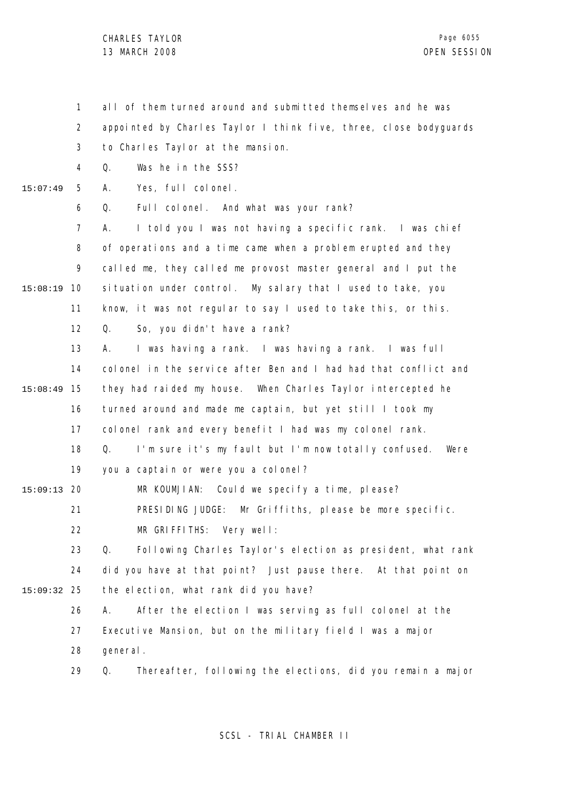1 2 3 4 5 6 7 8 9 10 15:08:19 11 12 13 14 15 15:08:49 16 17 18 19 20 15:09:13 21 22 23 24 25 15:09:32 26 27 28 29 15:07:49 all of them turned around and submitted themselves and he was appointed by Charles Taylor I think five, three, close bodyguards to Charles Taylor at the mansion. Q. Was he in the SSS? A. Yes, full colonel. Q. Full colonel. And what was your rank? A. I told you I was not having a specific rank. I was chief of operations and a time came when a problem erupted and they called me, they called me provost master general and I put the situation under control. My salary that I used to take, you know, it was not regular to say I used to take this, or this. Q. So, you didn't have a rank? A. I was having a rank. I was having a rank. I was full colonel in the service after Ben and I had had that conflict and they had raided my house. When Charles Taylor intercepted he turned around and made me captain, but yet still I took my colonel rank and every benefit I had was my colonel rank. Q. I'm sure it's my fault but I'm now totally confused. Were you a captain or were you a colonel? MR KOUMJIAN: Could we specify a time, please? PRESIDING JUDGE: Mr Griffiths, please be more specific. MR GRIFFITHS: Very well: Q. Following Charles Taylor's election as president, what rank did you have at that point? Just pause there. At that point on the election, what rank did you have? A. After the election I was serving as full colonel at the Executive Mansion, but on the military field I was a major general. Q. Thereafter, following the elections, did you remain a major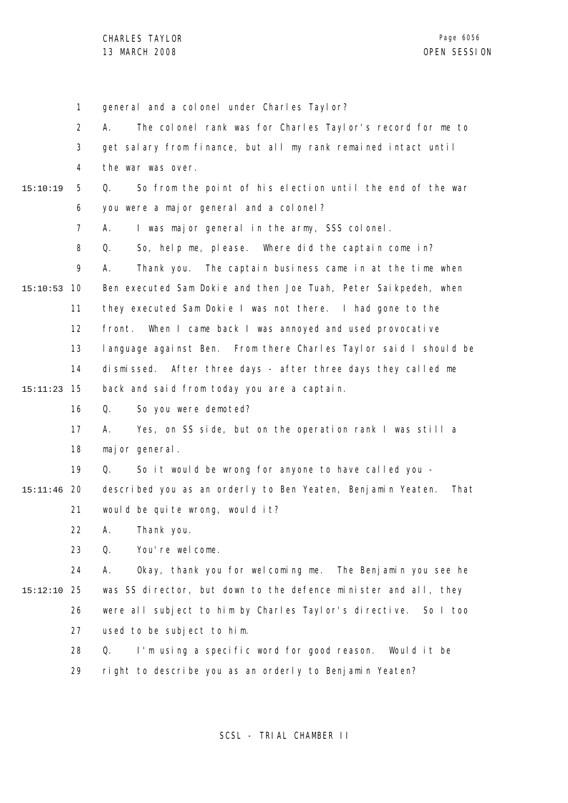1 2 3 4 5 6 7 8 9 10 15:10:53 11 12 13 14 15 15:11:23 16 17 18 19 20 15:11:46 21 22 23 24 25 15:12:10 26 27 28 29 15:10:19 general and a colonel under Charles Taylor? A. The colonel rank was for Charles Taylor's record for me to get salary from finance, but all my rank remained intact until the war was over. Q. So from the point of his election until the end of the war you were a major general and a colonel? A. I was major general in the army, SSS colonel. Q. So, help me, please. Where did the captain come in? A. Thank you. The captain business came in at the time when Ben executed Sam Dokie and then Joe Tuah, Peter Saikpedeh, when they executed Sam Dokie I was not there. I had gone to the front. When I came back I was annoyed and used provocative language against Ben. From there Charles Taylor said I should be dismissed. After three days - after three days they called me back and said from today you are a captain. Q. So you were demoted? A. Yes, on SS side, but on the operation rank I was still a major general. Q. So it would be wrong for anyone to have called you described you as an orderly to Ben Yeaten, Benjamin Yeaten. That would be quite wrong, would it? A. Thank you. Q. You're welcome. A. Okay, thank you for welcoming me. The Benjamin you see he was SS director, but down to the defence minister and all, they were all subject to him by Charles Taylor's directive. So I too used to be subject to him. Q. I'm using a specific word for good reason. Would it be right to describe you as an orderly to Benjamin Yeaten?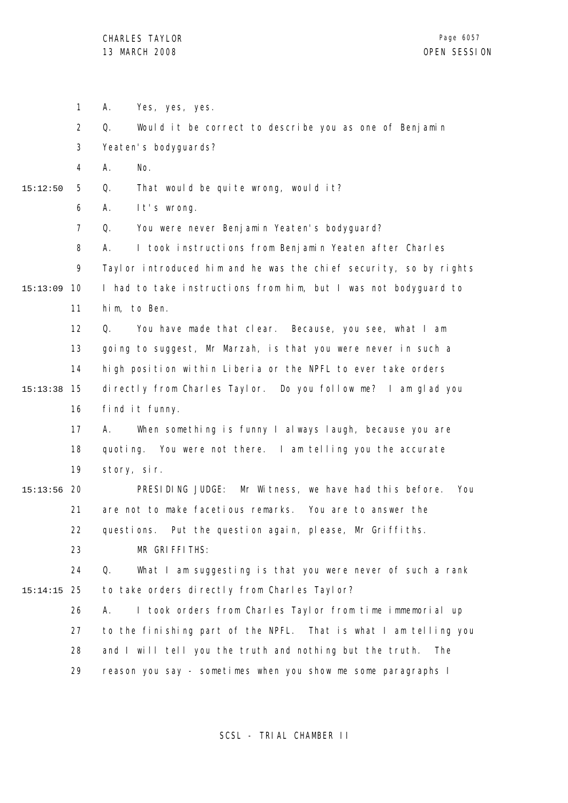1 2 3 4 5 6 7 8  $\mathsf{o}$ 10 15:13:09 11 12 13 14 15 15:13:38 16 17 18 19 20 15:13:56 21 22 23 24 25 15:14:15 26 27 28 29 15:12:50 A. Yes, yes, yes. Q. Would it be correct to describe you as one of Benjamin Yeaten's bodyguards? A. No. Q. That would be quite wrong, would it? A. It's wrong. Q. You were never Benjamin Yeaten's bodyguard? A. I took instructions from Benjamin Yeaten after Charles Taylor introduced him and he was the chief security, so by rights I had to take instructions from him, but I was not bodyguard to him, to Ben. Q. You have made that clear. Because, you see, what I am going to suggest, Mr Marzah, is that you were never in such a high position within Liberia or the NPFL to ever take orders directly from Charles Taylor. Do you follow me? I am glad you find it funny. A. When something is funny I always laugh, because you are quoting. You were not there. I am telling you the accurate story, sir. PRESIDING JUDGE: Mr Witness, we have had this before. You are not to make facetious remarks. You are to answer the questions. Put the question again, please, Mr Griffiths. MR GRIFFITHS: Q. What I am suggesting is that you were never of such a rank to take orders directly from Charles Taylor? A. I took orders from Charles Taylor from time immemorial up to the finishing part of the NPFL. That is what I am telling you and I will tell you the truth and nothing but the truth. The reason you say - sometimes when you show me some paragraphs I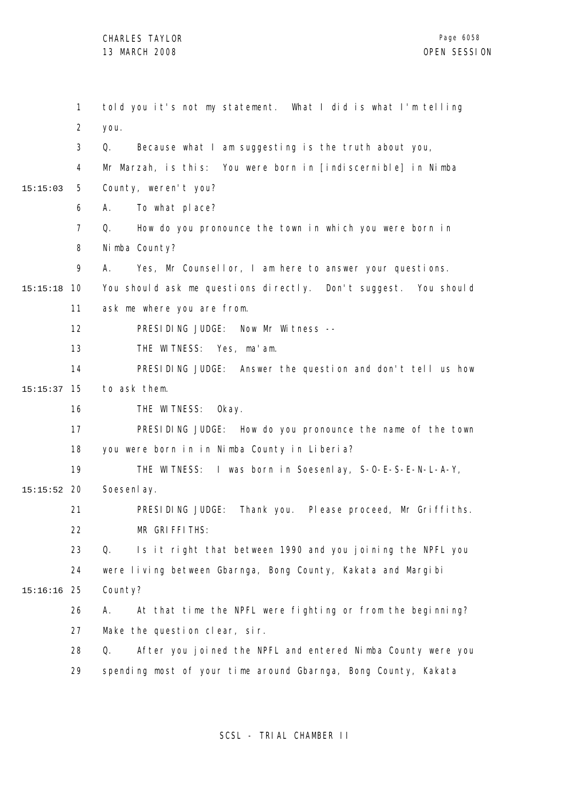1 2 3 4 5 6 7 8 9 10 15:15:18 11 12 13 14 15 15:15:37 16 17 18 19 20 15:15:52 21 22 23 24 25 15:16:16 26 27 28 29 15:15:03 told you it's not my statement. What I did is what I'm telling you. Q. Because what I am suggesting is the truth about you, Mr Marzah, is this: You were born in [indiscernible] in Nimba County, weren't you? A. To what place? Q. How do you pronounce the town in which you were born in Nimba County? A. Yes, Mr Counsellor, I am here to answer your questions. You should ask me questions directly. Don't suggest. You should ask me where you are from. PRESIDING JUDGE: Now Mr Witness -- THE WITNESS: Yes, ma'am. PRESIDING JUDGE: Answer the question and don't tell us how to ask them. THE WITNESS: Okay. PRESIDING JUDGE: How do you pronounce the name of the town you were born in in Nimba County in Liberia? THE WITNESS: I was born in Soesenlay, S-O-E-S-E-N-L-A-Y, Soesenl av. PRESIDING JUDGE: Thank you. Please proceed, Mr Griffiths. MR GRIFFITHS: Q. Is it right that between 1990 and you joining the NPFL you were living between Gbarnga, Bong County, Kakata and Margibi County? A. At that time the NPFL were fighting or from the beginning? Make the question clear, sir. Q. After you joined the NPFL and entered Nimba County were you spending most of your time around Gbarnga, Bong County, Kakata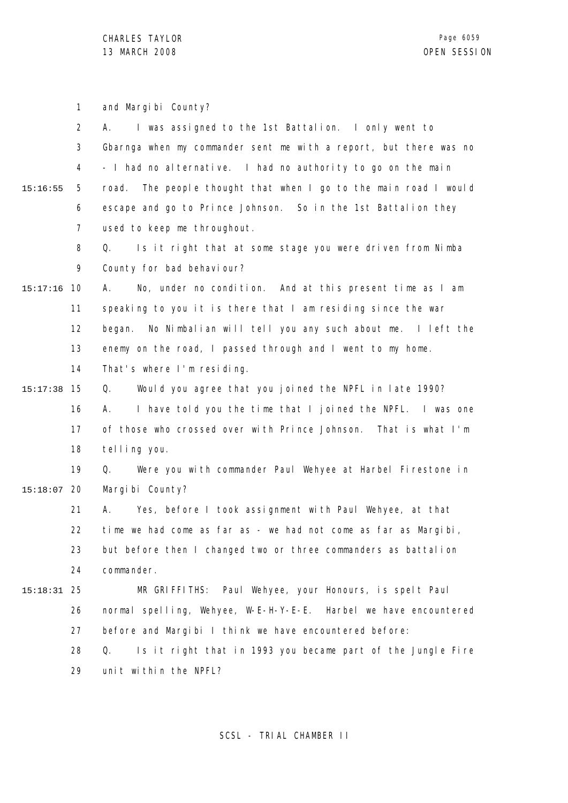1 2 3 4 5 6 7 8 9 10 15:17:16 11 12 13 14 15 15:17:38 16 17 18 19 20 15:18:07 21 22 23 24 25 15:18:31 26 27 28 29 15:16:55 and Margibi County? A. I was assigned to the 1st Battalion. I only went to Gbarnga when my commander sent me with a report, but there was no - I had no alternative. I had no authority to go on the main road. The people thought that when I go to the main road I would escape and go to Prince Johnson. So in the 1st Battalion they used to keep me throughout. Q. Is it right that at some stage you were driven from Nimba County for bad behaviour? A. No, under no condition. And at this present time as I am speaking to you it is there that I am residing since the war began. No Nimbalian will tell you any such about me. I left the enemy on the road, I passed through and I went to my home. That's where I'm residing. Q. Would you agree that you joined the NPFL in late 1990? A. I have told you the time that I joined the NPFL. I was one of those who crossed over with Prince Johnson. That is what I'm telling you. Q. Were you with commander Paul Wehyee at Harbel Firestone in Margibi County? A. Yes, before I took assignment with Paul Wehyee, at that time we had come as far as - we had not come as far as Margibi, but before then I changed two or three commanders as battalion commander. MR GRIFFITHS: Paul Wehyee, your Honours, is spelt Paul normal spelling, Wehyee, W-E-H-Y-E-E. Harbel we have encountered before and Margibi I think we have encountered before: Q. Is it right that in 1993 you became part of the Jungle Fire unit within the NPFL?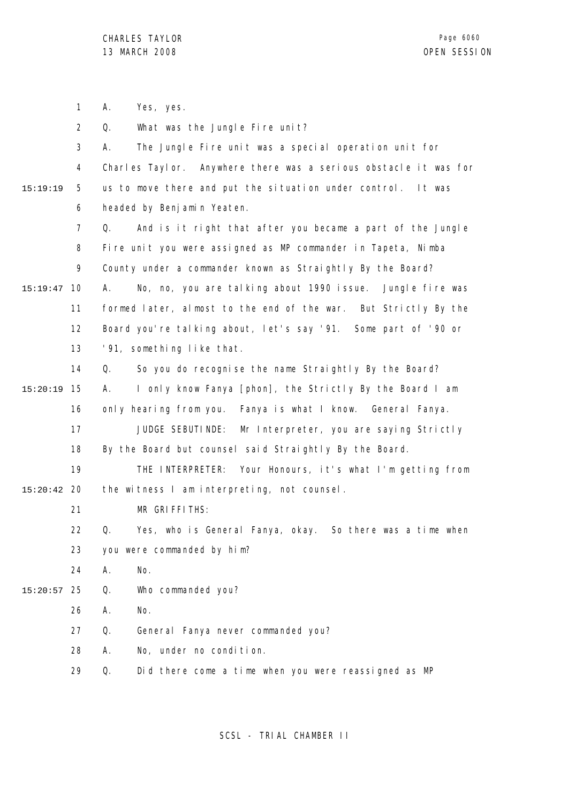1 2 3 4 5 6 7 8 9 10 15:19:47 11 12 13 14 15 15:20:19 16 17 18 19 20 15:20:42 21 22 23 24 25 15:20:57 26 27 28 29 15:19:19 A. Yes, yes. Q. What was the Jungle Fire unit? A. The Jungle Fire unit was a special operation unit for Charles Taylor. Anywhere there was a serious obstacle it was for us to move there and put the situation under control. It was headed by Benjamin Yeaten. Q. And is it right that after you became a part of the Jungle Fire unit you were assigned as MP commander in Tapeta, Nimba County under a commander known as Straightly By the Board? A. No, no, you are talking about 1990 issue. Jungle fire was formed later, almost to the end of the war. But Strictly By the Board you're talking about, let's say '91. Some part of '90 or '91, something like that. Q. So you do recognise the name Straightly By the Board? A. I only know Fanya [phon], the Strictly By the Board I am only hearing from you. Fanya is what I know. General Fanya. JUDGE SEBUTINDE: Mr Interpreter, you are saying Strictly By the Board but counsel said Straightly By the Board. THE INTERPRETER: Your Honours, it's what I'm getting from the witness I am interpreting, not counsel. MR GRIFFITHS: Q. Yes, who is General Fanya, okay. So there was a time when you were commanded by him? A. No. Q. Who commanded you? A. No. Q. General Fanya never commanded you? A. No, under no condition. Q. Did there come a time when you were reassigned as MP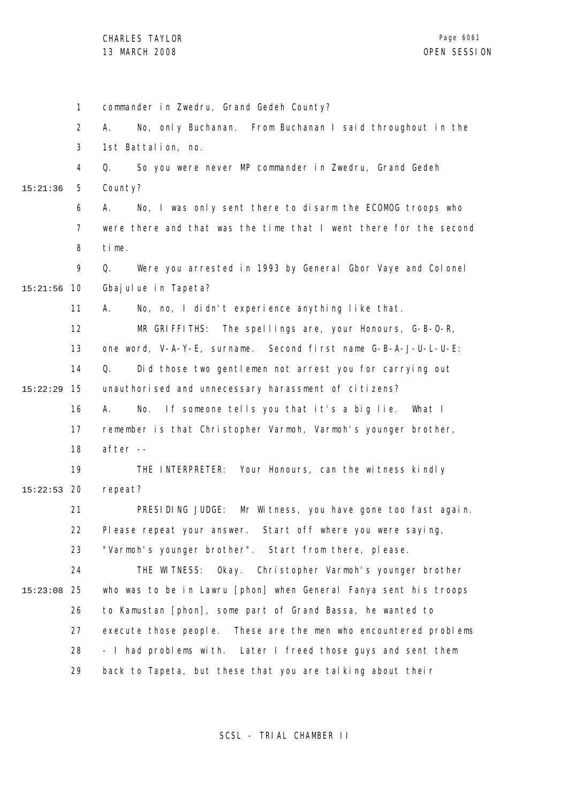1 2 3 4 5 6 7 8 9 10 15:21:56 11 12 13 14 15 15:22:29 16 17 18 19 20 15:22:53 21 22 23 24 25 15:23:08 26 27 28 29 15:21:36 commander in Zwedru, Grand Gedeh County? A. No, only Buchanan. From Buchanan I said throughout in the 1st Battalion, no. Q. So you were never MP commander in Zwedru, Grand Gedeh County? A. No, I was only sent there to disarm the ECOMOG troops who were there and that was the time that I went there for the second time. Q. Were you arrested in 1993 by General Gbor Vaye and Colonel Gbajulue in Tapeta? A. No, no, I didn't experience anything like that. MR GRIFFITHS: The spellings are, your Honours, G-B-O-R, one word, V-A-Y-E, surname. Second first name G-B-A-J-U-L-U-E: Q. Did those two gentlemen not arrest you for carrying out unauthorised and unnecessary harassment of citizens? A. No. If someone tells you that it's a big lie. What I remember is that Christopher Varmoh, Varmoh's younger brother, after -- THE INTERPRETER: Your Honours, can the witness kindly repeat? PRESIDING JUDGE: Mr Witness, you have gone too fast again. Please repeat your answer. Start off where you were saying, "Varmoh's younger brother". Start from there, please. THE WITNESS: Okay. Christopher Varmoh's younger brother who was to be in Lawru [phon] when General Fanya sent his troops to Kamustan [phon], some part of Grand Bassa, he wanted to execute those people. These are the men who encountered problems - I had problems with. Later I freed those guys and sent them back to Tapeta, but these that you are talking about their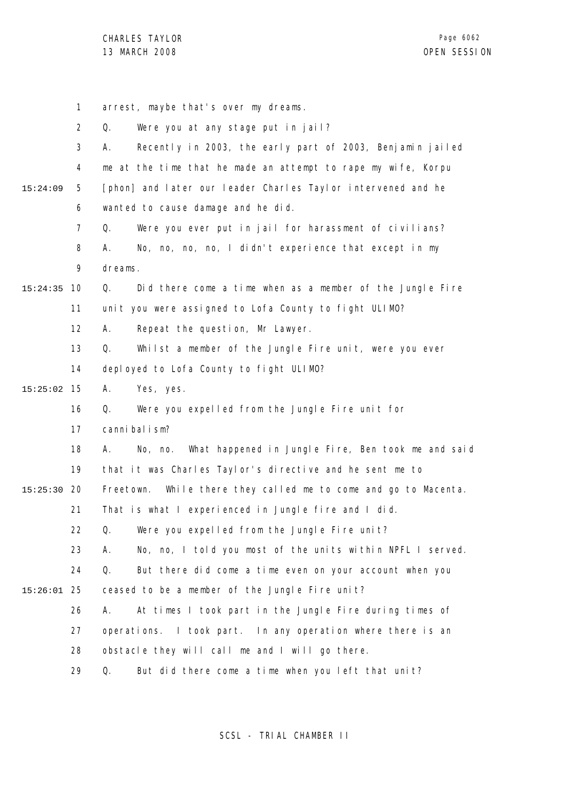|          | $\mathbf{1}$   | arrest, maybe that's over my dreams.                                |
|----------|----------------|---------------------------------------------------------------------|
|          | $\overline{2}$ | Were you at any stage put in jail?<br>Q.                            |
|          | 3              | Recently in 2003, the early part of 2003, Benjamin jailed<br>А.     |
|          | 4              | me at the time that he made an attempt to rape my wife, Korpu       |
| 15:24:09 | 5              | [phon] and later our leader Charles Taylor intervened and he        |
|          | 6              | wanted to cause damage and he did.                                  |
|          | $\overline{7}$ | Q.<br>Were you ever put in jail for harassment of civilians?        |
|          | 8              | No, no, no, no, I didn't experience that except in my<br>А.         |
|          | 9              | dreams.                                                             |
| 15:24:35 | 10             | Did there come a time when as a member of the Jungle Fire<br>Q.     |
|          | 11             | unit you were assigned to Lofa County to fight ULIMO?               |
|          | 12             | Repeat the question, Mr Lawyer.<br>А.                               |
|          | 13             | Q.<br>Whilst a member of the Jungle Fire unit, were you ever        |
|          | 14             | deployed to Lofa County to fight ULIMO?                             |
| 15:25:02 | 15             | Yes, yes.<br>А.                                                     |
|          | 16             | Were you expelled from the Jungle Fire unit for<br>Q.               |
|          | 17             | cannibal ism?                                                       |
|          | 18             | What happened in Jungle Fire, Ben took me and said<br>А.<br>No, no. |
|          | 19             | that it was Charles Taylor's directive and he sent me to            |
| 15:25:30 | -20            | While there they called me to come and go to Macenta.<br>Freetown.  |
|          | 21             | That is what I experienced in Jungle fire and I did.                |
|          | 22             | Were you expelled from the Jungle Fire unit?<br>Q.                  |
|          | 23             | No, no, I told you most of the units within NPFL I served.<br>А.    |
|          | 24             | Q.<br>But there did come a time even on your account when you       |
| 15:26:01 | 25             | ceased to be a member of the Jungle Fire unit?                      |
|          | 26             | At times I took part in the Jungle Fire during times of<br>А.       |
|          | 27             | operations. I took part. In any operation where there is an         |
|          | 28             | obstacle they will call me and I will go there.                     |
|          | 29             | But did there come a time when you left that unit?<br>Q.            |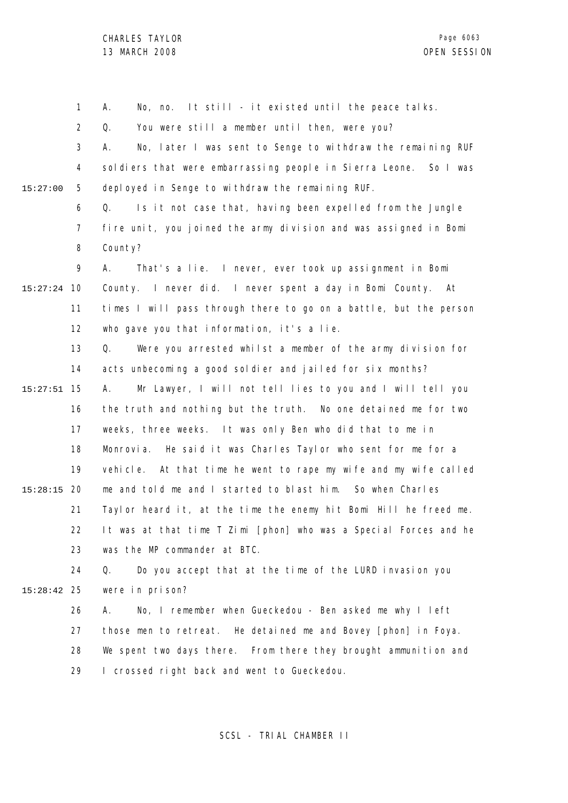1 2 3 4 5 6 7 8 9 10 15:27:24 11 12 13 14 15 15:27:51 16 17 18 19 20 15:28:15 21 22 23 24 25 15:28:42 26 27 28 29 15:27:00 A. No, no. It still - it existed until the peace talks. Q. You were still a member until then, were you? A. No, later I was sent to Senge to withdraw the remaining RUF soldiers that were embarrassing people in Sierra Leone. So I was deployed in Senge to withdraw the remaining RUF. Q. Is it not case that, having been expelled from the Jungle fire unit, you joined the army division and was assigned in Bomi County? A. That's a lie. I never, ever took up assignment in Bomi County. I never did. I never spent a day in Bomi County. At times I will pass through there to go on a battle, but the person who gave you that information, it's a lie. Q. Were you arrested whilst a member of the army division for acts unbecoming a good soldier and jailed for six months? A. Mr Lawyer, I will not tell lies to you and I will tell you the truth and nothing but the truth. No one detained me for two weeks, three weeks. It was only Ben who did that to me in Monrovia. He said it was Charles Taylor who sent for me for a vehicle. At that time he went to rape my wife and my wife called me and told me and I started to blast him. So when Charles Taylor heard it, at the time the enemy hit Bomi Hill he freed me. It was at that time T Zimi [phon] who was a Special Forces and he was the MP commander at BTC. Q. Do you accept that at the time of the LURD invasion you were in prison? A. No, I remember when Gueckedou - Ben asked me why I left those men to retreat. He detained me and Bovey [phon] in Foya. We spent two days there. From there they brought ammunition and I crossed right back and went to Gueckedou.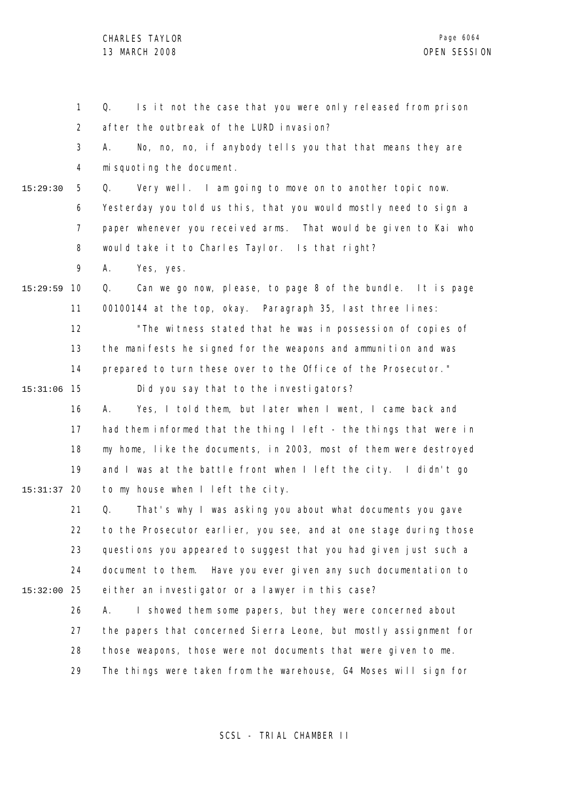1 2 3 4 5 6 7 8 9 10 15:29:59 11 12 13 14 15 15:31:06 16 17 18 19 20 15:31:37 21 22 23 24 25 15:32:00 26 27 28 29 15:29:30 Q. Is it not the case that you were only released from prison after the outbreak of the LURD invasion? A. No, no, no, if anybody tells you that that means they are misquoting the document. Q. Very well. I am going to move on to another topic now. Yesterday you told us this, that you would mostly need to sign a paper whenever you received arms. That would be given to Kai who would take it to Charles Taylor. Is that right? A. Yes, yes. Q. Can we go now, please, to page 8 of the bundle. It is page 00100144 at the top, okay. Paragraph 35, last three lines: "The witness stated that he was in possession of copies of the manifests he signed for the weapons and ammunition and was prepared to turn these over to the Office of the Prosecutor." Did you say that to the investigators? A. Yes, I told them, but later when I went, I came back and had them informed that the thing I left - the things that were in my home, like the documents, in 2003, most of them were destroyed and I was at the battle front when I left the city. I didn't go to my house when I left the city. Q. That's why I was asking you about what documents you gave to the Prosecutor earlier, you see, and at one stage during those questions you appeared to suggest that you had given just such a document to them. Have you ever given any such documentation to either an investigator or a lawyer in this case? A. I showed them some papers, but they were concerned about the papers that concerned Sierra Leone, but mostly assignment for those weapons, those were not documents that were given to me. The things were taken from the warehouse, G4 Moses will sign for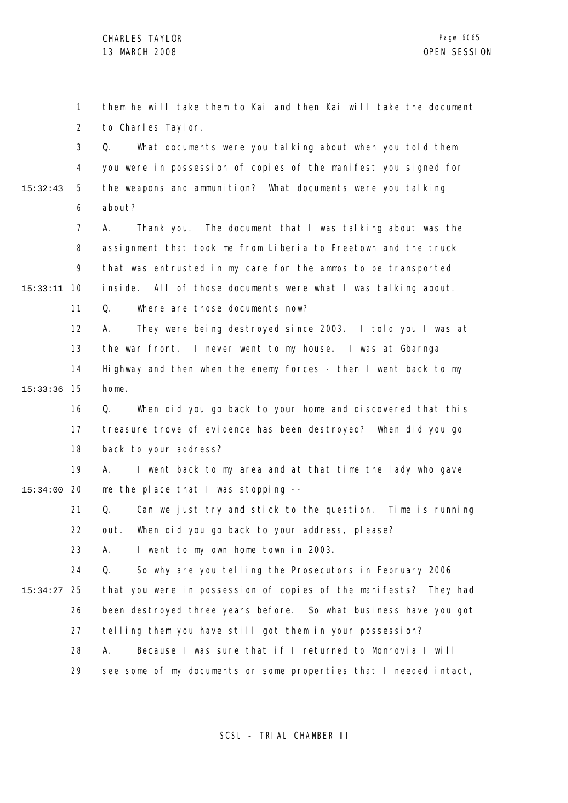1 2 3 4 5 6 7 8 9 10 15:33:11 11 12 13 14 15 15:33:36 16 17 18 19 20 15:34:00 21 22 23 24 25 15:34:27 26 27 28 29 15:32:43 them he will take them to Kai and then Kai will take the document to Charles Taylor. Q. What documents were you talking about when you told them you were in possession of copies of the manifest you signed for the weapons and ammunition? What documents were you talking about? A. Thank you. The document that I was talking about was the assignment that took me from Liberia to Freetown and the truck that was entrusted in my care for the ammos to be transported inside. All of those documents were what I was talking about. Q. Where are those documents now? A. They were being destroyed since 2003. I told you I was at the war front. I never went to my house. I was at Gbarnga Highway and then when the enemy forces - then I went back to my home. Q. When did you go back to your home and discovered that this treasure trove of evidence has been destroyed? When did you go back to your address? A. I went back to my area and at that time the lady who gave me the place that I was stopping -- Q. Can we just try and stick to the question. Time is running out. When did you go back to your address, please? A. I went to my own home town in 2003. Q. So why are you telling the Prosecutors in February 2006 that you were in possession of copies of the manifests? They had been destroyed three years before. So what business have you got telling them you have still got them in your possession? A. Because I was sure that if I returned to Monrovia I will see some of my documents or some properties that I needed intact,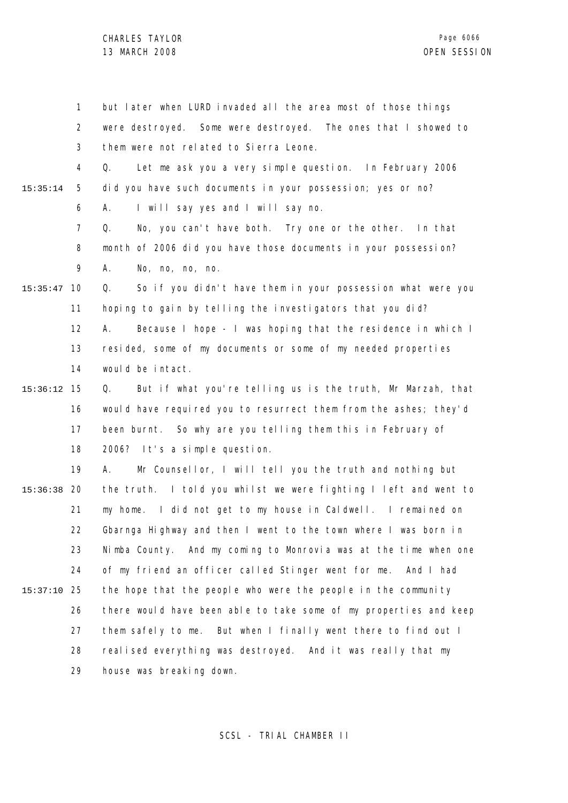1 2 3 4 5 6 7 8 9 10 15:35:47 11 12 13 14 15 15:36:12 16 17 18 19 20 15:36:38 21 22 23 24 25 15:37:10 26 27 28 29 15:35:14 but later when LURD invaded all the area most of those things were destroyed. Some were destroyed. The ones that I showed to them were not related to Sierra Leone. Q. Let me ask you a very simple question. In February 2006 did you have such documents in your possession; yes or no? A. I will say yes and I will say no. Q. No, you can't have both. Try one or the other. In that month of 2006 did you have those documents in your possession? A. No, no, no, no. Q. So if you didn't have them in your possession what were you hoping to gain by telling the investigators that you did? A. Because I hope - I was hoping that the residence in which I resided, some of my documents or some of my needed properties would be intact. Q. But if what you're telling us is the truth, Mr Marzah, that would have required you to resurrect them from the ashes; they'd been burnt. So why are you telling them this in February of 2006? It's a simple question. A. Mr Counsellor, I will tell you the truth and nothing but the truth. I told you whilst we were fighting I left and went to my home. I did not get to my house in Caldwell. I remained on Gbarnga Highway and then I went to the town where I was born in Nimba County. And my coming to Monrovia was at the time when one of my friend an officer called Stinger went for me. And I had the hope that the people who were the people in the community there would have been able to take some of my properties and keep them safely to me. But when I finally went there to find out I realised everything was destroyed. And it was really that my house was breaking down.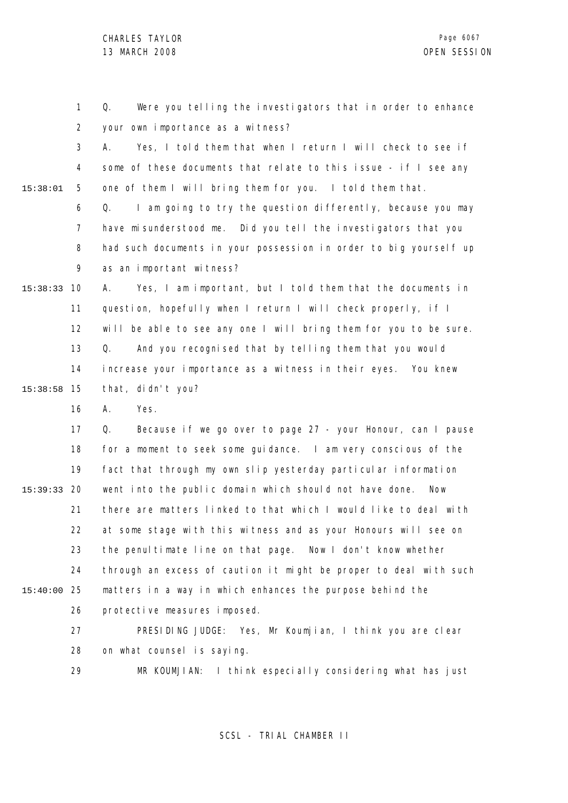1 2 3 4 5 6 7 8 9 10 15:38:33 11 12 13 14 15 15:38:58 16 17 18 19 20 15:39:33 21 22 23 24 25 15:40:00 26 27 28 29 15:38:01 Q. Were you telling the investigators that in order to enhance your own importance as a witness? A. Yes, I told them that when I return I will check to see if some of these documents that relate to this issue - if I see any one of them I will bring them for you. I told them that. Q. I am going to try the question differently, because you may have misunderstood me. Did you tell the investigators that you had such documents in your possession in order to big yourself up as an important witness? A. Yes, I am important, but I told them that the documents in question, hopefully when I return I will check properly, if I will be able to see any one I will bring them for you to be sure. Q. And you recognised that by telling them that you would increase your importance as a witness in their eyes. You knew that, didn't you? A. Yes. Q. Because if we go over to page 27 - your Honour, can I pause for a moment to seek some guidance. I am very conscious of the fact that through my own slip yesterday particular information went into the public domain which should not have done. Now there are matters linked to that which I would like to deal with at some stage with this witness and as your Honours will see on the penultimate line on that page. Now I don't know whether through an excess of caution it might be proper to deal with such matters in a way in which enhances the purpose behind the protective measures imposed. PRESIDING JUDGE: Yes, Mr Koumjian, I think you are clear on what counsel is saying. MR KOUMJIAN: I think especially considering what has just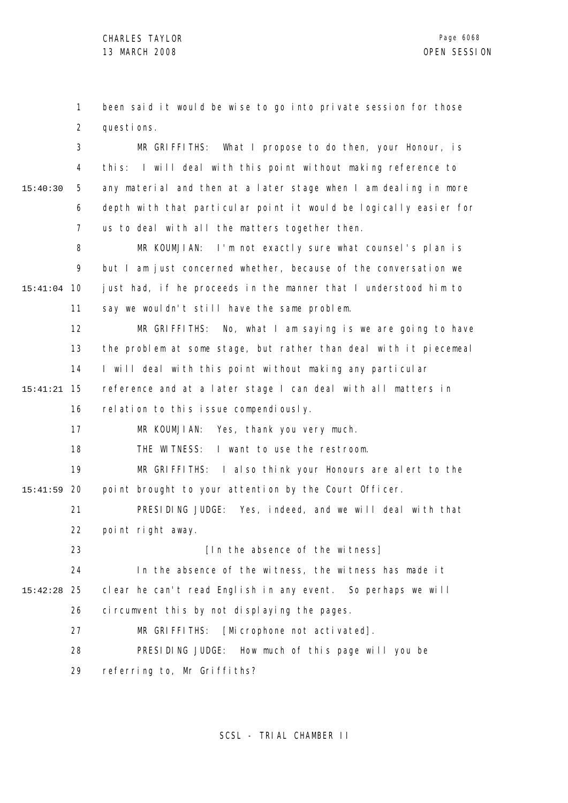1 2 been said it would be wise to go into private session for those questions.

3 4 5 6 7 15:40:30 MR GRIFFITHS: What I propose to do then, your Honour, is this: I will deal with this point without making reference to any material and then at a later stage when I am dealing in more depth with that particular point it would be logically easier for us to deal with all the matters together then.

8 9 10 15:41:04 11 MR KOUMJIAN: I'm not exactly sure what counsel's plan is but I am just concerned whether, because of the conversation we just had, if he proceeds in the manner that I understood him to say we wouldn't still have the same problem.

12 13 14 15 15:41:21 MR GRIFFITHS: No, what I am saying is we are going to have the problem at some stage, but rather than deal with it piecemeal I will deal with this point without making any particular reference and at a later stage I can deal with all matters in

16 relation to this issue compendiously.

17 MR KOUMJIAN: Yes, thank you very much.

18 THE WITNESS: I want to use the restroom.

19 20 15:41:59 MR GRIFFITHS: I also think your Honours are alert to the point brought to your attention by the Court Officer.

21 22 PRESIDING JUDGE: Yes, indeed, and we will deal with that point right away.

[In the absence of the witness]

23

24 25 15:42:28 26 In the absence of the witness, the witness has made it clear he can't read English in any event. So perhaps we will circumvent this by not displaying the pages.

> 27 MR GRIFFITHS: [Microphone not activated].

28 PRESIDING JUDGE: How much of this page will you be

29 referring to, Mr Griffiths?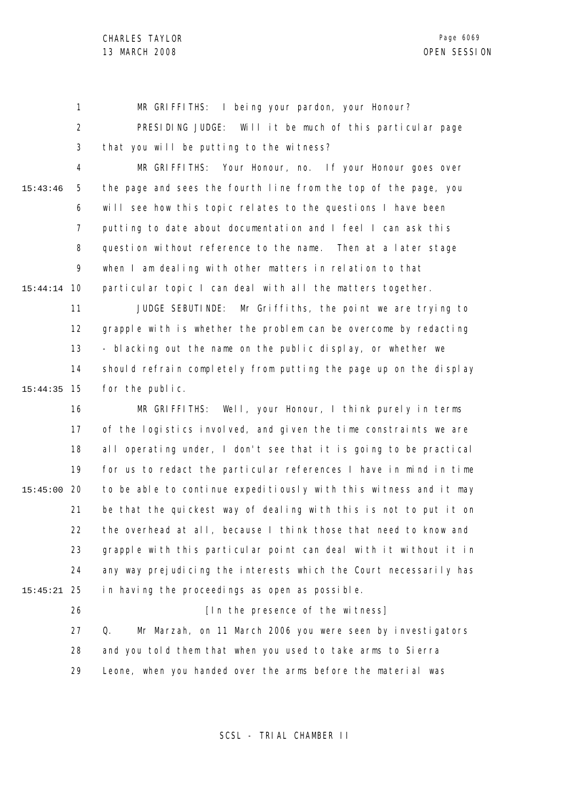1 2 3 MR GRIFFITHS: I being your pardon, your Honour? PRESIDING JUDGE: Will it be much of this particular page that you will be putting to the witness?

4 5 6 7 8 9 10 15:44:14 15:43:46 MR GRIFFITHS: Your Honour, no. If your Honour goes over the page and sees the fourth line from the top of the page, you will see how this topic relates to the questions I have been putting to date about documentation and I feel I can ask this question without reference to the name. Then at a later stage when I am dealing with other matters in relation to that particular topic I can deal with all the matters together.

11 12 13 14 15 15:44:35 JUDGE SEBUTINDE: Mr Griffiths, the point we are trying to grapple with is whether the problem can be overcome by redacting - blacking out the name on the public display, or whether we should refrain completely from putting the page up on the display for the public.

16 17 18 19 20 15:45:00 21 22 23 24 25 15:45:21 MR GRIFFITHS: Well, your Honour, I think purely in terms of the logistics involved, and given the time constraints we are all operating under, I don't see that it is going to be practical for us to redact the particular references I have in mind in time to be able to continue expeditiously with this witness and it may be that the quickest way of dealing with this is not to put it on the overhead at all, because I think those that need to know and grapple with this particular point can deal with it without it in any way prejudicing the interests which the Court necessarily has in having the proceedings as open as possible.

26

27

## [In the presence of the witness] Q. Mr Marzah, on 11 March 2006 you were seen by investigators

28 and you told them that when you used to take arms to Sierra

29 Leone, when you handed over the arms before the material was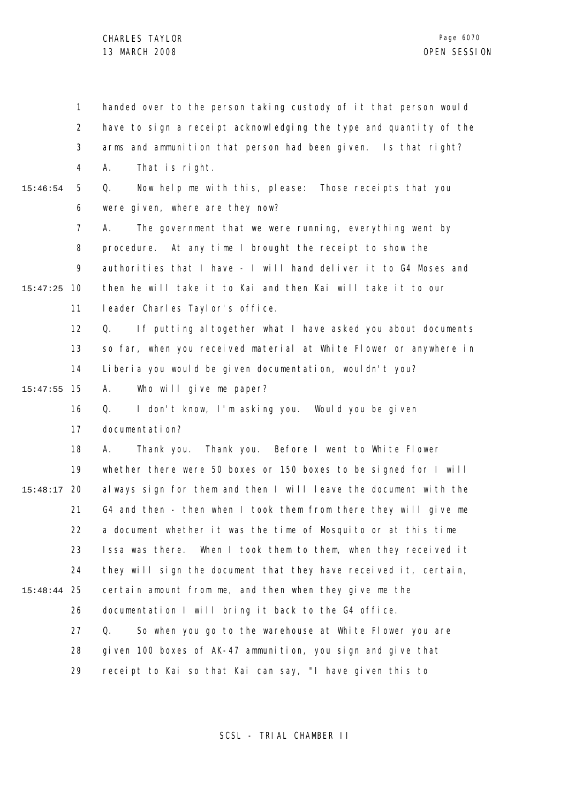1 2 3 4 5 6 7 8 9 10 15:47:25 11 12 13 14 15 15:47:55 16 17 18 19 20 15:48:17 21 22 23 24 25 15:48:44 26 27 28 29 15:46:54 handed over to the person taking custody of it that person would have to sign a receipt acknowledging the type and quantity of the arms and ammunition that person had been given. Is that right? A. That is right. Q. Now help me with this, please: Those receipts that you were given, where are they now? A. The government that we were running, everything went by procedure. At any time I brought the receipt to show the authorities that I have - I will hand deliver it to G4 Moses and then he will take it to Kai and then Kai will take it to our leader Charles Taylor's office. Q. If putting altogether what I have asked you about documents so far, when you received material at White Flower or anywhere in Liberia you would be given documentation, wouldn't you? A. Who will give me paper? Q. I don't know, I'm asking you. Would you be given documentation? A. Thank you. Thank you. Before I went to White Flower whether there were 50 boxes or 150 boxes to be signed for I will always sign for them and then I will leave the document with the G4 and then - then when I took them from there they will give me a document whether it was the time of Mosquito or at this time Issa was there. When I took them to them, when they received it they will sign the document that they have received it, certain, certain amount from me, and then when they give me the documentation I will bring it back to the G4 office. Q. So when you go to the warehouse at White Flower you are given 100 boxes of AK-47 ammunition, you sign and give that receipt to Kai so that Kai can say, "I have given this to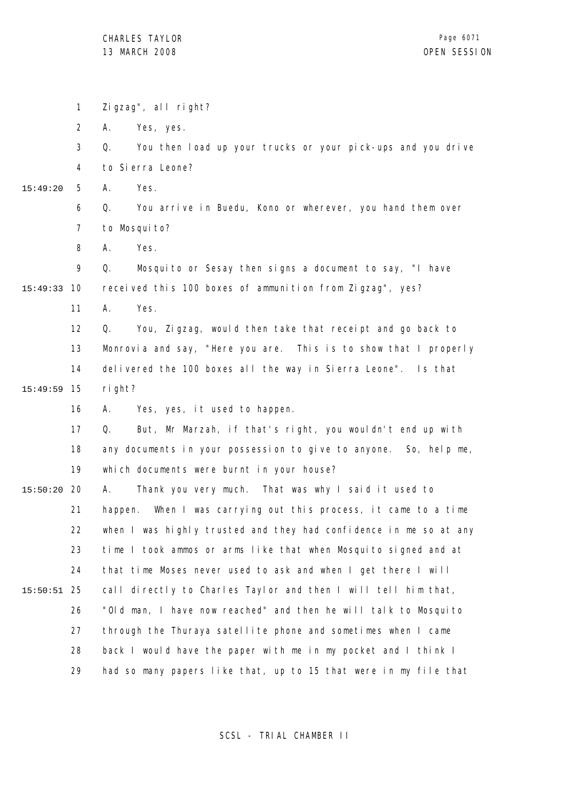|          | 1              | Zigzag", all right?                                                |
|----------|----------------|--------------------------------------------------------------------|
|          | 2              | Yes, yes.<br>А.                                                    |
|          | 3              | Q.<br>You then load up your trucks or your pick-ups and you drive  |
|          | 4              | to Sierra Leone?                                                   |
| 15:49:20 | 5              | Α.<br>Yes.                                                         |
|          | 6              | You arrive in Buedu, Kono or wherever, you hand them over<br>Q.    |
|          | $\overline{7}$ | to Mosquito?                                                       |
|          | 8              | Yes.<br>Α.                                                         |
|          | 9              | Q.<br>Mosquito or Sesay then signs a document to say, "I have      |
| 15:49:33 | 10             | received this 100 boxes of ammunition from Zigzag", yes?           |
|          | 11             | Yes.<br>Α.                                                         |
|          | 12             | You, Zigzag, would then take that receipt and go back to<br>Q.     |
|          | 13             | Monrovia and say, "Here you are. This is to show that I properly   |
|          | 14             | delivered the 100 boxes all the way in Sierra Leone". Is that      |
| 15:49:59 | 15             | right?                                                             |
|          | 16             | Yes, yes, it used to happen.<br>А.                                 |
|          | 17             | But, Mr Marzah, if that's right, you wouldn't end up with<br>Q.    |
|          | 18             | any documents in your possession to give to anyone. So, help me,   |
|          | 19             | which documents were burnt in your house?                          |
| 15:50:20 | 20             | Thank you very much. That was why I said it used to<br>А.          |
|          | 21             | When I was carrying out this process, it came to a time<br>happen. |
|          | 22             | when I was highly trusted and they had confidence in me so at any  |
|          | 23             | time I took ammos or arms like that when Mosquito signed and at    |
|          | 24             | that time Moses never used to ask and when I get there I will      |
| 15:50:51 | 25             | call directly to Charles Taylor and then I will tell him that,     |
|          | 26             | "Old man, I have now reached" and then he will talk to Mosquito    |
|          | 27             | through the Thuraya satellite phone and sometimes when I came      |
|          | 28             | back I would have the paper with me in my pocket and I think I     |
|          | 29             | had so many papers like that, up to 15 that were in my file that   |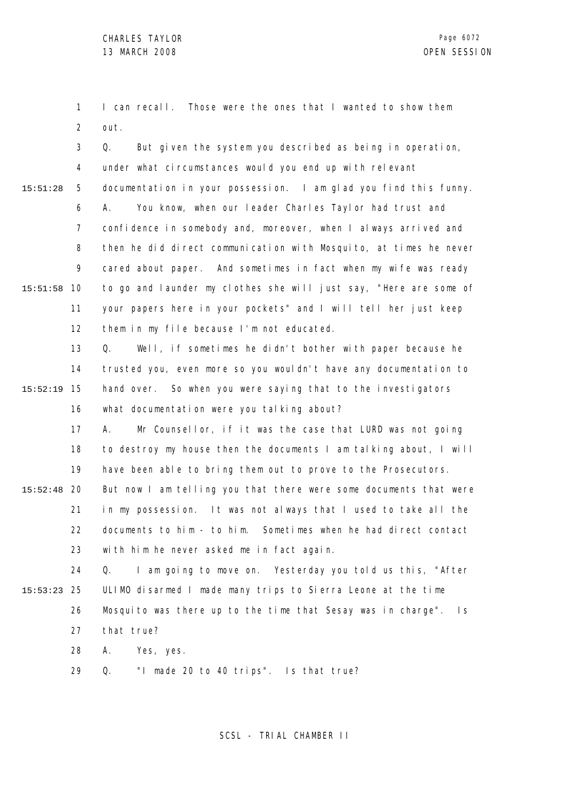1 2 I can recall. Those were the ones that I wanted to show them out.

3 4 5 6 7 8 9 10 15:51:58 11 12 15:51:28 Q. But given the system you described as being in operation, under what circumstances would you end up with relevant documentation in your possession. I am glad you find this funny. A. You know, when our leader Charles Taylor had trust and confidence in somebody and, moreover, when I always arrived and then he did direct communication with Mosquito, at times he never cared about paper. And sometimes in fact when my wife was ready to go and launder my clothes she will just say, "Here are some of your papers here in your pockets" and I will tell her just keep them in my file because I'm not educated.

13 14 15 15:52:19 16 Q. Well, if sometimes he didn't bother with paper because he trusted you, even more so you wouldn't have any documentation to hand over. So when you were saying that to the investigators what documentation were you talking about?

17 18 19 20 15:52:48 21 22 23 A. Mr Counsellor, if it was the case that LURD was not going to destroy my house then the documents I am talking about, I will have been able to bring them out to prove to the Prosecutors. But now I am telling you that there were some documents that were in my possession. It was not always that I used to take all the documents to him - to him. Sometimes when he had direct contact with him he never asked me in fact again.

24 25 15:53:23 26 27 Q. I am going to move on. Yesterday you told us this, "After ULIMO disarmed I made many trips to Sierra Leone at the time Mosquito was there up to the time that Sesay was in charge". Is that true?

> 28 A. Yes, yes.

29 Q. "I made 20 to 40 trips". Is that true?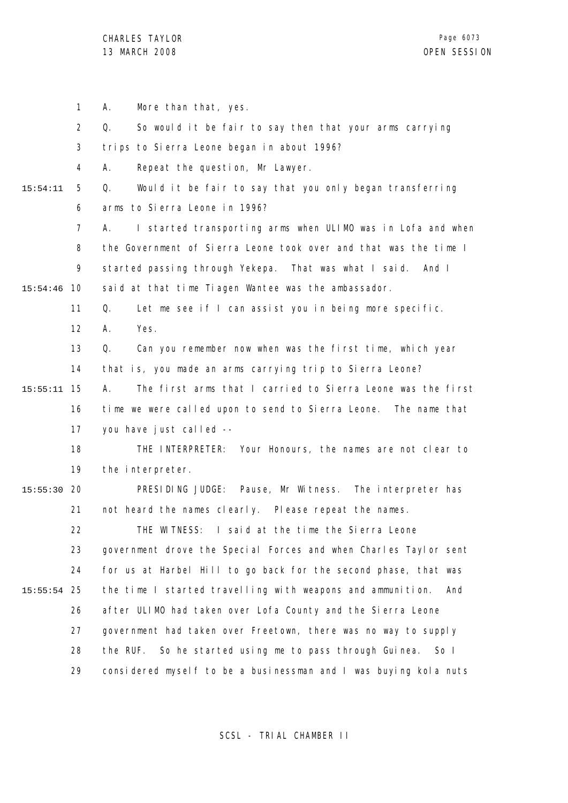1 2 3 4 5 6 7 8 9 10 15:54:46 11 12 13 14 15 15:55:11 16 17 18 19 20 15:55:30 21 22 23 24 25 15:55:54 26 27 28 29 15:54:11 A. More than that, yes. Q. So would it be fair to say then that your arms carrying trips to Sierra Leone began in about 1996? A. Repeat the question, Mr Lawyer. Q. Would it be fair to say that you only began transferring arms to Sierra Leone in 1996? A. I started transporting arms when ULIMO was in Lofa and when the Government of Sierra Leone took over and that was the time I started passing through Yekepa. That was what I said. And I said at that time Tiagen Wantee was the ambassador. Q. Let me see if I can assist you in being more specific. A. Yes. Q. Can you remember now when was the first time, which year that is, you made an arms carrying trip to Sierra Leone? A. The first arms that I carried to Sierra Leone was the first time we were called upon to send to Sierra Leone. The name that you have just called -- THE INTERPRETER: Your Honours, the names are not clear to the interpreter. PRESIDING JUDGE: Pause, Mr Witness. The interpreter has not heard the names clearly. Please repeat the names. THE WITNESS: I said at the time the Sierra Leone government drove the Special Forces and when Charles Taylor sent for us at Harbel Hill to go back for the second phase, that was the time I started travelling with weapons and ammunition. And after ULIMO had taken over Lofa County and the Sierra Leone government had taken over Freetown, there was no way to supply the RUF. So he started using me to pass through Guinea. So I considered myself to be a businessman and I was buying kola nuts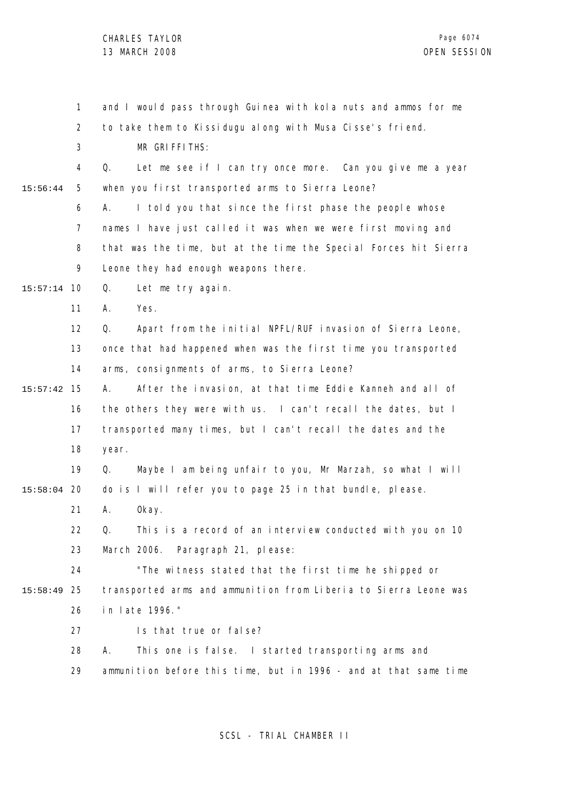|          | 1              | and I would pass through Guinea with kola nuts and ammos for me       |
|----------|----------------|-----------------------------------------------------------------------|
|          | $\overline{2}$ | to take them to Kissidugu along with Musa Cisse's friend.             |
|          | 3              | MR GRIFFITHS:                                                         |
|          | 4              | Let me see if I can try once more. Can you give me a year<br>Q.       |
| 15:56:44 | 5              | when you first transported arms to Sierra Leone?                      |
|          | 6              | I told you that since the first phase the people whose<br>А.          |
|          | 7              | names I have just called it was when we were first moving and         |
|          | 8              | that was the time, but at the time the Special Forces hit Sierra      |
|          | 9              | Leone they had enough weapons there.                                  |
| 15:57:14 | 10             | Let me try again.<br>Q.                                               |
|          | 11             | Α.<br>Yes.                                                            |
|          | 12             | Apart from the initial NPFL/RUF invasion of Sierra Leone,<br>Q.       |
|          | 13             | once that had happened when was the first time you transported        |
|          | 14             | arms, consignments of arms, to Sierra Leone?                          |
| 15:57:42 | 15             | After the invasion, at that time Eddie Kanneh and all of<br>А.        |
|          | 16             | the others they were with us. I can't recall the dates, but I         |
|          | 17             | transported many times, but I can't recall the dates and the          |
|          | 18             | year.                                                                 |
|          | 19             | Maybe I am being unfair to you, Mr Marzah, so what I will<br>Q.       |
| 15:58:04 | 20             | do is I will refer you to page 25 in that bundle, please.             |
|          | 21             | А.<br>0kay.                                                           |
|          | 22             | This is a record of an interview conducted with you on 10<br>$\Omega$ |
|          | 23             | March 2006. Paragraph 21, please:                                     |
|          | 24             | "The witness stated that the first time he shipped or                 |
| 15:58:49 | 25             | transported arms and ammunition from Liberia to Sierra Leone was      |
|          | 26             | in late 1996."                                                        |
|          | 27             | Is that true or false?                                                |
|          | 28             | Α.<br>This one is false. I started transporting arms and              |
|          | 29             | ammunition before this time, but in 1996 - and at that same time      |
|          |                |                                                                       |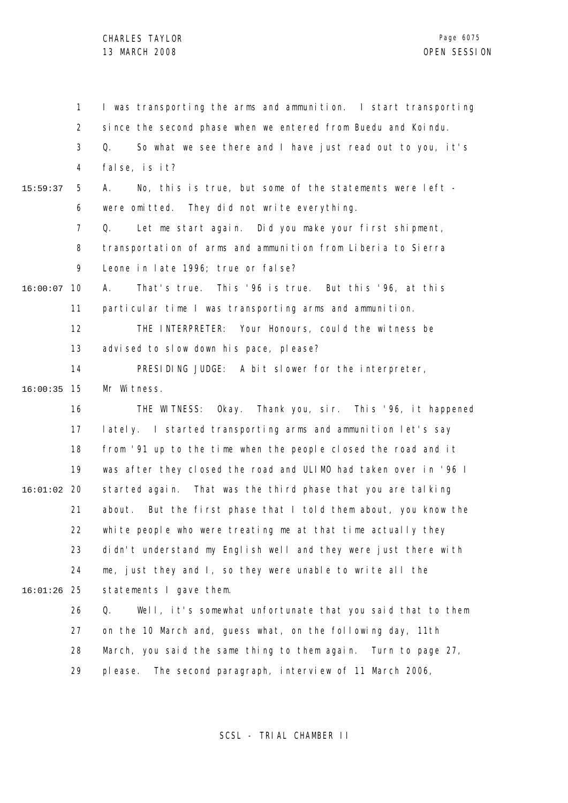1 2 3 4 5 6 7 8 9 10 16:00:07 11 12 13 14 15 16:00:35 16 17 18 19 20 16:01:02 21 22 23 24 25 16:01:26 26 27 28 29 15:59:37 I was transporting the arms and ammunition. I start transporting since the second phase when we entered from Buedu and Koindu. Q. So what we see there and I have just read out to you, it's false, is it? A. No, this is true, but some of the statements were left were omitted. They did not write everything. Q. Let me start again. Did you make your first shipment, transportation of arms and ammunition from Liberia to Sierra Leone in late 1996; true or false? A. That's true. This '96 is true. But this '96, at this particular time I was transporting arms and ammunition. THE INTERPRETER: Your Honours, could the witness be advised to slow down his pace, please? PRESIDING JUDGE: A bit slower for the interpreter, Mr Witness. THE WITNESS: Okay. Thank you, sir. This '96, it happened lately. I started transporting arms and ammunition let's say from '91 up to the time when the people closed the road and it was after they closed the road and ULIMO had taken over in '96 I started again. That was the third phase that you are talking about. But the first phase that I told them about, you know the white people who were treating me at that time actually they didn't understand my English well and they were just there with me, just they and I, so they were unable to write all the statements I gave them. Q. Well, it's somewhat unfortunate that you said that to them on the 10 March and, guess what, on the following day, 11th March, you said the same thing to them again. Turn to page 27, please. The second paragraph, interview of 11 March 2006,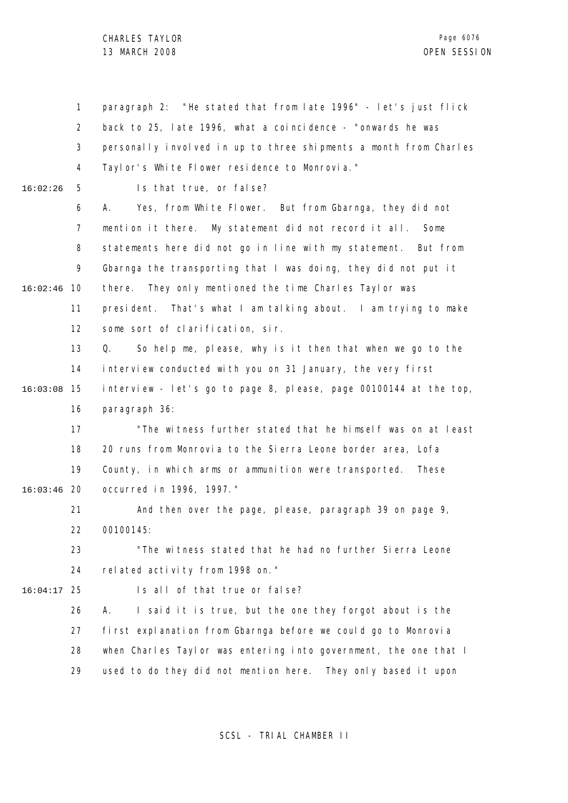1 2 3 4 5 6 7 8 9 10 16:02:46 11 12 13 14 15 16:03:08 16 17 18 19 20 16:03:46 21 22 23 24 25 16:04:17 26 27 28 29 16:02:26 paragraph 2: "He stated that from late 1996" - let's just flick back to 25, late 1996, what a coincidence - "onwards he was personally involved in up to three shipments a month from Charles Taylor's White Flower residence to Monrovia." Is that true, or false? A. Yes, from White Flower. But from Gbarnga, they did not mention it there. My statement did not record it all. Some statements here did not go in line with my statement. But from Gbarnga the transporting that I was doing, they did not put it there. They only mentioned the time Charles Taylor was president. That's what I am talking about. I am trying to make some sort of clarification, sir. Q. So help me, please, why is it then that when we go to the interview conducted with you on 31 January, the very first interview - let's go to page 8, please, page 00100144 at the top, paragraph 36: "The witness further stated that he himself was on at least 20 runs from Monrovia to the Sierra Leone border area, Lofa County, in which arms or ammunition were transported. These occurred in 1996, 1997." And then over the page, please, paragraph 39 on page 9, 00100145: "The witness stated that he had no further Sierra Leone related activity from 1998 on." Is all of that true or false? A. I said it is true, but the one they forgot about is the first explanation from Gbarnga before we could go to Monrovia when Charles Taylor was entering into government, the one that I used to do they did not mention here. They only based it upon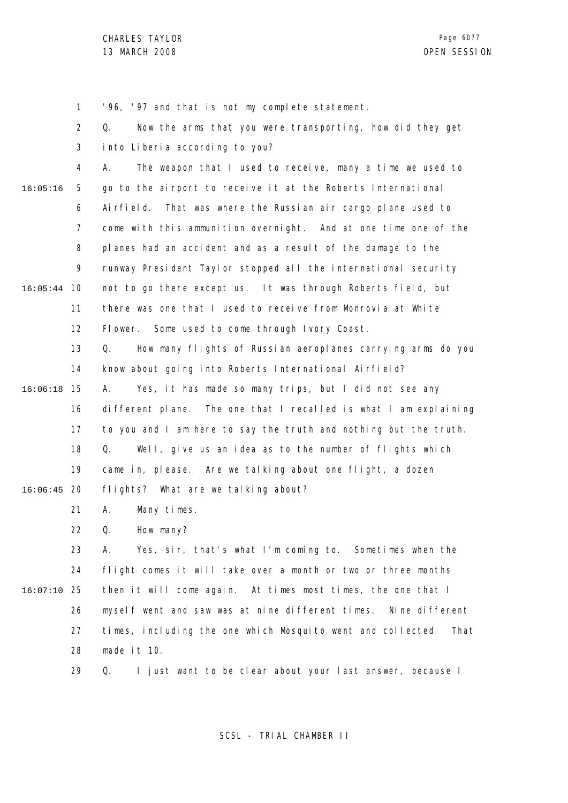1 2 3 4 5 6 7 8 9 10 16:05:44 11 12 13 14 15 16:06:18 16 17 18 19 20 16:06:45 21 22 23 24 25 16:07:10 26 27 28 29 16:05:16 '96, '97 and that is not my complete statement. Q. Now the arms that you were transporting, how did they get into Liberia according to you? A. The weapon that I used to receive, many a time we used to go to the airport to receive it at the Roberts International Airfield. That was where the Russian air cargo plane used to come with this ammunition overnight. And at one time one of the planes had an accident and as a result of the damage to the runway President Taylor stopped all the international security not to go there except us. It was through Roberts field, but there was one that I used to receive from Monrovia at White Flower. Some used to come through Ivory Coast. Q. How many flights of Russian aeroplanes carrying arms do you know about going into Roberts International Airfield? A. Yes, it has made so many trips, but I did not see any different plane. The one that I recalled is what I am explaining to you and I am here to say the truth and nothing but the truth. Q. Well, give us an idea as to the number of flights which came in, please. Are we talking about one flight, a dozen flights? What are we talking about? A. Many times. Q. How many? A. Yes, sir, that's what I'm coming to. Sometimes when the flight comes it will take over a month or two or three months then it will come again. At times most times, the one that I myself went and saw was at nine different times. Nine different times, including the one which Mosquito went and collected. That made it 10. Q. I just want to be clear about your last answer, because I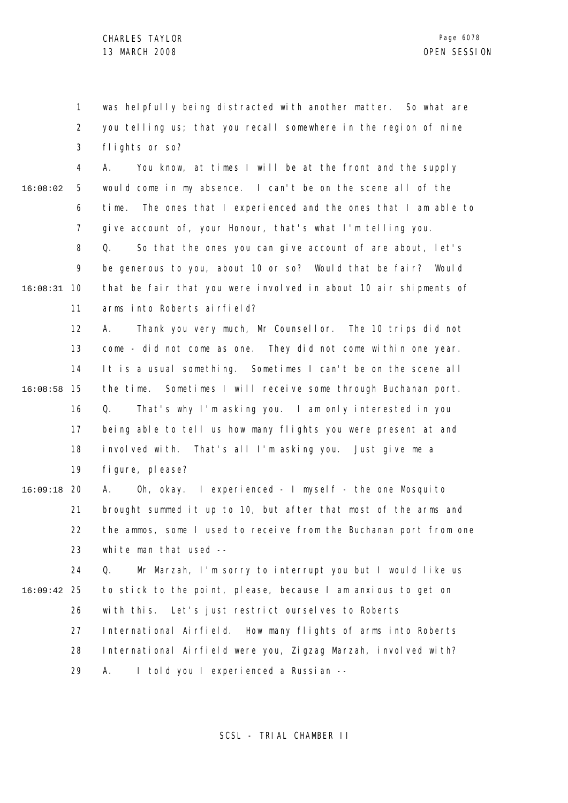1 2 3 was helpfully being distracted with another matter. So what are you telling us; that you recall somewhere in the region of nine flights or so?

4 5 6 7 8 9 10 16:08:31 11 16:08:02 A. You know, at times I will be at the front and the supply would come in my absence. I can't be on the scene all of the time. The ones that I experienced and the ones that I am able to give account of, your Honour, that's what I'm telling you. Q. So that the ones you can give account of are about, let's be generous to you, about 10 or so? Would that be fair? Would that be fair that you were involved in about 10 air shipments of arms into Roberts airfield?

12 13 14 15 16:08:58 16 17 18 19 A. Thank you very much, Mr Counsellor. The 10 trips did not come - did not come as one. They did not come within one year. It is a usual something. Sometimes I can't be on the scene all the time. Sometimes I will receive some through Buchanan port. Q. That's why I'm asking you. I am only interested in you being able to tell us how many flights you were present at and involved with. That's all I'm asking you. Just give me a figure, please?

20 16:09:18 21 22 23 A. Oh, okay. I experienced - I myself - the one Mosquito brought summed it up to 10, but after that most of the arms and the ammos, some I used to receive from the Buchanan port from one white man that used --

24 25 16:09:42 26 27 28 Q. Mr Marzah, I'm sorry to interrupt you but I would like us to stick to the point, please, because I am anxious to get on with this. Let's just restrict ourselves to Roberts International Airfield. How many flights of arms into Roberts International Airfield were you, Zigzag Marzah, involved with?

> 29 A. I told you I experienced a Russian --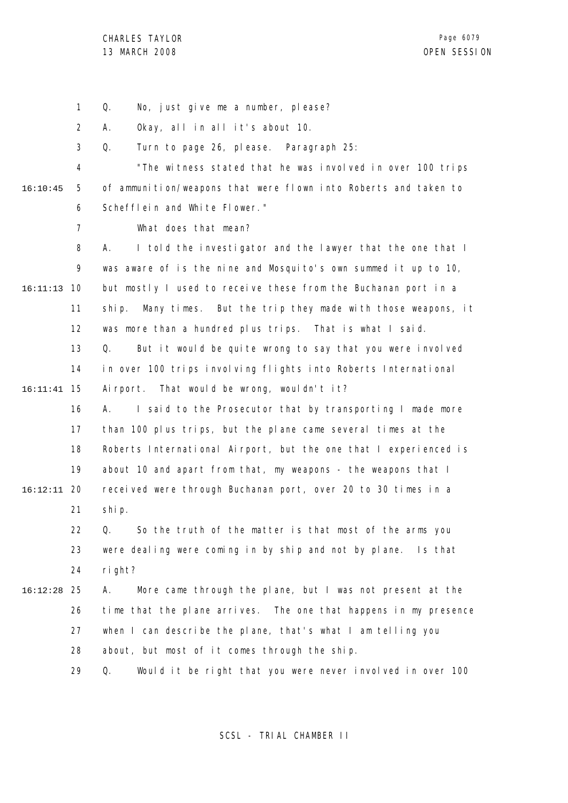1 Q. No, just give me a number, please?

2 A. Okay, all in all it's about 10.

3 Q. Turn to page 26, please. Paragraph 25:

4 5 6 16:10:45 "The witness stated that he was involved in over 100 trips of ammunition/weapons that were flown into Roberts and taken to Schefflein and White Flower."

What does that mean?

7

8 9 10 16:11:13 11 12 13 14 15 16:11:41 16 17 18 19 20 16:12:11 21 22 23 24 25 16:12:28 26 27 A. I told the investigator and the lawyer that the one that I was aware of is the nine and Mosquito's own summed it up to 10, but mostly I used to receive these from the Buchanan port in a ship. Many times. But the trip they made with those weapons, it was more than a hundred plus trips. That is what I said. Q. But it would be quite wrong to say that you were involved in over 100 trips involving flights into Roberts International Airport. That would be wrong, wouldn't it? A. I said to the Prosecutor that by transporting I made more than 100 plus trips, but the plane came several times at the Roberts International Airport, but the one that I experienced is about 10 and apart from that, my weapons - the weapons that I received were through Buchanan port, over 20 to 30 times in a ship. Q. So the truth of the matter is that most of the arms you were dealing were coming in by ship and not by plane. Is that right? A. More came through the plane, but I was not present at the time that the plane arrives. The one that happens in my presence when I can describe the plane, that's what I am telling you

> 28 about, but most of it comes through the ship.

29 Q. Would it be right that you were never involved in over 100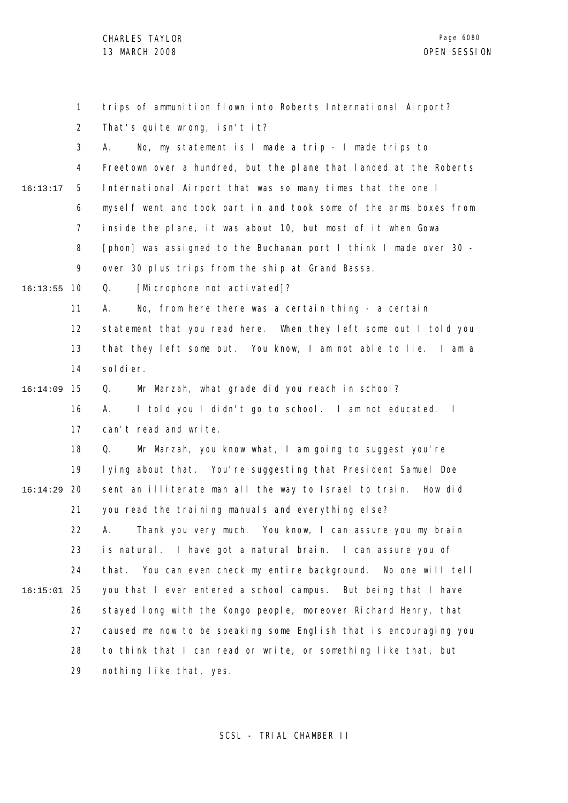|               | 1              | trips of ammunition flown into Roberts International Airport?     |
|---------------|----------------|-------------------------------------------------------------------|
|               | $\overline{2}$ | That's quite wrong, isn't it?                                     |
|               | 3              | No, my statement is I made a trip - I made trips to<br>А.         |
|               | 4              | Freetown over a hundred, but the plane that landed at the Roberts |
| 16:13:17      | 5              | International Airport that was so many times that the one I       |
|               | 6              | myself went and took part in and took some of the arms boxes from |
|               | $\overline{7}$ | inside the plane, it was about 10, but most of it when Gowa       |
|               | 8              | [phon] was assigned to the Buchanan port I think I made over 30 - |
|               | 9              | over 30 plus trips from the ship at Grand Bassa.                  |
| 16:13:55      | 10             | [Microphone not activated]?<br>Q.                                 |
|               | 11             | No, from here there was a certain thing - a certain<br>А.         |
|               | 12             | statement that you read here. When they left some out I told you  |
|               | 13             | that they left some out. You know, I am not able to lie. I am a   |
|               | 14             | sol di er.                                                        |
| 16:14:09      | 15             | Mr Marzah, what grade did you reach in school?<br>Q.              |
|               | 16             | I told you I didn't go to school. I am not educated. I<br>А.      |
|               | 17             | can't read and write.                                             |
|               | 18             | Mr Marzah, you know what, I am going to suggest you're<br>Q.      |
|               | 19             | lying about that. You're suggesting that President Samuel Doe     |
| 16:14:29      | -20            | sent an illiterate man all the way to Israel to train. How did    |
|               | 21             | you read the training manuals and everything else?                |
|               | 22             | A. Thank you very much. You know, I can assure you my brain       |
|               | 23             | is natural. I have got a natural brain. I can assure you of       |
|               | 24             | that. You can even check my entire background. No one will tell   |
| $16:15:01$ 25 |                | you that I ever entered a school campus. But being that I have    |
|               | 26             | stayed long with the Kongo people, moreover Richard Henry, that   |
|               | 27             | caused me now to be speaking some English that is encouraging you |
|               | 28             | to think that I can read or write, or something like that, but    |
|               | 29             | nothing like that, yes.                                           |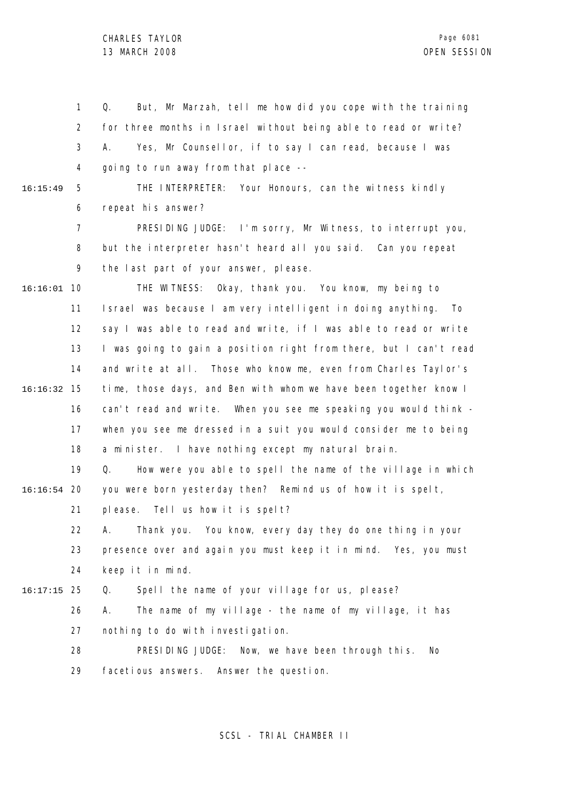1 2 3 4 5 16:15:49 Q. But, Mr Marzah, tell me how did you cope with the training for three months in Israel without being able to read or write? A. Yes, Mr Counsellor, if to say I can read, because I was going to run away from that place -- THE INTERPRETER: Your Honours, can the witness kindly

6

repeat his answer?

7 8 9 PRESIDING JUDGE: I'm sorry, Mr Witness, to interrupt you, but the interpreter hasn't heard all you said. Can you repeat the last part of your answer, please.

10 16:16:01 11 12 13 14 15 16:16:32 16 17 18 THE WITNESS: Okay, thank you. You know, my being to Israel was because I am very intelligent in doing anything. To say I was able to read and write, if I was able to read or write I was going to gain a position right from there, but I can't read and write at all. Those who know me, even from Charles Taylor's time, those days, and Ben with whom we have been together know I can't read and write. When you see me speaking you would think when you see me dressed in a suit you would consider me to being a minister. I have nothing except my natural brain.

19 20 16:16:54 Q. How were you able to spell the name of the village in which you were born yesterday then? Remind us of how it is spelt,

21 please. Tell us how it is spelt?

22 23 24 A. Thank you. You know, every day they do one thing in your presence over and again you must keep it in mind. Yes, you must keep it in mind.

25 16:17:15 Q. Spell the name of your village for us, please?

26 27 A. The name of my village - the name of my village, it has nothing to do with investigation.

28 29 PRESIDING JUDGE: Now, we have been through this. No facetious answers. Answer the question.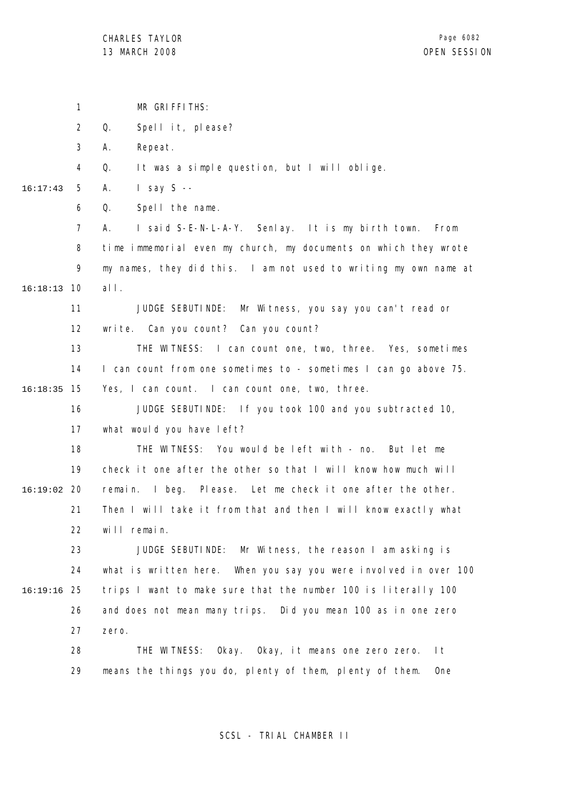1 2 3 4 5 6 7 8 9 10 16:18:13 11 12 13 14 15 16:18:35 16 17 18 19 20 16:19:02 21 22 23 24 25 16:19:16 26 27 28 29 16:17:43 MR GRIFFITHS: Q. Spell it, please? A. Repeat. Q. It was a simple question, but I will oblige. A. I say S -- Q. Spell the name. A. I said S-E-N-L-A-Y. Senlay. It is my birth town. From time immemorial even my church, my documents on which they wrote my names, they did this. I am not used to writing my own name at all. JUDGE SEBUTINDE: Mr Witness, you say you can't read or write. Can you count? Can you count? THE WITNESS: I can count one, two, three. Yes, sometimes I can count from one sometimes to - sometimes I can go above 75. Yes, I can count. I can count one, two, three. JUDGE SEBUTINDE: If you took 100 and you subtracted 10, what would you have left? THE WITNESS: You would be left with - no. But let me check it one after the other so that I will know how much will remain. I beg. Please. Let me check it one after the other. Then I will take it from that and then I will know exactly what will remain. JUDGE SEBUTINDE: Mr Witness, the reason I am asking is what is written here. When you say you were involved in over 100 trips I want to make sure that the number 100 is literally 100 and does not mean many trips. Did you mean 100 as in one zero zero. THE WITNESS: Okay. Okay, it means one zero zero. It means the things you do, plenty of them, plenty of them. One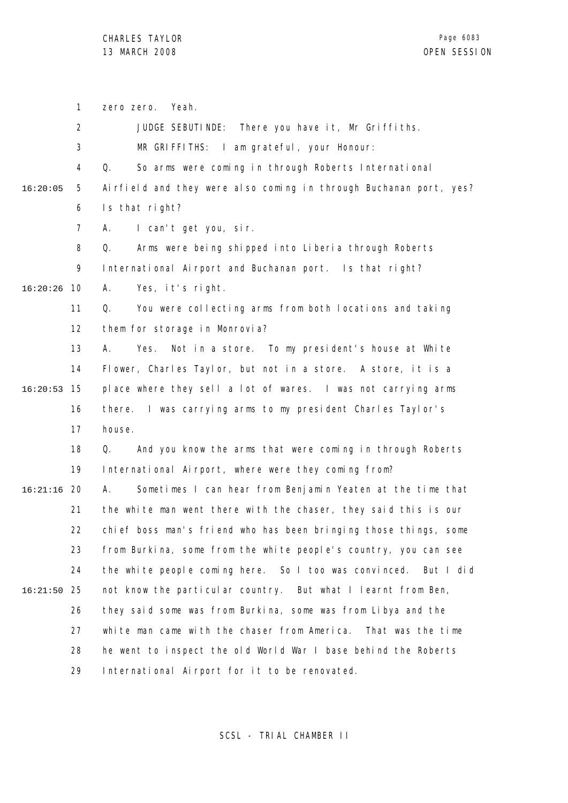1 2 3 4 5 6 7 8 9 10 16:20:26 11 12 13 14 15 16:20:53 16 17 18 19 20 16:21:16 21 22 23 24 25 16:21:50 26 27 28 29 16:20:05 zero zero. Yeah. JUDGE SEBUTINDE: There you have it, Mr Griffiths. MR GRIFFITHS: I am grateful, your Honour: Q. So arms were coming in through Roberts International Airfield and they were also coming in through Buchanan port, yes? Is that right? A. I can't get you, sir. Q. Arms were being shipped into Liberia through Roberts International Airport and Buchanan port. Is that right? A. Yes, it's right. Q. You were collecting arms from both locations and taking them for storage in Monrovia? A. Yes. Not in a store. To my president's house at White Flower, Charles Taylor, but not in a store. A store, it is a place where they sell a lot of wares. I was not carrying arms there. I was carrying arms to my president Charles Taylor's house. Q. And you know the arms that were coming in through Roberts International Airport, where were they coming from? A. Sometimes I can hear from Benjamin Yeaten at the time that the white man went there with the chaser, they said this is our chief boss man's friend who has been bringing those things, some from Burkina, some from the white people's country, you can see the white people coming here. So I too was convinced. But I did not know the particular country. But what I learnt from Ben, they said some was from Burkina, some was from Libya and the white man came with the chaser from America. That was the time he went to inspect the old World War I base behind the Roberts International Airport for it to be renovated.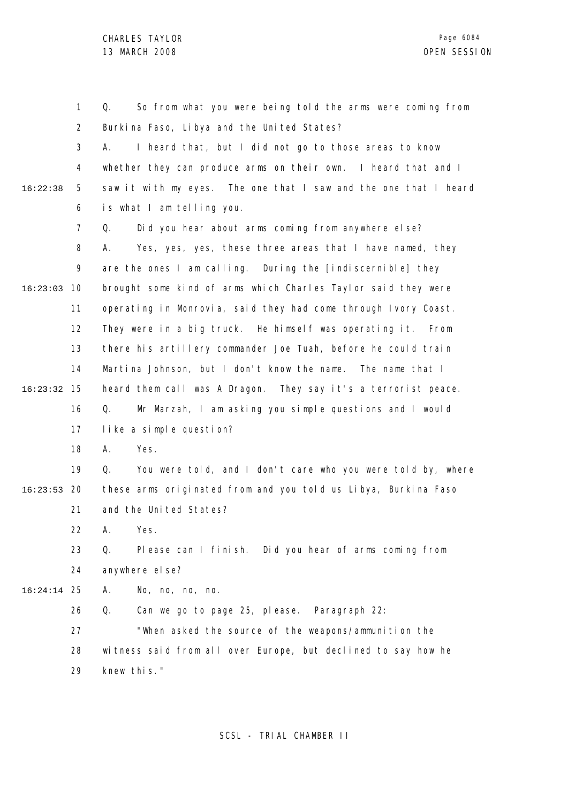1 2 3 4 5 6 7 8 9 10 16:23:03 11 12 13 14 15 16:23:32 16 17 18 19 20 16:23:53 21 22 23 24 25 16:24:14 26 27 28 29 16:22:38 Q. So from what you were being told the arms were coming from Burkina Faso, Libya and the United States? A. I heard that, but I did not go to those areas to know whether they can produce arms on their own. I heard that and I saw it with my eyes. The one that I saw and the one that I heard is what I am telling you. Q. Did you hear about arms coming from anywhere else? A. Yes, yes, yes, these three areas that I have named, they are the ones I am calling. During the [indiscernible] they brought some kind of arms which Charles Taylor said they were operating in Monrovia, said they had come through Ivory Coast. They were in a big truck. He himself was operating it. From there his artillery commander Joe Tuah, before he could train Martina Johnson, but I don't know the name. The name that I heard them call was A Dragon. They say it's a terrorist peace. Q. Mr Marzah, I am asking you simple questions and I would like a simple question? A. Yes. Q. You were told, and I don't care who you were told by, where these arms originated from and you told us Libya, Burkina Faso and the United States? A. Yes. Q. Please can I finish. Did you hear of arms coming from anywhere el se? A. No, no, no, no. Q. Can we go to page 25, please. Paragraph 22: "When asked the source of the weapons/ammunition the witness said from all over Europe, but declined to say how he knew this."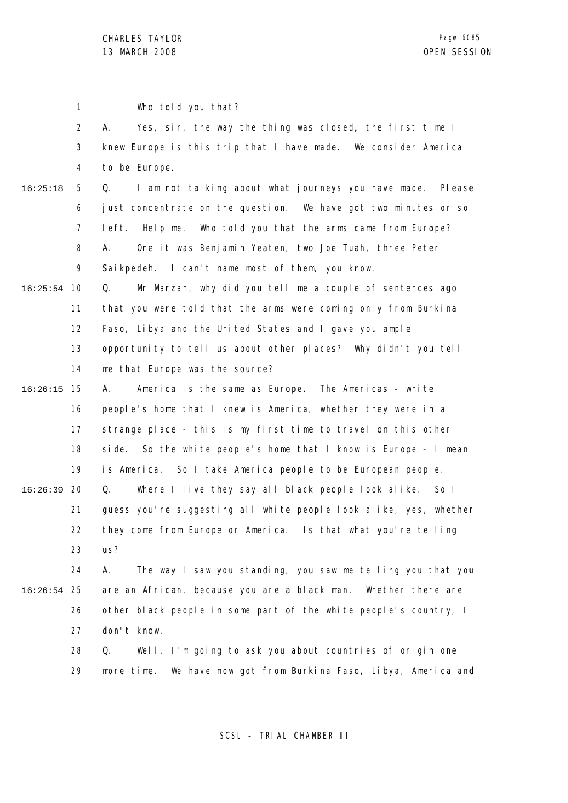|          | $\mathbf{1}$   | Who told you that?                                                   |
|----------|----------------|----------------------------------------------------------------------|
|          | $\overline{2}$ | Yes, sir, the way the thing was closed, the first time I<br>А.       |
|          | 3              | knew Europe is this trip that I have made. We consider America       |
|          | 4              | to be Europe.                                                        |
| 16:25:18 | 5              | I am not talking about what journeys you have made.<br>Q.<br>PI ease |
|          | 6              | just concentrate on the question. We have got two minutes or so      |
|          | 7              | Who told you that the arms came from Europe?<br>left. Help me.       |
|          | 8              | One it was Benjamin Yeaten, two Joe Tuah, three Peter<br>А.          |
|          | 9              | Sai kpedeh. I can't name most of them, you know.                     |
| 16:25:54 | 10             | Mr Marzah, why did you tell me a couple of sentences ago<br>Q.       |
|          | 11             | that you were told that the arms were coming only from Burkina       |
|          | 12             | Faso, Libya and the United States and I gave you ample               |
|          | 13             | opportunity to tell us about other places? Why didn't you tell       |
|          | 14             | me that Europe was the source?                                       |
| 16:26:15 | 15             | America is the same as Europe. The Americas - white<br>А.            |
|          | 16             | people's home that I knew is America, whether they were in a         |
|          | 17             | strange place - this is my first time to travel on this other        |
|          | 18             | side. So the white people's home that I know is Europe - I mean      |
|          | 19             | is America. So I take America people to be European people.          |
| 16:26:39 | 20             | Q.<br>Where I live they say all black people look alike. So I        |
|          | 21             | guess you're suggesting all white people look alike, yes, whether    |
|          | 22             | they come from Europe or America. Is that what you're telling        |
|          | 23             | us?                                                                  |
|          | 24             | The way I saw you standing, you saw me telling you that you<br>А.    |
| 16:26:54 | 25             | are an African, because you are a black man. Whether there are       |
|          | 26             | other black people in some part of the white people's country, I     |
|          | 27             | don't know.                                                          |
|          | 28             | Well, I'm going to ask you about countries of origin one<br>Q.       |
|          | 29             | We have now got from Burkina Faso, Libya, America and<br>more time.  |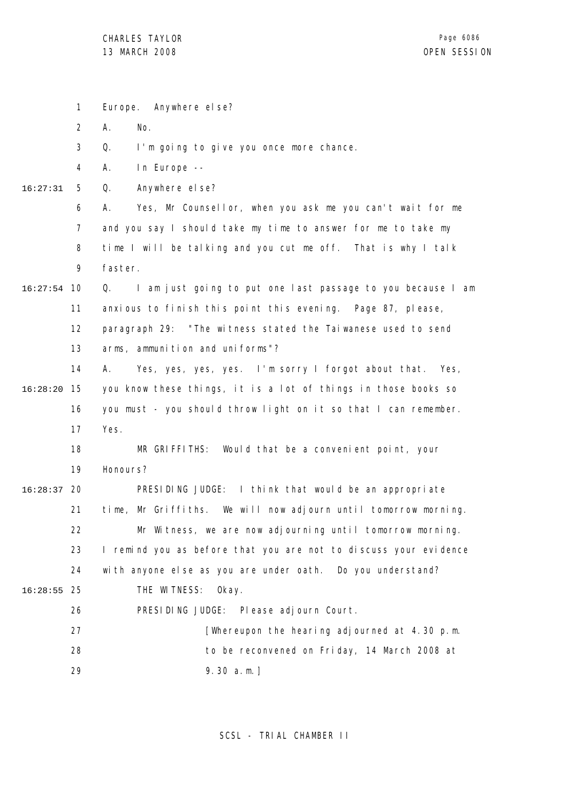|          | $\mathbf{1}$   | Europe. Anywhere else?                                            |
|----------|----------------|-------------------------------------------------------------------|
|          | $\overline{2}$ | Α.<br>No.                                                         |
|          | 3              | Q.<br>I'm going to give you once more chance.                     |
|          | 4              | In Europe --<br>Α.                                                |
| 16:27:31 | 5              | Q.<br>Anywhere el se?                                             |
|          | 6              | Yes, Mr Counsellor, when you ask me you can't wait for me<br>А.   |
|          | $\overline{7}$ | and you say I should take my time to answer for me to take my     |
|          | 8              | time I will be talking and you cut me off. That is why I talk     |
|          | 9              | faster.                                                           |
| 16:27:54 | 10             | I am just going to put one last passage to you because I am<br>Q. |
|          | 11             | anxious to finish this point this evening. Page 87, please,       |
|          | 12             | paragraph 29: "The witness stated the Taiwanese used to send      |
|          | 13             | arms, ammunition and uniforms"?                                   |
|          | 14             | Yes, yes, yes, yes. I'm sorry I forgot about that. Yes,<br>А.     |
| 16:28:20 | 15             | you know these things, it is a lot of things in those books so    |
|          | 16             | you must - you should throw light on it so that I can remember.   |
|          | 17             | Yes.                                                              |
|          | 18             | MR GRIFFITHS: Would that be a convenient point, your              |
|          | 19             | Honours?                                                          |
| 16:28:37 | 20             | PRESIDING JUDGE: I think that would be an appropriate             |
|          | 21             | time, Mr Griffiths. We will now adjourn until tomorrow morning.   |
|          | 22             | Mr Witness, we are now adjourning until tomorrow morning.         |
|          | 23             | I remind you as before that you are not to discuss your evidence  |
|          | 24             | with anyone else as you are under oath. Do you understand?        |
| 16:28:55 | 25             | THE WITNESS:<br>Okay.                                             |
|          | 26             | PRESIDING JUDGE: Please adjourn Court.                            |
|          | 27             | [Whereupon the hearing adjourned at 4.30 p.m.                     |
|          | 28             | to be reconvened on Friday, 14 March 2008 at                      |
|          | 29             | $9.30 a.m.$ ]                                                     |